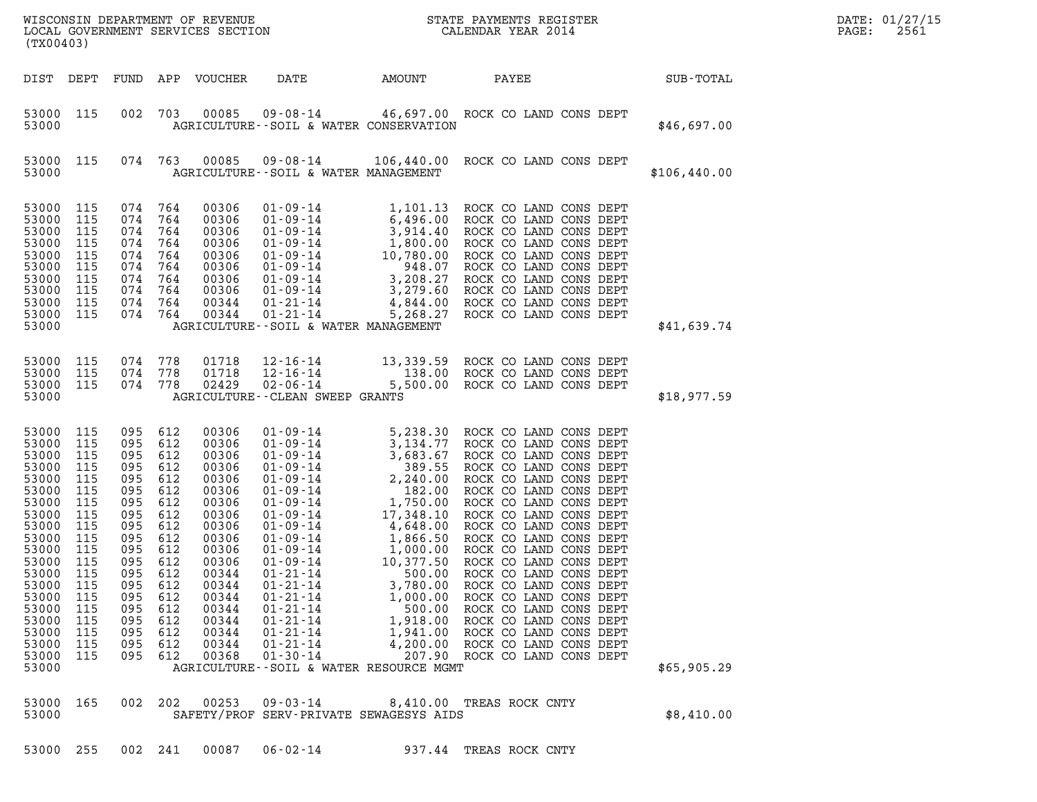|  |  | ;3000 255 002 241 00087 06–02–14 | 937.44 TREAS ROCK CNTY |  |  |
|--|--|----------------------------------|------------------------|--|--|

| 53000                                                                                                                                                                                     |                                                                                                                                          |                                                                                                                                          |                                                                                                                                          |                                                                                                                                                                                  |                                                                                                                                                                                                                                                                                              | AGRICULTURE--SOIL & WATER MANAGEMENT                                                                                                                                           |                                                                                                                                                                                                                                                                                                                                                                                                                                                                                                                                                                                                                                 | \$41,639.74 |
|-------------------------------------------------------------------------------------------------------------------------------------------------------------------------------------------|------------------------------------------------------------------------------------------------------------------------------------------|------------------------------------------------------------------------------------------------------------------------------------------|------------------------------------------------------------------------------------------------------------------------------------------|----------------------------------------------------------------------------------------------------------------------------------------------------------------------------------|----------------------------------------------------------------------------------------------------------------------------------------------------------------------------------------------------------------------------------------------------------------------------------------------|--------------------------------------------------------------------------------------------------------------------------------------------------------------------------------|---------------------------------------------------------------------------------------------------------------------------------------------------------------------------------------------------------------------------------------------------------------------------------------------------------------------------------------------------------------------------------------------------------------------------------------------------------------------------------------------------------------------------------------------------------------------------------------------------------------------------------|-------------|
| 53000<br>53000<br>53000<br>53000                                                                                                                                                          | 115<br>115<br>115                                                                                                                        | 074<br>074<br>074                                                                                                                        | 778<br>778<br>778                                                                                                                        | 01718<br>01718<br>02429                                                                                                                                                          | 12-16-14<br>12-16-14<br>AGRICULTURE - - CLEAN SWEEP GRANTS                                                                                                                                                                                                                                   |                                                                                                                                                                                | 13,339.59 ROCK CO LAND CONS DEPT<br>138.00 ROCK CO LAND CONS DEPT<br>02-06-14 5,500.00 ROCK CO LAND CONS DEPT                                                                                                                                                                                                                                                                                                                                                                                                                                                                                                                   | \$18,977.59 |
| 53000<br>53000<br>53000<br>53000<br>53000<br>53000<br>53000<br>53000<br>53000<br>53000<br>53000<br>53000<br>53000<br>53000<br>53000<br>53000<br>53000<br>53000<br>53000<br>53000<br>53000 | 115<br>115<br>115<br>115<br>115<br>115<br>115<br>115<br>115<br>115<br>115<br>115<br>115<br>115<br>115<br>115<br>115<br>115<br>115<br>115 | 095<br>095<br>095<br>095<br>095<br>095<br>095<br>095<br>095<br>095<br>095<br>095<br>095<br>095<br>095<br>095<br>095<br>095<br>095<br>095 | 612<br>612<br>612<br>612<br>612<br>612<br>612<br>612<br>612<br>612<br>612<br>612<br>612<br>612<br>612<br>612<br>612<br>612<br>612<br>612 | 00306<br>00306<br>00306<br>00306<br>00306<br>00306<br>00306<br>00306<br>00306<br>00306<br>00306<br>00306<br>00344<br>00344<br>00344<br>00344<br>00344<br>00344<br>00344<br>00368 | $01 - 09 - 14$<br>$01 - 09 - 14$<br>$01 - 09 - 14$<br>$01 - 09 - 14$<br>$01 - 09 - 14$<br>01-09-14<br>01-09-14<br>01-09-14<br>01-09-14<br>$01 - 09 - 14$<br>01-09-14<br>$01 - 09 - 14$<br>01-21-14<br>$01 - 21 - 14$<br>$01 - 21 - 14$<br>$01 - 21 - 14$<br>$01 - 21 - 14$<br>$01 - 30 - 14$ | 3,134.77<br>3,683.67<br>389.55<br>182.00<br>1,866.50<br>1,000.00<br>10,377.50<br>500.00<br>3,780.00<br>1,000.00<br>500.00<br>207.90<br>AGRICULTURE--SOIL & WATER RESOURCE MGMT | 5,238.30 ROCK CO LAND CONS DEPT<br>ROCK CO LAND CONS DEPT<br>ROCK CO LAND CONS DEPT<br>ROCK CO LAND CONS DEPT<br>2,240.00 ROCK CO LAND CONS DEPT<br>ROCK CO LAND CONS DEPT<br>1,750.00 ROCK CO LAND CONS DEPT<br>17,348.10 ROCK CO LAND CONS DEPT<br>4,648.00 ROCK CO LAND CONS DEPT<br>ROCK CO LAND CONS DEPT<br>ROCK CO LAND CONS DEPT<br>ROCK CO LAND CONS DEPT<br>ROCK CO LAND CONS DEPT<br>ROCK CO LAND CONS DEPT<br>ROCK CO LAND CONS DEPT<br>ROCK CO LAND CONS DEPT<br>01-21-14 1,918.00 ROCK CO LAND CONS DEPT<br>01-21-14 1,941.00 ROCK CO LAND CONS DEPT<br>4,200.00 ROCK CO LAND CONS DEPT<br>ROCK CO LAND CONS DEPT | \$65,905.29 |
| 53000<br>53000                                                                                                                                                                            | 165                                                                                                                                      | 002                                                                                                                                      | 202                                                                                                                                      | 00253                                                                                                                                                                            |                                                                                                                                                                                                                                                                                              | SAFETY/PROF SERV-PRIVATE SEWAGESYS AIDS                                                                                                                                        | 09-03-14 8,410.00 TREAS ROCK CNTY                                                                                                                                                                                                                                                                                                                                                                                                                                                                                                                                                                                               | \$8,410.00  |
| 53000                                                                                                                                                                                     | 255                                                                                                                                      | 002                                                                                                                                      | 241                                                                                                                                      | 00087                                                                                                                                                                            | $06 - 02 - 14$                                                                                                                                                                                                                                                                               | 937.44                                                                                                                                                                         | TREAS ROCK CNTY                                                                                                                                                                                                                                                                                                                                                                                                                                                                                                                                                                                                                 |             |

| 53000                                                                                           |                                                                    |                                                                    |                                                                    |                                                                                        | AGRICULTURE--SOIL & WATER CONSERVATION                                                                                                                                                                                   |                                                                                                                     |                                                                                                                                                                                            |                                                                                         | \$46,697.00  |
|-------------------------------------------------------------------------------------------------|--------------------------------------------------------------------|--------------------------------------------------------------------|--------------------------------------------------------------------|----------------------------------------------------------------------------------------|--------------------------------------------------------------------------------------------------------------------------------------------------------------------------------------------------------------------------|---------------------------------------------------------------------------------------------------------------------|--------------------------------------------------------------------------------------------------------------------------------------------------------------------------------------------|-----------------------------------------------------------------------------------------|--------------|
| 53000<br>53000                                                                                  | 115                                                                | 074                                                                | 763                                                                | 00085                                                                                  | 09-08-14<br>AGRICULTURE--SOIL & WATER MANAGEMENT                                                                                                                                                                         | 106,440.00                                                                                                          | ROCK CO LAND CONS DEPT                                                                                                                                                                     |                                                                                         | \$106,440.00 |
| 53000<br>53000<br>53000<br>53000<br>53000<br>53000<br>53000<br>53000<br>53000<br>53000<br>53000 | 115<br>115<br>115<br>115<br>115<br>115<br>115<br>115<br>115<br>115 | 074<br>074<br>074<br>074<br>074<br>074<br>074<br>074<br>074<br>074 | 764<br>764<br>764<br>764<br>764<br>764<br>764<br>764<br>764<br>764 | 00306<br>00306<br>00306<br>00306<br>00306<br>00306<br>00306<br>00306<br>00344<br>00344 | $01 - 09 - 14$<br>$01 - 09 - 14$<br>$01 - 09 - 14$<br>$01 - 09 - 14$<br>$01 - 09 - 14$<br>$01 - 09 - 14$<br>$01 - 09 - 14$<br>$01 - 09 - 14$<br>$01 - 21 - 14$<br>$01 - 21 - 14$<br>AGRICULTURE--SOIL & WATER MANAGEMENT | 1,101.13<br>6,496.00<br>3,914.40<br>1,800.00<br>10,780.00<br>948.07<br>3,208.27<br>3,279.60<br>4,844.00<br>5,268.27 | ROCK CO LAND<br>ROCK CO LAND<br>ROCK CO LAND<br>ROCK CO LAND<br>ROCK CO LAND<br>ROCK CO LAND<br>ROCK CO LAND<br>ROCK CO LAND CONS DEPT<br>ROCK CO LAND CONS DEPT<br>ROCK CO LAND CONS DEPT | CONS DEPT<br>CONS DEPT<br>CONS DEPT<br>CONS DEPT<br>CONS DEPT<br>CONS DEPT<br>CONS DEPT | \$41,639.74  |
|                                                                                                 |                                                                    |                                                                    |                                                                    |                                                                                        |                                                                                                                                                                                                                          |                                                                                                                     |                                                                                                                                                                                            |                                                                                         |              |

DIST DEPT FUND APP VOUCHER DATE AMOUNT PAYEE SUB-TOTAL

## 53000 115 002 703 00085 09-08-14 46,697.00 ROCK CO LAND CONS DEPT 53000 115 002 703 00085 09-08-14 46,697.00 ROCK CO LAND CONS DEPT<br>53000 AGRICULTURE--SOIL & WATER CONSERVATION \$46,697.00 53000 115 074 763 00085 09-08-14 106,440.00 ROCK CO LAND CONS DEPT 53000 115 074 763 00085 09-08-14 106,440.00 ROCK CO-LAND-CONS-DEPT<br>53000 AGRICULTURE--SOIL & WATER-MANAGEMENT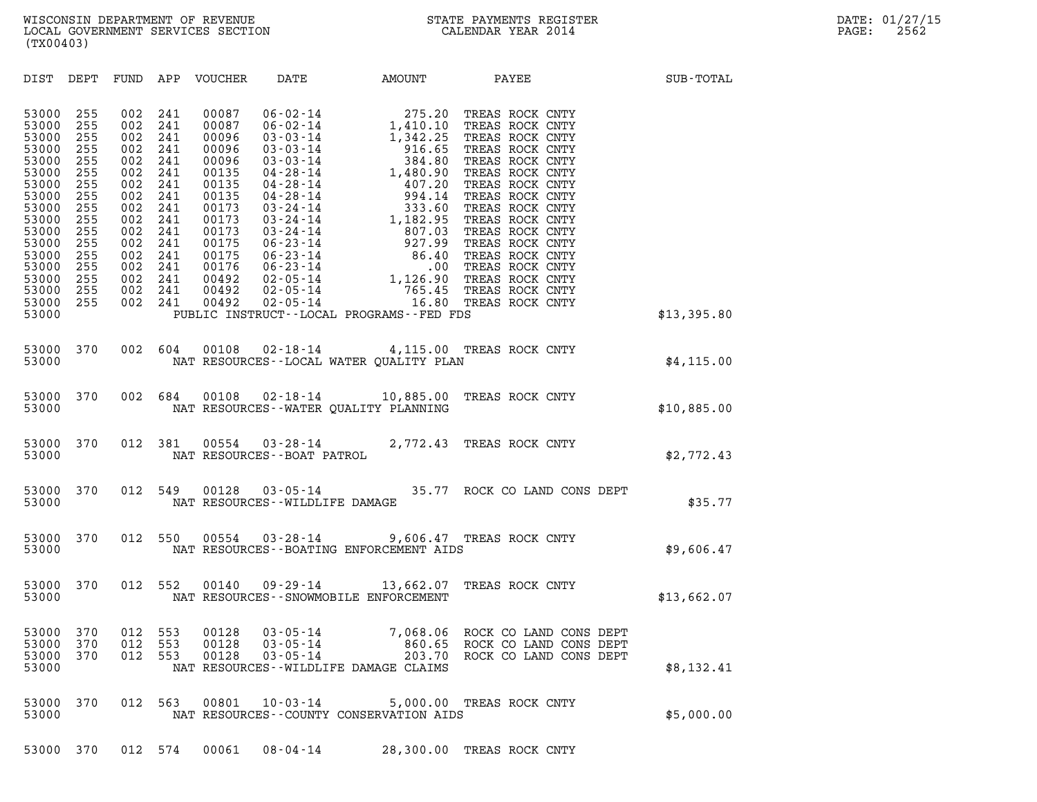| (TX00403)                                                                                                                                                                                                                                                                             |                                                                                                                                                                                                                                         |                                                                                                                                                       |                                                                              |                                                                            |             |
|---------------------------------------------------------------------------------------------------------------------------------------------------------------------------------------------------------------------------------------------------------------------------------------|-----------------------------------------------------------------------------------------------------------------------------------------------------------------------------------------------------------------------------------------|-------------------------------------------------------------------------------------------------------------------------------------------------------|------------------------------------------------------------------------------|----------------------------------------------------------------------------|-------------|
| DIST DEPT                                                                                                                                                                                                                                                                             | FUND<br>APP                                                                                                                                                                                                                             |                                                                                                                                                       |                                                                              | VOUCHER DATE AMOUNT PAYEE                                                  | SUB-TOTAL   |
| 53000<br>255<br>255<br>53000<br>53000<br>255<br>255<br>53000<br>53000<br>255<br>255<br>53000<br>53000<br>255<br>53000<br>255<br>53000<br>255<br>53000<br>255<br>53000<br>255<br>53000<br>255<br>53000<br>255<br>53000<br>255<br>53000<br>255<br>53000<br>255<br>53000<br>255<br>53000 | 002<br>241<br>002<br>241<br>002<br>241<br>002<br>241<br>002<br>241<br>002<br>241<br>002<br>241<br>002<br>241<br>002<br>241<br>002<br>241<br>002<br>241<br>002<br>241<br>002<br>241<br>002<br>241<br>002<br>241<br>002<br>241<br>002 241 | 00087<br>00087<br>00096<br>00096<br>00096<br>00135<br>00135<br>00135<br>00173<br>00173<br>00173<br>00175<br>00175<br>00176<br>00492<br>00492<br>00492 | PUBLIC INSTRUCT--LOCAL PROGRAMS--FED FDS                                     |                                                                            | \$13,395.80 |
| 370<br>53000<br>53000                                                                                                                                                                                                                                                                 | 002 604                                                                                                                                                                                                                                 | 00108                                                                                                                                                 | 02-18-14 4,115.00 TREAS ROCK CNTY<br>NAT RESOURCES--LOCAL WATER QUALITY PLAN |                                                                            | \$4, 115.00 |
| 370<br>53000<br>53000                                                                                                                                                                                                                                                                 | 002 684                                                                                                                                                                                                                                 | 00108<br>NAT RESOURCES--WATER QUALITY PLANNING                                                                                                        | 02-18-14 10,885.00 TREAS ROCK CNTY                                           |                                                                            | \$10,885.00 |
| 370<br>53000<br>53000                                                                                                                                                                                                                                                                 | 012<br>381                                                                                                                                                                                                                              | 00554<br>NAT RESOURCES - - BOAT PATROL                                                                                                                | 03-28-14 2,772.43 TREAS ROCK CNTY                                            |                                                                            | \$2,772.43  |
| 370<br>53000<br>53000                                                                                                                                                                                                                                                                 | 012<br>549                                                                                                                                                                                                                              | 00128<br>NAT RESOURCES - - WILDLIFE DAMAGE                                                                                                            |                                                                              | 03-05-14 35.77 ROCK CO LAND CONS DEPT                                      | \$35.77     |
| 53000<br>370<br>53000                                                                                                                                                                                                                                                                 | 012<br>550                                                                                                                                                                                                                              | 00554                                                                                                                                                 | 03-28-14 9,606.47 TREAS ROCK CNTY<br>NAT RESOURCES--BOATING ENFORCEMENT AIDS |                                                                            | \$9,606.47  |
| 370<br>53000<br>53000                                                                                                                                                                                                                                                                 | 012<br>552                                                                                                                                                                                                                              | 00140<br>NAT RESOURCES - - SNOWMOBILE ENFORCEMENT                                                                                                     | 09-29-14 13,662.07 TREAS ROCK CNTY                                           |                                                                            | \$13,662.07 |
| 53000<br>370<br>370<br>53000<br>53000<br>370<br>53000                                                                                                                                                                                                                                 | 012<br>553<br>012<br>553<br>012<br>553                                                                                                                                                                                                  | 00128<br>$03 - 05 - 14$<br>00128<br>$03 - 05 - 14$<br>00128<br>$03 - 05 - 14$<br>NAT RESOURCES - WILDLIFE DAMAGE CLAIMS                               | 7,068.06<br>860.65<br>203.70                                                 | ROCK CO LAND CONS DEPT<br>ROCK CO LAND CONS DEPT<br>ROCK CO LAND CONS DEPT | \$8,132.41  |
| 370<br>53000<br>53000                                                                                                                                                                                                                                                                 | 012<br>563                                                                                                                                                                                                                              | 00801<br>$10 - 03 - 14$                                                                                                                               | 5,000.00<br>NAT RESOURCES - COUNTY CONSERVATION AIDS                         | TREAS ROCK CNTY                                                            | \$5,000.00  |

53000 370 012 574 00061 08-04-14 28,300.00 TREAS ROCK CNTY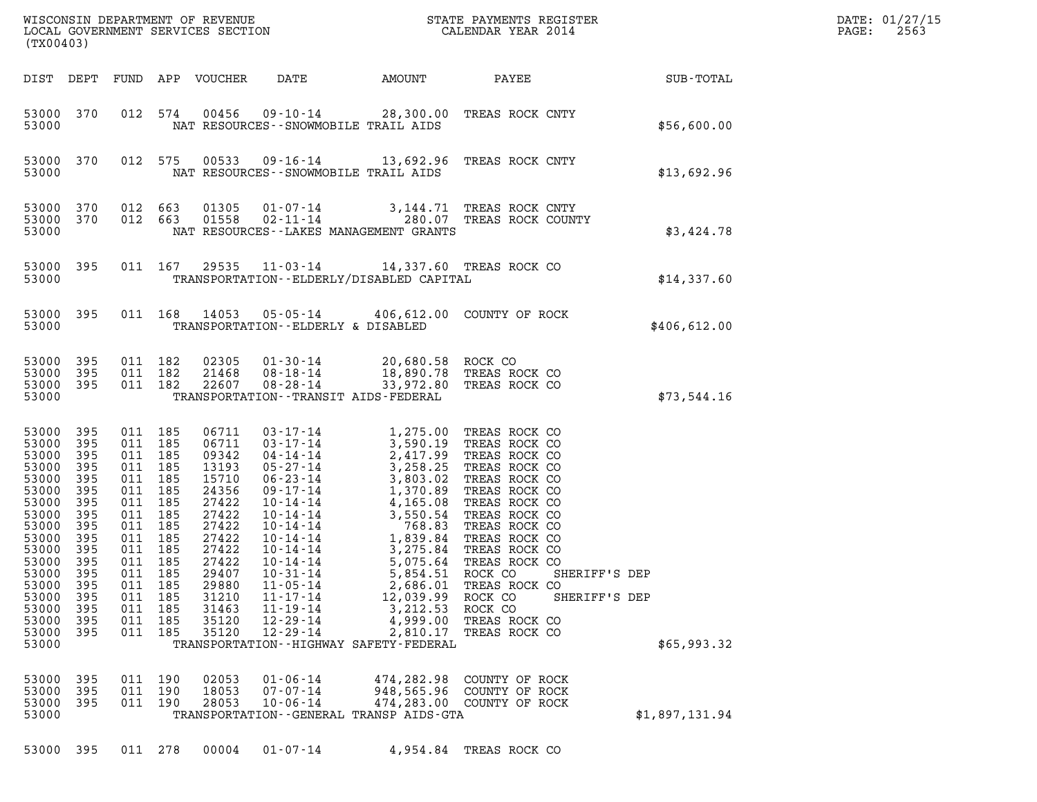| (TX00403)                                                                                                                                                                   |                                                                                                                     |                                                                                                                                        | DATE: 01/27/15<br>2563<br>PAGE:                                                                       |                                                                                                                                                                |                                                                                                                                                                |                                                                                                                                                                                                                                                                                                                                                                                                                   |                                                                                                                                            |                                               |  |
|-----------------------------------------------------------------------------------------------------------------------------------------------------------------------------|---------------------------------------------------------------------------------------------------------------------|----------------------------------------------------------------------------------------------------------------------------------------|-------------------------------------------------------------------------------------------------------|----------------------------------------------------------------------------------------------------------------------------------------------------------------|----------------------------------------------------------------------------------------------------------------------------------------------------------------|-------------------------------------------------------------------------------------------------------------------------------------------------------------------------------------------------------------------------------------------------------------------------------------------------------------------------------------------------------------------------------------------------------------------|--------------------------------------------------------------------------------------------------------------------------------------------|-----------------------------------------------|--|
| DIST DEPT                                                                                                                                                                   |                                                                                                                     |                                                                                                                                        |                                                                                                       | FUND APP VOUCHER                                                                                                                                               | DATE                                                                                                                                                           | AMOUNT                                                                                                                                                                                                                                                                                                                                                                                                            | <b>PAYEE</b> FOR THE PAYEE                                                                                                                 | SUB-TOTAL                                     |  |
| 53000 370<br>53000                                                                                                                                                          |                                                                                                                     |                                                                                                                                        | 012 574                                                                                               | 00456                                                                                                                                                          |                                                                                                                                                                | NAT RESOURCES - - SNOWMOBILE TRAIL AIDS                                                                                                                                                                                                                                                                                                                                                                           | 09-10-14 28,300.00 TREAS ROCK CNTY                                                                                                         | \$56,600.00                                   |  |
| 53000 370<br>53000                                                                                                                                                          |                                                                                                                     |                                                                                                                                        | 012 575                                                                                               | 00533                                                                                                                                                          |                                                                                                                                                                | NAT RESOURCES - - SNOWMOBILE TRAIL AIDS                                                                                                                                                                                                                                                                                                                                                                           | 09-16-14 13,692.96 TREAS ROCK CNTY                                                                                                         | \$13,692.96                                   |  |
| 53000 370<br>53000 370<br>53000                                                                                                                                             |                                                                                                                     | 012 663<br>012 663                                                                                                                     |                                                                                                       | 01305<br>01558                                                                                                                                                 |                                                                                                                                                                | NAT RESOURCES - - LAKES MANAGEMENT GRANTS                                                                                                                                                                                                                                                                                                                                                                         | 01-07-14 3,144.71 TREAS ROCK CNTY<br>02-11-14 280.07 TREAS ROCK COUNTY                                                                     | \$3,424.78                                    |  |
| 53000<br>53000                                                                                                                                                              | 395                                                                                                                 |                                                                                                                                        | 011 167                                                                                               |                                                                                                                                                                |                                                                                                                                                                | 29535 11-03-14 14,337.60 TREAS ROCK CO<br>TRANSPORTATION - - ELDERLY/DISABLED CAPITAL                                                                                                                                                                                                                                                                                                                             |                                                                                                                                            | \$14,337.60                                   |  |
| 53000<br>53000                                                                                                                                                              | 395                                                                                                                 |                                                                                                                                        | 011 168                                                                                               |                                                                                                                                                                | TRANSPORTATION--ELDERLY & DISABLED                                                                                                                             |                                                                                                                                                                                                                                                                                                                                                                                                                   | 14053  05-05-14  406,612.00  COUNTY OF ROCK                                                                                                | \$406,612.00                                  |  |
| 53000<br>53000<br>53000 395<br>53000                                                                                                                                        | 395<br>395                                                                                                          | 011 182<br>011 182<br>011 182                                                                                                          |                                                                                                       | 02305<br>21468<br>22607                                                                                                                                        | 01-30-14<br>08-18-14<br>$08 - 28 - 14$                                                                                                                         | 20,680.58 ROCK CO<br>TRANSPORTATION - - TRANSIT AIDS - FEDERAL                                                                                                                                                                                                                                                                                                                                                    | 18,890.78 TREAS ROCK CO<br>33,972.80 TREAS ROCK CO                                                                                         | \$73,544.16                                   |  |
| 53000<br>53000<br>53000<br>53000<br>53000<br>53000<br>53000<br>53000<br>53000<br>53000<br>53000<br>53000 395<br>53000<br>53000<br>53000<br>53000<br>53000<br>53000<br>53000 | 395<br>395<br>395<br>395<br>395<br>395<br>395<br>395<br>395<br>395<br>395<br>395<br>395<br>395<br>395<br>395<br>395 | 011 185<br>011 185<br>011<br>011<br>011<br>011<br>011<br>011<br>011<br>011<br>011<br>011 185<br>011<br>011<br>011<br>011<br>011<br>011 | 185<br>185<br>185<br>185<br>185<br>185<br>185<br>185<br>185<br>185<br>185<br>185<br>185<br>185<br>185 | 06711<br>06711<br>09342<br>13193<br>15710<br>24356<br>27422<br>27422<br>27422<br>27422<br>27422<br>27422<br>29407<br>29880<br>31210<br>31463<br>35120<br>35120 | $03 - 17 - 14$<br>$03 - 17 - 14$<br>$10 - 14 - 14$<br>$10 - 31 - 14$<br>$11 - 05 - 14$<br>$11 - 17 - 14$<br>$11 - 19 - 14$<br>$12 - 29 - 14$<br>$12 - 29 - 14$ | 03-17-14<br>04-14-14<br>05-27-14<br>06-27-14<br>06-27-14<br>06-23-14<br>06-23-14<br>06-23-14<br>06-23-14<br>07-14-14<br>1,370.89<br>TREAS ROCK CO<br>10-14-14<br>3,550.54<br>TREAS ROCK CO<br>10-14-14<br>768.83<br>TREAS ROCK CO<br>10-14-14<br>768.83<br>TREAS ROCK<br>5,075.64<br>5,854.51<br>2,686.01<br>12,039.99<br>3,212.53 ROCK CO<br>4,999.00<br>2,810.17<br>TRANSPORTATION - - HIGHWAY SAFETY - FEDERAL | 1,275.00 TREAS ROCK CO<br>3,590.19 TREAS ROCK CO<br>TREAS ROCK CO<br>ROCK CO<br>TREAS ROCK CO<br>ROCK CO<br>TREAS ROCK CO<br>TREAS ROCK CO | SHERIFF'S DEP<br>SHERIFF'S DEP<br>\$65,993.32 |  |
| 53000                                                                                                                                                                       | 395                                                                                                                 | 011 190                                                                                                                                |                                                                                                       | 02053                                                                                                                                                          | $01 - 06 - 14$                                                                                                                                                 |                                                                                                                                                                                                                                                                                                                                                                                                                   | 474,282.98 COUNTY OF ROCK                                                                                                                  |                                               |  |
| 53000<br>53000<br>53000                                                                                                                                                     | 395<br>395                                                                                                          | 011<br>011 190                                                                                                                         | 190                                                                                                   | 18053<br>28053                                                                                                                                                 | $07 - 07 - 14$<br>$10 - 06 - 14$                                                                                                                               | 948,565.96<br>TRANSPORTATION - - GENERAL TRANSP AIDS - GTA                                                                                                                                                                                                                                                                                                                                                        | COUNTY OF ROCK<br>474,283.00 COUNTY OF ROCK                                                                                                | \$1,897,131.94                                |  |
| 53000 395                                                                                                                                                                   |                                                                                                                     | 011 278                                                                                                                                |                                                                                                       | 00004                                                                                                                                                          | $01 - 07 - 14$                                                                                                                                                 |                                                                                                                                                                                                                                                                                                                                                                                                                   | 4,954.84 TREAS ROCK CO                                                                                                                     |                                               |  |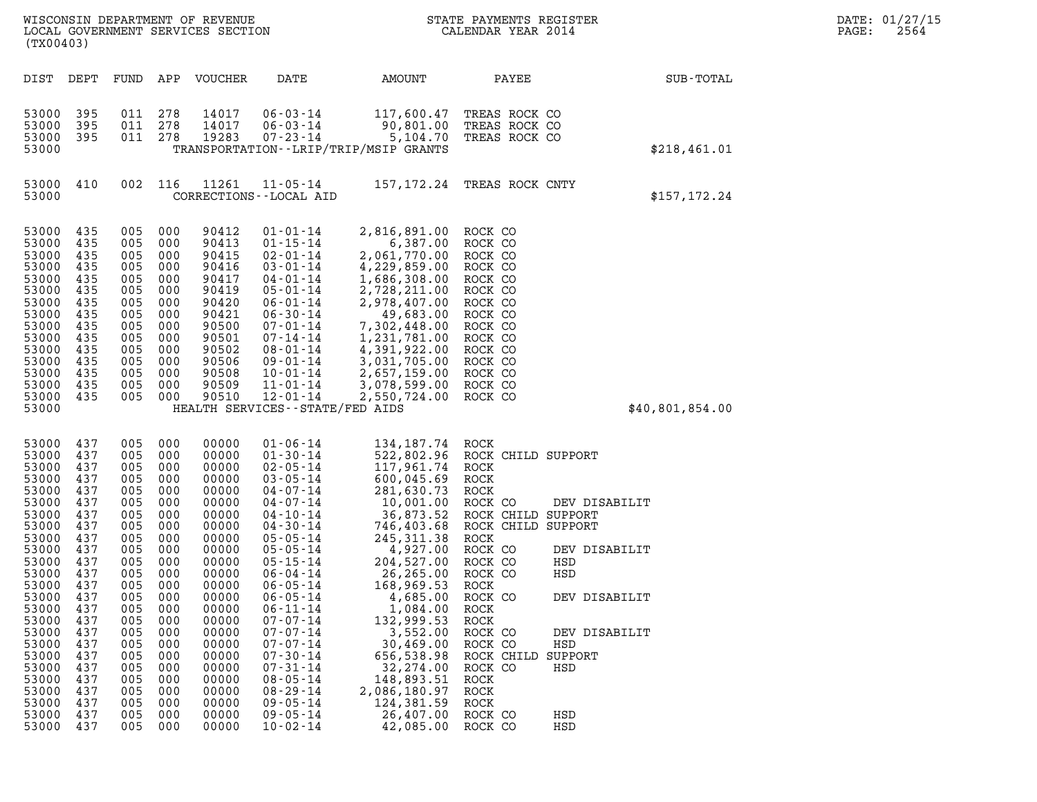| DATE: | 01/27/15 |
|-------|----------|
| PAGE: | 2564     |

| (TX00403)                                                                                                                                                                                                                |                                                                                                                                                               |                                                                                                                                                                          |                                                                                                                                                               | WISCONSIN DEPARTMENT OF REVENUE<br>LOCAL GOVERNMENT SERVICES SECTION                                                                                                                                                 |                                                                                                                                                                                                                                                                                                                                                                                                                                              |                                                                                                                                                                                                                                                                                                                                           | STATE PAYMENTS REGISTER<br>CALENDAR YEAR 2014                                                                                                                                                                                                                |                                                                                                                | DATE: 01/27/15<br>2564<br>PAGE: |  |
|--------------------------------------------------------------------------------------------------------------------------------------------------------------------------------------------------------------------------|---------------------------------------------------------------------------------------------------------------------------------------------------------------|--------------------------------------------------------------------------------------------------------------------------------------------------------------------------|---------------------------------------------------------------------------------------------------------------------------------------------------------------|----------------------------------------------------------------------------------------------------------------------------------------------------------------------------------------------------------------------|----------------------------------------------------------------------------------------------------------------------------------------------------------------------------------------------------------------------------------------------------------------------------------------------------------------------------------------------------------------------------------------------------------------------------------------------|-------------------------------------------------------------------------------------------------------------------------------------------------------------------------------------------------------------------------------------------------------------------------------------------------------------------------------------------|--------------------------------------------------------------------------------------------------------------------------------------------------------------------------------------------------------------------------------------------------------------|----------------------------------------------------------------------------------------------------------------|---------------------------------|--|
|                                                                                                                                                                                                                          |                                                                                                                                                               |                                                                                                                                                                          |                                                                                                                                                               |                                                                                                                                                                                                                      |                                                                                                                                                                                                                                                                                                                                                                                                                                              |                                                                                                                                                                                                                                                                                                                                           |                                                                                                                                                                                                                                                              |                                                                                                                |                                 |  |
| DIST                                                                                                                                                                                                                     | DEPT                                                                                                                                                          | FUND                                                                                                                                                                     | APP                                                                                                                                                           | VOUCHER                                                                                                                                                                                                              | DATE                                                                                                                                                                                                                                                                                                                                                                                                                                         | AMOUNT                                                                                                                                                                                                                                                                                                                                    | PAYEE                                                                                                                                                                                                                                                        |                                                                                                                | SUB-TOTAL                       |  |
| 53000<br>53000<br>53000<br>53000                                                                                                                                                                                         | 395<br>395<br>395                                                                                                                                             | 011<br>011<br>011                                                                                                                                                        | 278<br>278<br>278                                                                                                                                             | 14017<br>14017<br>19283                                                                                                                                                                                              | $06 - 03 - 14$<br>$06 - 03 - 14$<br>$07 - 23 - 14$                                                                                                                                                                                                                                                                                                                                                                                           | 117,600.47<br>90,801.00<br>5,104.70<br>TRANSPORTATION - - LRIP/TRIP/MSIP GRANTS                                                                                                                                                                                                                                                           | TREAS ROCK CO<br>TREAS ROCK CO<br>TREAS ROCK CO                                                                                                                                                                                                              |                                                                                                                | \$218,461.01                    |  |
| 53000<br>53000                                                                                                                                                                                                           | 410                                                                                                                                                           | 002                                                                                                                                                                      | 116                                                                                                                                                           | 11261                                                                                                                                                                                                                | $11 - 05 - 14$<br>CORRECTIONS - - LOCAL AID                                                                                                                                                                                                                                                                                                                                                                                                  | 157,172.24                                                                                                                                                                                                                                                                                                                                | TREAS ROCK CNTY                                                                                                                                                                                                                                              |                                                                                                                | \$157, 172.24                   |  |
| 53000<br>53000<br>53000<br>53000<br>53000<br>53000<br>53000<br>53000<br>53000<br>53000<br>53000<br>53000<br>53000<br>53000<br>53000<br>53000                                                                             | 435<br>435<br>435<br>435<br>435<br>435<br>435<br>435<br>435<br>435<br>435<br>435<br>435<br>435<br>435                                                         | 005<br>005<br>005<br>005<br>005<br>005<br>005<br>005<br>005<br>005<br>005<br>005<br>005<br>005<br>005                                                                    | 000<br>000<br>000<br>000<br>000<br>000<br>000<br>000<br>000<br>000<br>000<br>000<br>000<br>000<br>000                                                         | 90412<br>90413<br>90415<br>90416<br>90417<br>90419<br>90420<br>90421<br>90500<br>90501<br>90502<br>90506<br>90508<br>90509<br>90510                                                                                  | $01 - 01 - 14$<br>$01 - 15 - 14$<br>$02 - 01 - 14$<br>$03 - 01 - 14$<br>$04 - 01 - 14$<br>$05 - 01 - 14$<br>$06 - 01 - 14$<br>$06 - 30 - 14$<br>$07 - 01 - 14$<br>$07 - 14 - 14$<br>$08 - 01 - 14$<br>$09 - 01 - 14$<br>$10 - 01 - 14$<br>$11 - 01 - 14$<br>$12 - 01 - 14$<br>HEALTH SERVICES - - STATE/FED AIDS                                                                                                                             | 2,816,891.00<br>6,387.00<br>2,061,770.00<br>4,229,859.00<br>1,686,308.00<br>2,728,211.00<br>2,978,407.00<br>49,683.00<br>7,302,448.00<br>1,231,781.00<br>4,391,922.00<br>3,031,705.00<br>2,657,159.00<br>3,078,599.00<br>2,550,724.00                                                                                                     | ROCK CO<br>ROCK CO<br>ROCK CO<br>ROCK CO<br>ROCK CO<br>ROCK CO<br>ROCK CO<br>ROCK CO<br>ROCK CO<br>ROCK CO<br>ROCK CO<br>ROCK CO<br>ROCK CO<br>ROCK CO<br>ROCK CO                                                                                            |                                                                                                                | \$40,801,854.00                 |  |
| 53000<br>53000<br>53000<br>53000<br>53000<br>53000<br>53000<br>53000<br>53000<br>53000<br>53000<br>53000<br>53000<br>53000<br>53000<br>53000<br>53000<br>53000<br>53000<br>53000<br>53000<br>53000<br>53000<br>53000 437 | 437<br>437<br>437<br>437<br>437<br>437<br>437<br>437<br>437<br>437<br>437<br>437<br>437<br>437<br>437<br>437<br>437<br>437<br>437<br>437<br>437<br>437<br>437 | 005<br>005<br>005<br>005<br>005<br>005<br>005<br>005<br>005<br>005<br>005<br>005<br>005<br>005<br>005<br>005<br>005<br>005<br>005<br>005<br>005<br>005<br>005<br>005 000 | 000<br>000<br>000<br>000<br>000<br>000<br>000<br>000<br>000<br>000<br>000<br>000<br>000<br>000<br>000<br>000<br>000<br>000<br>000<br>000<br>000<br>000<br>000 | 00000<br>00000<br>00000<br>00000<br>00000<br>00000<br>00000<br>00000<br>00000<br>00000<br>00000<br>00000<br>00000<br>00000<br>00000<br>00000<br>00000<br>00000<br>00000<br>00000<br>00000<br>00000<br>00000<br>00000 | $01 - 06 - 14$<br>$01 - 30 - 14$<br>$02 - 05 - 14$<br>$03 - 05 - 14$<br>$04 - 07 - 14$<br>$04 - 07 - 14$<br>$04 - 10 - 14$<br>$04 - 30 - 14$<br>$05 - 05 - 14$<br>$05 - 05 - 14$<br>$05 - 15 - 14$<br>$06 - 04 - 14$<br>$06 - 05 - 14$<br>$06 - 05 - 14$<br>$06 - 11 - 14$<br>$07 - 07 - 14$<br>$07 - 07 - 14$<br>$07 - 07 - 14$<br>$07 - 30 - 14$<br>$07 - 31 - 14$<br>$08 - 05 - 14$<br>$08 - 29 - 14$<br>$09 - 05 - 14$<br>$09 - 05 - 14$ | 134,187.74<br>522,802.96<br>117,961.74<br>600,045.69<br>281,630.73<br>10,001.00<br>36,873.52<br>746,403.68<br>245, 311.38<br>4,927.00<br>204,527.00<br>26,265.00<br>168,969.53<br>4,685.00<br>1,084.00<br>132,999.53<br>3,552.00<br>30,469.00<br>656,538.98<br>32,274.00<br>148,893.51<br>2,086,180.97<br>124,381.59<br>26,407,00 ROCK CO | ROCK<br>ROCK CHILD SUPPORT<br>ROCK<br>ROCK<br>ROCK<br>ROCK CO<br>ROCK CHILD SUPPORT<br>ROCK CHILD SUPPORT<br>ROCK<br>ROCK CO<br>ROCK CO<br>ROCK CO<br>ROCK<br>ROCK CO<br>ROCK<br>ROCK<br>ROCK CO<br>ROCK CO<br>ROCK CHILD<br>ROCK CO<br>ROCK<br>ROCK<br>ROCK | DEV DISABILIT<br>DEV DISABILIT<br>HSD<br>HSD<br>DEV DISABILIT<br>DEV DISABILIT<br>HSD<br>SUPPORT<br>HSD<br>HSD |                                 |  |

53000 437 005 000 00000 08-05-14 148,893.51 ROCK<br>53000 437 005 000 00000 08-29-14 2,086,180.97 ROCK<br>53000 437 005 000 00000 09-05-14 2,086,180.59 ROCK<br>53000 437 005 000 00000 09-05-14 26,407.00 ROCK CO HSD<br>53000 437 005 00 53000 437 005 000 00000 08-29-14 2,086,180.97 ROCK<br>53000 437 005 000 00000 09-05-14 124,381.59 ROCK<br>53000 437 005 000 00000 09-05-14 26,407.00 ROCK CO HSD<br>53000 437 005 000 00000 10-02-14 42,085.00 ROCK CO HSD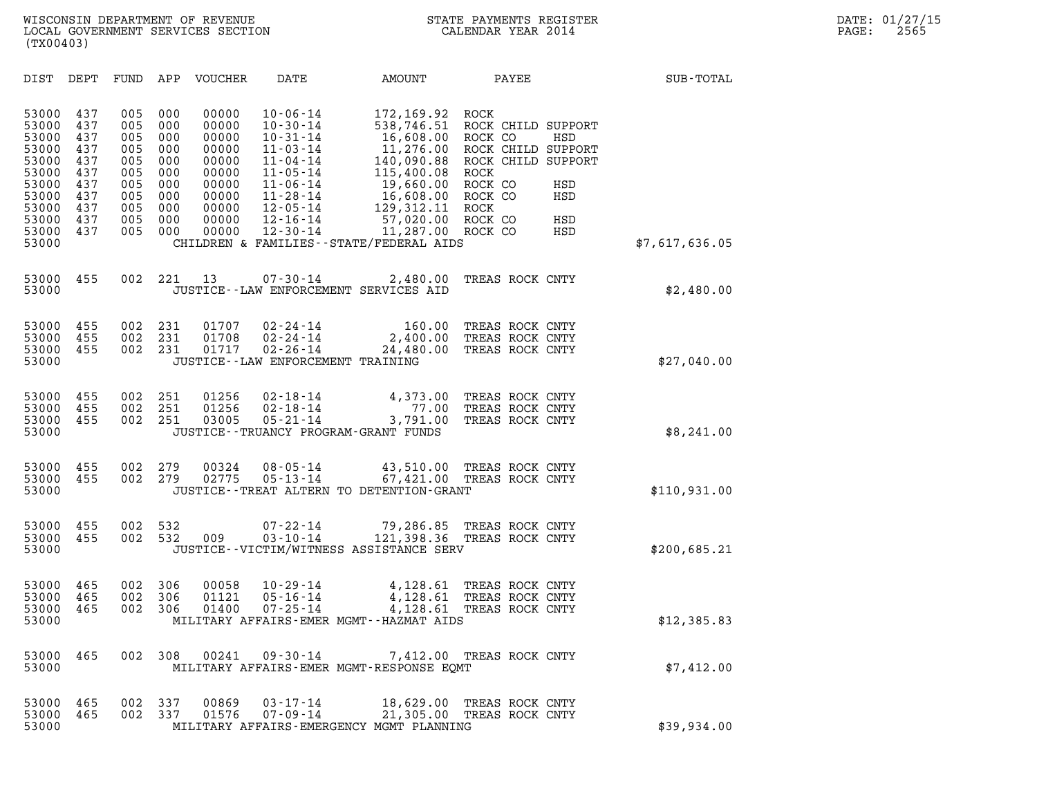| (TX00403)                                                                                                |                                                                           |                                                                           |                                                                           |                                                                                                 |                                                                                                                                                                                                    |                                                                                                                                                                                                          |                                                                                                                                   |                                            |                |
|----------------------------------------------------------------------------------------------------------|---------------------------------------------------------------------------|---------------------------------------------------------------------------|---------------------------------------------------------------------------|-------------------------------------------------------------------------------------------------|----------------------------------------------------------------------------------------------------------------------------------------------------------------------------------------------------|----------------------------------------------------------------------------------------------------------------------------------------------------------------------------------------------------------|-----------------------------------------------------------------------------------------------------------------------------------|--------------------------------------------|----------------|
| DIST                                                                                                     | DEPT                                                                      | FUND                                                                      | APP                                                                       | VOUCHER                                                                                         | DATE                                                                                                                                                                                               | AMOUNT                                                                                                                                                                                                   | PAYEE                                                                                                                             |                                            | SUB-TOTAL      |
| 53000<br>53000<br>53000<br>53000<br>53000<br>53000<br>53000<br>53000<br>53000<br>53000<br>53000<br>53000 | 437<br>437<br>437<br>437<br>437<br>437<br>437<br>437<br>437<br>437<br>437 | 005<br>005<br>005<br>005<br>005<br>005<br>005<br>005<br>005<br>005<br>005 | 000<br>000<br>000<br>000<br>000<br>000<br>000<br>000<br>000<br>000<br>000 | 00000<br>00000<br>00000<br>00000<br>00000<br>00000<br>00000<br>00000<br>00000<br>00000<br>00000 | $10 - 06 - 14$<br>$10 - 30 - 14$<br>$10 - 31 - 14$<br>$11 - 03 - 14$<br>$11 - 04 - 14$<br>$11 - 05 - 14$<br>$11 - 06 - 14$<br>$11 - 28 - 14$<br>$12 - 05 - 14$<br>$12 - 16 - 14$<br>$12 - 30 - 14$ | 172,169.92<br>538,746.51<br>16,608.00<br>11,276.00<br>140,090.88<br>115,400.08<br>19,660.00<br>16,608.00<br>129, 312. 11<br>57,020.00 ROCK CO<br>11,287.00<br>CHILDREN & FAMILIES - - STATE/FEDERAL AIDS | ROCK<br>ROCK CHILD SUPPORT<br>ROCK CO<br>ROCK CHILD SUPPORT<br>ROCK CHILD<br><b>ROCK</b><br>ROCK CO<br>ROCK CO<br>ROCK<br>ROCK CO | HSD<br>SUPPORT<br>HSD<br>HSD<br>HSD<br>HSD | \$7,617,636.05 |
| 53000<br>53000                                                                                           | 455                                                                       | 002                                                                       | 221                                                                       | 13                                                                                              | $07 - 30 - 14$                                                                                                                                                                                     | 2,480.00<br>JUSTICE--LAW ENFORCEMENT SERVICES AID                                                                                                                                                        | TREAS ROCK CNTY                                                                                                                   |                                            | \$2,480.00     |
| 53000<br>53000<br>53000<br>53000                                                                         | 455<br>455<br>455                                                         | 002<br>002<br>002                                                         | 231<br>231<br>231                                                         | 01707<br>01708<br>01717                                                                         | $02 - 24 - 14$<br>$02 - 24 - 14$<br>$02 - 26 - 14$<br>JUSTICE - - LAW ENFORCEMENT TRAINING                                                                                                         | 160.00<br>2,400.00<br>24,480.00                                                                                                                                                                          | TREAS ROCK CNTY<br>TREAS ROCK CNTY<br>TREAS ROCK CNTY                                                                             |                                            | \$27,040.00    |
| 53000<br>53000<br>53000<br>53000                                                                         | 455<br>455<br>455                                                         | 002<br>002<br>002                                                         | 251<br>251<br>251                                                         | 01256<br>01256<br>03005                                                                         | $02 - 18 - 14$<br>$02 - 18 - 14$<br>$05 - 21 - 14$                                                                                                                                                 | 4,373.00<br>77.00<br>3,791.00<br>JUSTICE - - TRUANCY PROGRAM - GRANT FUNDS                                                                                                                               | TREAS ROCK CNTY<br>TREAS ROCK CNTY<br>TREAS ROCK CNTY                                                                             |                                            | \$8,241.00     |
| 53000<br>53000<br>53000                                                                                  | 455<br>455                                                                | 002<br>002                                                                | 279<br>279                                                                | 00324<br>02775                                                                                  | $08 - 05 - 14$<br>$05 - 13 - 14$                                                                                                                                                                   | JUSTICE - TREAT ALTERN TO DETENTION - GRANT                                                                                                                                                              | 43,510.00 TREAS ROCK CNTY<br>67,421.00 TREAS ROCK CNTY                                                                            |                                            | \$110,931.00   |
| 53000<br>53000<br>53000                                                                                  | 455<br>455                                                                | 002<br>002                                                                | 532<br>532                                                                | 009                                                                                             | $07 - 22 - 14$<br>$03 - 10 - 14$                                                                                                                                                                   | 121,398.36<br>JUSTICE - - VICTIM/WITNESS ASSISTANCE SERV                                                                                                                                                 | 79,286.85 TREAS ROCK CNTY<br>TREAS ROCK CNTY                                                                                      |                                            | \$200,685.21   |
| 53000<br>53000<br>53000<br>53000                                                                         | 465<br>465<br>465                                                         | 002<br>002<br>002                                                         | 306<br>306<br>306                                                         | 00058<br>01121<br>01400                                                                         | $10 - 29 - 14$<br>$05 - 16 - 14$<br>$07 - 25 - 14$                                                                                                                                                 | 4,128.61<br>4,128.61<br>4,128.61<br>MILITARY AFFAIRS-EMER MGMT--HAZMAT AIDS                                                                                                                              | TREAS ROCK CNTY<br>TREAS ROCK CNTY<br>TREAS ROCK CNTY                                                                             |                                            | \$12,385.83    |
| 53000<br>53000                                                                                           | 465                                                                       | 002                                                                       | 308                                                                       | 00241                                                                                           | 09-30-14                                                                                                                                                                                           | MILITARY AFFAIRS-EMER MGMT-RESPONSE EQMT                                                                                                                                                                 | 7,412.00 TREAS ROCK CNTY                                                                                                          |                                            | \$7,412.00     |
| 53000<br>53000<br>53000                                                                                  | 465<br>465                                                                | 002<br>002                                                                | 337<br>337                                                                | 00869<br>01576                                                                                  | $03 - 17 - 14$<br>$07 - 09 - 14$                                                                                                                                                                   | MILITARY AFFAIRS-EMERGENCY MGMT PLANNING                                                                                                                                                                 | 18,629.00 TREAS ROCK CNTY<br>21,305.00 TREAS ROCK CNTY                                                                            |                                            | \$39,934.00    |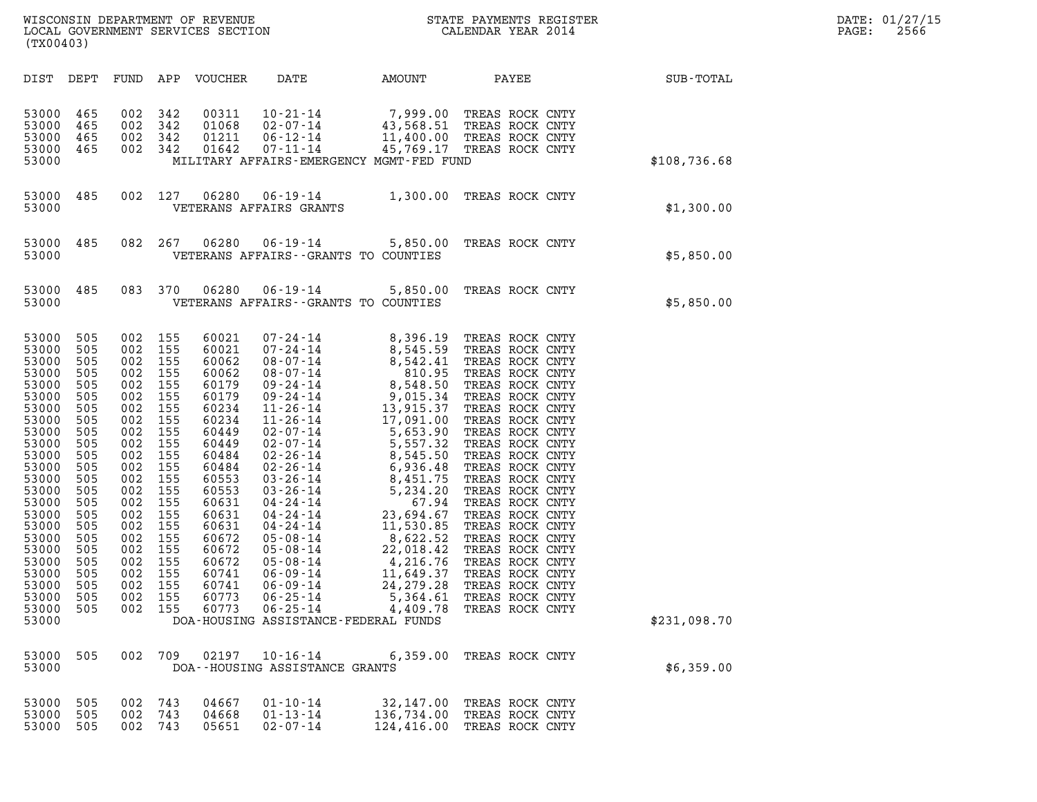| WISCONSIN DEPARTMENT OF REVENUE   | STATE PAYMENTS REGISTER | DATE: 01/27/15 |
|-----------------------------------|-------------------------|----------------|
| LOCAL GOVERNMENT SERVICES SECTION | CALENDAR YEAR 2014      | 2566<br>PAGE:  |

| WISCONSIN DEPARTMENT OF REVENUE<br>LOCAL GOVERNMENT SERVICES SECTION<br>(TYOO402)<br>(TX00403)                                                                                                                       |                                                                                                                                                                            |                                                                           |                                                                                                                                                                                         |                                                                                                                                                                                                                      |                                                    |                                                                                                                                                                                                 |                                                         |                                                             | DATE: 01/27/15<br>$\mathtt{PAGE:}$<br>2566 |
|----------------------------------------------------------------------------------------------------------------------------------------------------------------------------------------------------------------------|----------------------------------------------------------------------------------------------------------------------------------------------------------------------------|---------------------------------------------------------------------------|-----------------------------------------------------------------------------------------------------------------------------------------------------------------------------------------|----------------------------------------------------------------------------------------------------------------------------------------------------------------------------------------------------------------------|----------------------------------------------------|-------------------------------------------------------------------------------------------------------------------------------------------------------------------------------------------------|---------------------------------------------------------|-------------------------------------------------------------|--------------------------------------------|
|                                                                                                                                                                                                                      |                                                                                                                                                                            |                                                                           |                                                                                                                                                                                         |                                                                                                                                                                                                                      |                                                    |                                                                                                                                                                                                 |                                                         | DIST DEPT FUND APP VOUCHER DATE AMOUNT PAYEE PATE SUB-TOTAL |                                            |
| 53000<br>53000<br>53000<br>53000<br>53000                                                                                                                                                                            | 465<br>465<br>465<br>465                                                                                                                                                   |                                                                           | 002 342<br>002 342<br>002 342<br>002 342                                                                                                                                                | 00311<br>01068<br>01211<br>01642                                                                                                                                                                                     |                                                    | 10-21-14 7,999.00 TREAS ROCK CNTY<br>02-07-14 43,568.51 TREAS ROCK CNTY<br>06-12-14 11,400.00 TREAS ROCK CNTY<br>07-11-14 45,769.17 TREAS ROCK CNTY<br>MILITARY AFFAIRS-EMERGENCY MGMT-FED FUND |                                                         | \$108,736.68                                                |                                            |
| 53000                                                                                                                                                                                                                |                                                                                                                                                                            |                                                                           |                                                                                                                                                                                         |                                                                                                                                                                                                                      | VETERANS AFFAIRS GRANTS                            | 53000 485 002 127 06280 06-19-14 1,300.00 TREAS ROCK CNTY                                                                                                                                       |                                                         | \$1,300.00                                                  |                                            |
| 53000                                                                                                                                                                                                                |                                                                                                                                                                            |                                                                           |                                                                                                                                                                                         |                                                                                                                                                                                                                      |                                                    | 53000 485 082 267 06280 06-19-14 5,850.00 TREAS ROCK CNTY<br>VETERANS AFFAIRS--GRANTS TO COUNTIES                                                                                               |                                                         | \$5,850.00                                                  |                                            |
| 53000                                                                                                                                                                                                                |                                                                                                                                                                            |                                                                           |                                                                                                                                                                                         |                                                                                                                                                                                                                      |                                                    | 53000 485 083 370 06280 06-19-14 5,850.00 TREAS ROCK CNTY<br>VETERANS AFFAIRS -- GRANTS TO COUNTIES                                                                                             |                                                         | \$5,850.00                                                  |                                            |
| 53000<br>53000<br>53000<br>53000<br>53000<br>53000<br>53000<br>53000<br>53000<br>53000<br>53000<br>53000<br>53000<br>53000<br>53000<br>53000<br>53000<br>53000<br>53000<br>53000<br>53000<br>53000<br>53000<br>53000 | 53000 505<br>505<br>505<br>505<br>505<br>505<br>505<br>505<br>505<br>505<br>505<br>505<br>505<br>505<br>505<br>505<br>505<br>505<br>505<br>505<br>505<br>505<br>505<br>505 | 002 155<br>002 155<br>002 155<br>002 155<br>002 155<br>002 155<br>002 155 | 002 155<br>002 155<br>002 155<br>002 155<br>002 155<br>002 155<br>002 155<br>002 155<br>002 155<br>002 155<br>002 155<br>002 155<br>002 155<br>002 155<br>002 155<br>002 155<br>002 155 | 60021<br>60021<br>60062<br>60062<br>60179<br>60179<br>60234<br>60234<br>60449<br>60449<br>60484<br>60484<br>60553<br>60553<br>60631<br>60631<br>60631<br>60672<br>60672<br>60672<br>60741<br>60741<br>60773<br>60773 | $06 - 09 - 14$<br>$06 - 25 - 14$<br>$06 - 25 - 14$ | 24, 279. 28<br>5,364.61<br>4,409.78<br>DOA-HOUSING ASSISTANCE-FEDERAL FUNDS                                                                                                                     | TREAS ROCK CNTY<br>TREAS ROCK CNTY<br>TREAS ROCK CNTY   | \$231,098.70                                                |                                            |
| 53000 505<br>53000                                                                                                                                                                                                   |                                                                                                                                                                            |                                                                           | 002 709                                                                                                                                                                                 | 02197                                                                                                                                                                                                                | $10 - 16 - 14$<br>DOA--HOUSING ASSISTANCE GRANTS   |                                                                                                                                                                                                 | 6,359.00 TREAS ROCK CNTY                                | \$6,359.00                                                  |                                            |
| 53000 505<br>53000 505                                                                                                                                                                                               |                                                                                                                                                                            |                                                                           | 002 743<br>002 743                                                                                                                                                                      | 04667                                                                                                                                                                                                                | $01 - 10 - 14$<br>04668 01-13-14                   |                                                                                                                                                                                                 | 32,147.00 TREAS ROCK CNTY<br>136.734.00 TREAS ROCK CNTY |                                                             |                                            |

| 53000 505 002 743<br>53000 505 002 743<br>53000 505 | 002 743 | 04668 | 04667 01-10-14<br>01-13-14<br>05651 02-07-14 | 32,147.00 TREAS ROCK CNTY<br>136,734.00 TREAS ROCK CNTY<br>124,416.00 TREAS ROCK CNTY |
|-----------------------------------------------------|---------|-------|----------------------------------------------|---------------------------------------------------------------------------------------|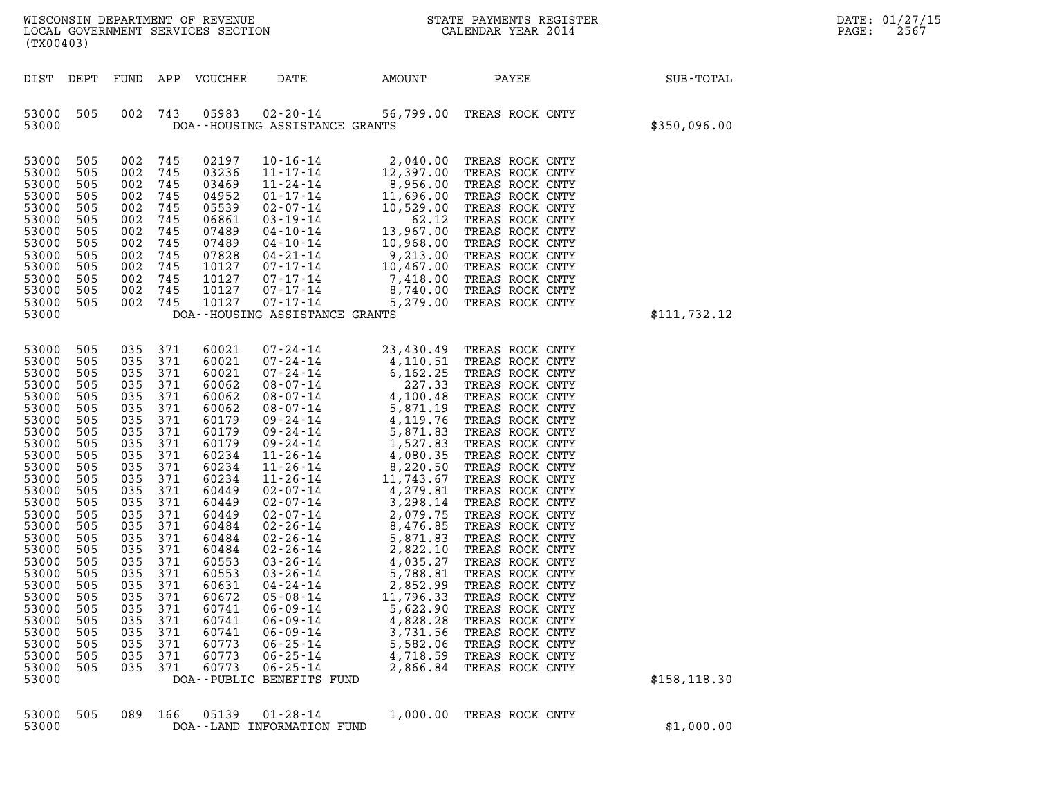| (TX00403)                                                                                                                                                                                                                                                         |                                                                                                                                                                                                  |                                                                                                                                                                                                      |                                                                                                                                                                                           |                                                                                                                                                                                                                                                          |                                                                                                                                                                                                                                                                                                                                                                                                                                                                                                                                                                                                    |                                                                                                                                    |                                                                                                                                                                                                                                                                                                                                                                                                                                                                                                                                                  |               | DATE: 01/27/15<br>PAGE:<br>2567 |
|-------------------------------------------------------------------------------------------------------------------------------------------------------------------------------------------------------------------------------------------------------------------|--------------------------------------------------------------------------------------------------------------------------------------------------------------------------------------------------|------------------------------------------------------------------------------------------------------------------------------------------------------------------------------------------------------|-------------------------------------------------------------------------------------------------------------------------------------------------------------------------------------------|----------------------------------------------------------------------------------------------------------------------------------------------------------------------------------------------------------------------------------------------------------|----------------------------------------------------------------------------------------------------------------------------------------------------------------------------------------------------------------------------------------------------------------------------------------------------------------------------------------------------------------------------------------------------------------------------------------------------------------------------------------------------------------------------------------------------------------------------------------------------|------------------------------------------------------------------------------------------------------------------------------------|--------------------------------------------------------------------------------------------------------------------------------------------------------------------------------------------------------------------------------------------------------------------------------------------------------------------------------------------------------------------------------------------------------------------------------------------------------------------------------------------------------------------------------------------------|---------------|---------------------------------|
| DIST DEPT                                                                                                                                                                                                                                                         |                                                                                                                                                                                                  |                                                                                                                                                                                                      |                                                                                                                                                                                           | FUND APP VOUCHER                                                                                                                                                                                                                                         | DATE                                                                                                                                                                                                                                                                                                                                                                                                                                                                                                                                                                                               | AMOUNT                                                                                                                             | PAYEE                                                                                                                                                                                                                                                                                                                                                                                                                                                                                                                                            | SUB-TOTAL     |                                 |
| 53000 505<br>53000                                                                                                                                                                                                                                                |                                                                                                                                                                                                  | 002                                                                                                                                                                                                  | 743                                                                                                                                                                                       | 05983                                                                                                                                                                                                                                                    | DOA--HOUSING ASSISTANCE GRANTS                                                                                                                                                                                                                                                                                                                                                                                                                                                                                                                                                                     |                                                                                                                                    | 02-20-14 56,799.00 TREAS ROCK CNTY                                                                                                                                                                                                                                                                                                                                                                                                                                                                                                               | \$350,096.00  |                                 |
| 53000<br>53000<br>53000<br>53000<br>53000<br>53000<br>53000<br>53000<br>53000<br>53000<br>53000<br>53000<br>53000<br>53000                                                                                                                                        | 505<br>505<br>505<br>505<br>505<br>505<br>505<br>505<br>505<br>505<br>505<br>505<br>505                                                                                                          | 002<br>002<br>002<br>002<br>002<br>002<br>002<br>002<br>002<br>002<br>002<br>002<br>002 745                                                                                                          | 745<br>745<br>745<br>745<br>745<br>745<br>745<br>745<br>745<br>745<br>745<br>745                                                                                                          | 02197<br>03236<br>03469<br>04952<br>05539<br>06861<br>07489<br>07489<br>07828<br>10127<br>10127<br>10127<br>10127                                                                                                                                        | $10 - 16 - 14$<br>$11 - 17 - 14$<br>$11 - 24 - 14$<br>$11 - 24 - 14$<br>$01 - 17 - 14$<br>$11, 696.00$<br>$02 - 07 - 14$<br>$03 - 19 - 14$<br>$10, 529.00$<br>$03 - 19 - 14$<br>$13, 967.00$<br>$04 - 10 - 14$<br>$13, 967.00$<br>$04 - 21 - 14$<br>$10, 968.00$<br>$07 - 17 - 14$<br>$10, 467.00$<br>$07 - 17 - 14$<br>$07 - 17 - 14$<br>DOA--HOUSING ASSISTANCE GRANTS                                                                                                                                                                                                                           | 2,040.00<br>12,397.00<br>5,279.00                                                                                                  | TREAS ROCK CNTY<br>TREAS ROCK CNTY<br>TREAS ROCK CNTY<br>TREAS ROCK CNTY<br>TREAS ROCK CNTY<br>TREAS ROCK CNTY<br>TREAS ROCK CNTY<br>TREAS ROCK CNTY<br>TREAS ROCK CNTY<br>TREAS ROCK CNTY<br>TREAS ROCK CNTY<br>TREAS ROCK CNTY<br>TREAS ROCK CNTY                                                                                                                                                                                                                                                                                              | \$111,732.12  |                                 |
| 53000<br>53000<br>53000<br>53000<br>53000<br>53000<br>53000<br>53000<br>53000<br>53000<br>53000<br>53000<br>53000<br>53000<br>53000<br>53000<br>53000<br>53000<br>53000<br>53000<br>53000<br>53000<br>53000<br>53000<br>53000<br>53000<br>53000<br>53000<br>53000 | 505<br>505<br>505<br>505<br>505<br>505<br>505<br>505<br>505<br>505<br>505<br>505<br>505<br>505<br>505<br>505<br>505<br>505<br>505<br>505<br>505<br>505<br>505<br>505<br>505<br>505<br>505<br>505 | 035<br>035<br>035<br>035<br>035<br>035<br>035<br>035<br>035<br>035<br>035<br>035<br>035<br>035<br>035<br>035<br>035<br>035<br>035 371<br>035<br>035<br>035<br>035<br>035<br>035<br>035<br>035<br>035 | 371<br>371<br>371<br>371<br>371<br>371<br>371<br>371<br>371<br>371<br>371<br>371<br>371<br>371<br>371<br>371<br>371<br>371<br>371<br>371<br>371<br>371<br>371<br>371<br>371<br>371<br>371 | 60021<br>60021<br>60021<br>60062<br>60062<br>60062<br>60179<br>60179<br>60179<br>60234<br>60234<br>60234<br>60449<br>60449<br>60449<br>60484<br>60484<br>60484<br>60553<br>60553<br>60631<br>60672<br>60741<br>60741<br>60741<br>60773<br>60773<br>60773 | 07-24-14<br>$\begin{array}{cccc} 07\text{-}24\text{-}14 & 23\text{-}430\text{-}49 \\ 07\text{-}24\text{-}14 & 4\text{-}110\text{-}51 \\ 07\text{-}24\text{-}14 & 6\text{-}162\text{-}25 \\ 08\text{-}07\text{-}14 & 227\text{-}33 \\ 08\text{-}07\text{-}14 & 5\text{-}811\text{-}9 \\ 08\text{-}07\text{-}14 & 5\text{-}871\text{-}19 \\ 09\text{-}24\text{-}14 & 4\text{-}100\$<br>$03 - 26 - 14$<br>$03 - 26 - 14$<br>$04 - 24 - 14$<br>$05 - 08 - 14$<br>$06 - 09 - 14$<br>$06 - 09 - 14$<br>$06 - 09 - 14$<br>$06 - 25 - 14$<br>$06 - 25 - 14$<br>$06 - 25 - 14$<br>DOA--PUBLIC BENEFITS FUND | 23,430.49<br>4,035.27<br>5,788.81<br>2,852.99<br>11,796.33<br>5,622.90<br>4,828.28<br>3,731.56<br>5,582.06<br>4,718.59<br>2,866.84 | TREAS ROCK CNTY<br>TREAS ROCK CNTY<br>TREAS ROCK CNTY<br>TREAS ROCK CNTY<br>TREAS ROCK CNTY<br>TREAS ROCK CNTY<br>TREAS ROCK CNTY<br>TREAS ROCK CNTY<br>TREAS ROCK CNTY<br>TREAS ROCK CNTY<br>TREAS ROCK CNTY<br>TREAS ROCK CNTY<br>TREAS ROCK CNTY<br>TREAS ROCK CNTY<br>TREAS ROCK CNTY<br>TREAS ROCK CNTY<br>TREAS ROCK CNTY<br>TREAS ROCK CNTY<br>TREAS ROCK CNTY<br>TREAS ROCK CNTY<br>TREAS ROCK CNTY<br>TREAS ROCK CNTY<br>TREAS ROCK CNTY<br>TREAS ROCK CNTY<br>TREAS ROCK CNTY<br>TREAS ROCK CNTY<br>TREAS ROCK CNTY<br>TREAS ROCK CNTY | \$158, 118.30 |                                 |
| 53000<br>53000                                                                                                                                                                                                                                                    | 505                                                                                                                                                                                              | 089                                                                                                                                                                                                  | 166                                                                                                                                                                                       | 05139                                                                                                                                                                                                                                                    | $01 - 28 - 14$<br>DOA--LAND INFORMATION FUND                                                                                                                                                                                                                                                                                                                                                                                                                                                                                                                                                       | 1,000.00                                                                                                                           | TREAS ROCK CNTY                                                                                                                                                                                                                                                                                                                                                                                                                                                                                                                                  | \$1,000.00    |                                 |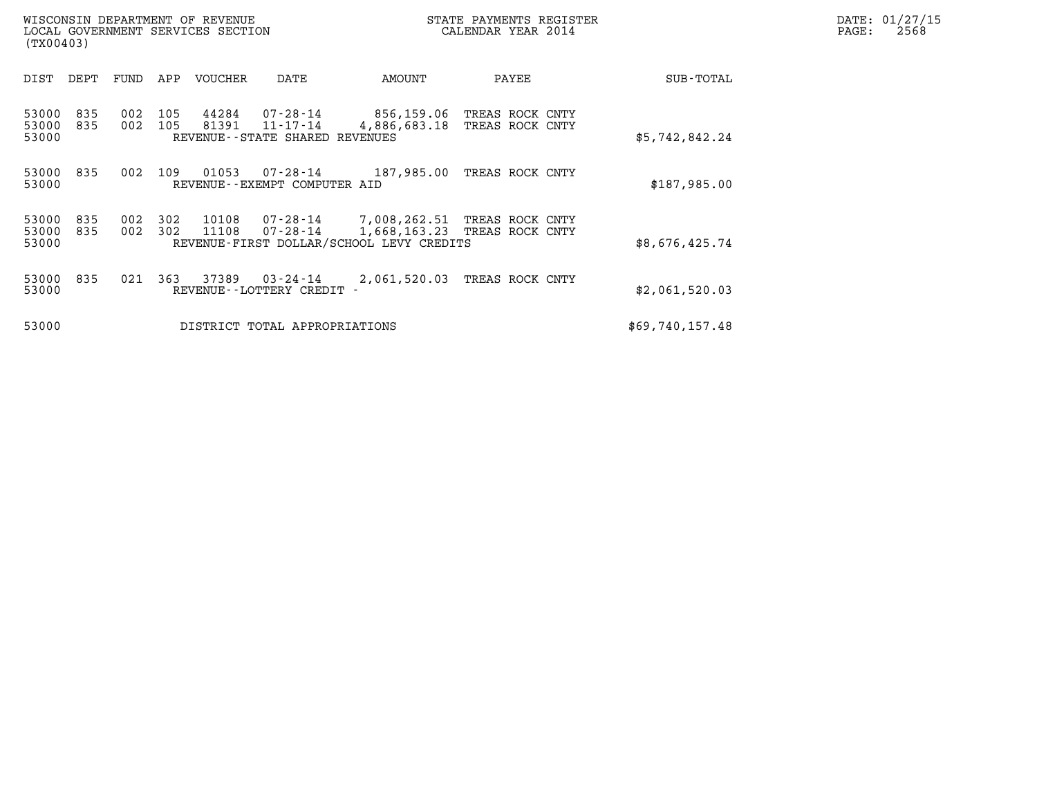| WISCONSIN DEPARTMENT OF REVENUE<br>LOCAL GOVERNMENT SERVICES SECTION<br>(TX00403) |            |            |            |                |                                                              | STATE PAYMENTS REGISTER<br>CALENDAR YEAR 2014                                                     |                 |                 |                 | DATE: 01/27/15<br>PAGE:<br>2568 |
|-----------------------------------------------------------------------------------|------------|------------|------------|----------------|--------------------------------------------------------------|---------------------------------------------------------------------------------------------------|-----------------|-----------------|-----------------|---------------------------------|
| DIST                                                                              | DEPT       | FUND       | APP        | VOUCHER        | DATE                                                         | AMOUNT                                                                                            | PAYEE           |                 | SUB-TOTAL       |                                 |
| 53000<br>53000<br>53000                                                           | 835<br>835 | 002<br>002 | 105<br>105 | 44284<br>81391 | 07-28-14<br>$11 - 17 - 14$<br>REVENUE--STATE SHARED REVENUES | 856,159.06<br>4,886,683.18                                                                        | TREAS ROCK CNTY | TREAS ROCK CNTY | \$5,742,842.24  |                                 |
| 53000<br>53000                                                                    | 835        | 002        | 109        | 01053          | 07-28-14<br>REVENUE--EXEMPT COMPUTER AID                     | 187,985.00                                                                                        |                 | TREAS ROCK CNTY | \$187,985.00    |                                 |
| 53000<br>53000<br>53000                                                           | 835<br>835 | 002<br>002 | 302<br>302 | 10108<br>11108 | $07 - 28 - 14$                                               | 07-28-14 7,008,262.51 TREAS ROCK CNTY<br>1,668,163.23<br>REVENUE-FIRST DOLLAR/SCHOOL LEVY CREDITS | TREAS ROCK CNTY |                 | \$8,676,425.74  |                                 |
| 53000<br>53000                                                                    | 835        | 021        | 363        | 37389          | 03-24-14<br>REVENUE - - LOTTERY CREDIT -                     | 2,061,520.03                                                                                      |                 | TREAS ROCK CNTY | \$2,061,520.03  |                                 |
| 53000                                                                             |            |            |            |                | DISTRICT TOTAL APPROPRIATIONS                                |                                                                                                   |                 |                 | \$69,740,157.48 |                                 |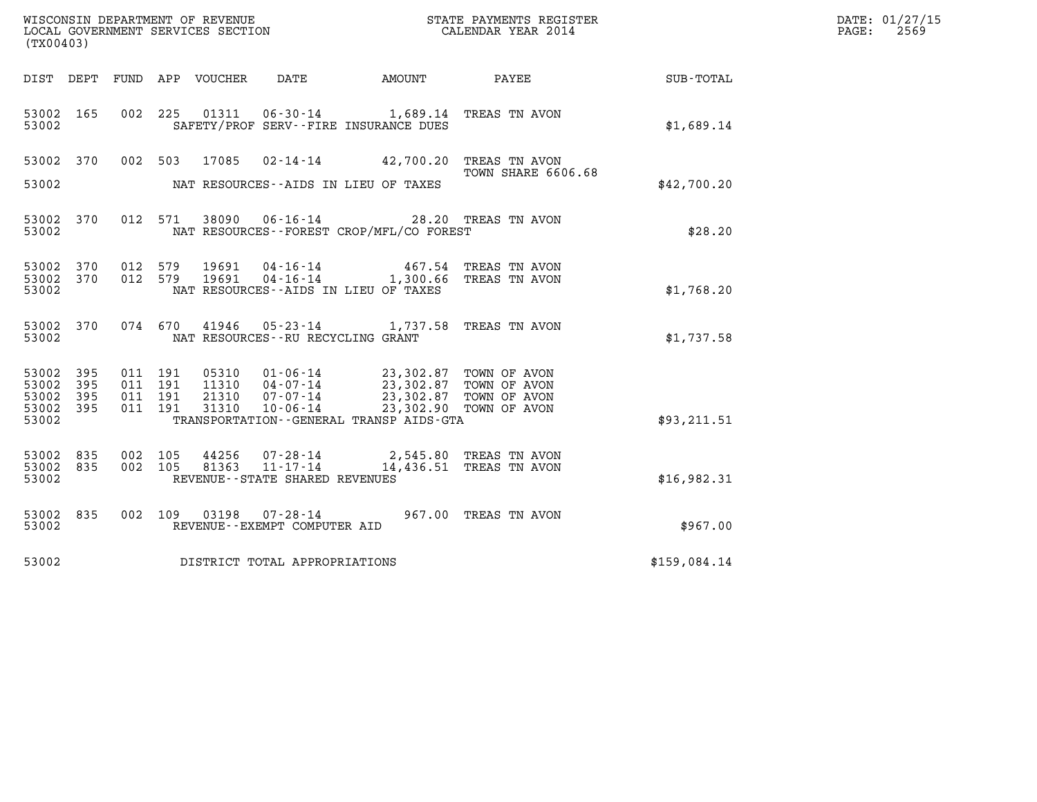| (TX00403)                                 |                            |                                          |                                  |                                                                    |                                                                                                                            | %WISCONSIN DEPARTMENT OF REVENUE $$\tt STATE~PAYMENTS~REGISTER~LOCALSONSTR~GOLERNMENT~SERVICES~SECTION~CALENDAR~YEAR~2014$ |              | DATE: 01/27/15<br>PAGE:<br>2569 |
|-------------------------------------------|----------------------------|------------------------------------------|----------------------------------|--------------------------------------------------------------------|----------------------------------------------------------------------------------------------------------------------------|----------------------------------------------------------------------------------------------------------------------------|--------------|---------------------------------|
| DIST DEPT                                 |                            |                                          | FUND APP VOUCHER                 | DATE                                                               | AMOUNT                                                                                                                     | PAYEE                                                                                                                      | SUB-TOTAL    |                                 |
| 53002 165<br>53002                        |                            | 002 225                                  |                                  | 01311<br>SAFETY/PROF SERV--FIRE INSURANCE DUES                     | $06 - 30 - 14$ 1,689.14                                                                                                    | TREAS TN AVON                                                                                                              | \$1,689.14   |                                 |
| 53002 370<br>53002                        |                            | 002 503                                  | 17085                            | NAT RESOURCES--AIDS IN LIEU OF TAXES                               | $02 - 14 - 14$ 42,700.20                                                                                                   | TREAS TN AVON<br>TOWN SHARE 6606.68                                                                                        | \$42,700.20  |                                 |
| 53002 370<br>53002                        |                            |                                          | 012 571                          | 38090 06-16-14                                                     | NAT RESOURCES - - FOREST CROP/MFL/CO FOREST                                                                                | 28.20 TREAS TN AVON                                                                                                        | \$28.20      |                                 |
| 53002 370<br>53002<br>53002               | 370                        | 012 579<br>012 579                       | 19691<br>19691                   | 04-16-14<br>$04 - 16 - 14$<br>NAT RESOURCES--AIDS IN LIEU OF TAXES | 467.54<br>1,300.66                                                                                                         | TREAS TN AVON<br>TREAS TN AVON                                                                                             | \$1,768.20   |                                 |
| 53002 370<br>53002                        |                            | 074 670                                  | 41946                            | NAT RESOURCES - - RU RECYCLING GRANT                               | $05 - 23 - 14$ 1, 737.58                                                                                                   | TREAS TN AVON                                                                                                              | \$1,737.58   |                                 |
| 53002<br>53002<br>53002<br>53002<br>53002 | 395<br>395<br>395<br>- 395 | 011 191<br>011 191<br>011 191<br>011 191 | 05310<br>11310<br>21310<br>31310 | $01 - 06 - 14$<br>04-07-14<br>07-07-14<br>$10 - 06 - 14$           | 23,302.87 TOWN OF AVON<br>23,302.87 TOWN OF AVON<br>23,302.87<br>23,302.90<br>TRANSPORTATION - - GENERAL TRANSP AIDS - GTA | TOWN OF AVON<br>TOWN OF AVON                                                                                               | \$93,211.51  |                                 |
| 53002<br>53002<br>53002                   | 835<br>835                 | 002 105<br>002 105                       | 44256<br>81363                   | $07 - 28 - 14$<br>$11 - 17 - 14$<br>REVENUE--STATE SHARED REVENUES | 2,545.80                                                                                                                   | TREAS TN AVON<br>14,436.51 TREAS TN AVON                                                                                   | \$16,982.31  |                                 |
| 53002 835<br>53002                        |                            | 002 109                                  | 03198                            | 07-28-14<br>REVENUE--EXEMPT COMPUTER AID                           |                                                                                                                            | 967.00 TREAS TN AVON                                                                                                       | \$967.00     |                                 |
| 53002                                     |                            |                                          |                                  | DISTRICT TOTAL APPROPRIATIONS                                      |                                                                                                                            |                                                                                                                            | \$159,084.14 |                                 |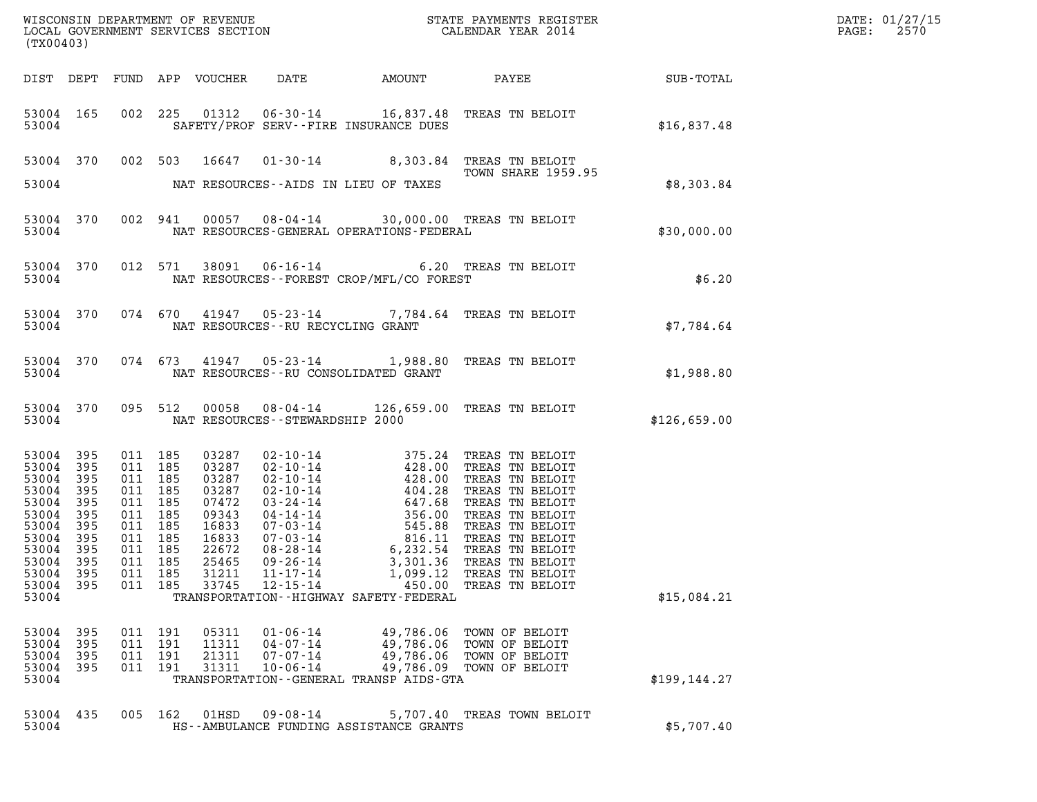| WISCONSIN DEPARTMENT OF REVENUE<br>LOCAL GOVERNMENT SERVICES SECTION GALENDAR YEAR 2014<br>(TX00403)                      |                                                                      |                                                                                                                                  |  |                                                                                                          |                                                                |                                                                                                     |                                                                                                                                                                                                                                                                                                                      |                         | DATE: 01/27/15<br>PAGE: 2570 |
|---------------------------------------------------------------------------------------------------------------------------|----------------------------------------------------------------------|----------------------------------------------------------------------------------------------------------------------------------|--|----------------------------------------------------------------------------------------------------------|----------------------------------------------------------------|-----------------------------------------------------------------------------------------------------|----------------------------------------------------------------------------------------------------------------------------------------------------------------------------------------------------------------------------------------------------------------------------------------------------------------------|-------------------------|------------------------------|
|                                                                                                                           |                                                                      |                                                                                                                                  |  |                                                                                                          |                                                                |                                                                                                     | DIST DEPT FUND APP VOUCHER DATE AMOUNT PAYEE SUB-TOTAL                                                                                                                                                                                                                                                               |                         |                              |
|                                                                                                                           |                                                                      | 53004                                                                                                                            |  |                                                                                                          |                                                                | 53004 165 002 225 01312 06-30-14 16,837.48 TREAS TN BELOIT<br>SAFETY/PROF SERV--FIRE INSURANCE DUES |                                                                                                                                                                                                                                                                                                                      | \$16,837.48             |                              |
|                                                                                                                           |                                                                      |                                                                                                                                  |  |                                                                                                          |                                                                | 53004 NAT RESOURCES--AIDS IN LIEU OF TAXES                                                          | 53004 370 002 503 16647 01-30-14 8,303.84 TREAS TN BELOIT<br>TOWN SHARE 1959.95                                                                                                                                                                                                                                      | \$8,303.84              |                              |
|                                                                                                                           |                                                                      |                                                                                                                                  |  |                                                                                                          |                                                                | 53004 370 002 941 00057 08-04-14 30,000.00 TREAS TN BELOIT                                          | 53004 NAT RESOURCES-GENERAL OPERATIONS-FEDERAL                                                                                                                                                                                                                                                                       | \$30,000.00             |                              |
|                                                                                                                           |                                                                      |                                                                                                                                  |  |                                                                                                          |                                                                | 53004 NAT RESOURCES--FOREST CROP/MFL/CO FOREST                                                      | 53004 370 012 571 38091 06-16-14 6.20 TREAS TN BELOIT                                                                                                                                                                                                                                                                | EAS TN BELOIT<br>\$6.20 |                              |
|                                                                                                                           |                                                                      |                                                                                                                                  |  |                                                                                                          |                                                                | 53004 NAT RESOURCES--RU RECYCLING GRANT                                                             | 53004 370 074 670 41947 05-23-14 7,784.64 TREAS TN BELOIT                                                                                                                                                                                                                                                            | \$7,784.64              |                              |
|                                                                                                                           |                                                                      |                                                                                                                                  |  |                                                                                                          |                                                                | 53004 NAT RESOURCES--RU CONSOLIDATED GRANT                                                          | 53004 370 074 673 41947 05-23-14 1,988.80 TREAS TN BELOIT                                                                                                                                                                                                                                                            | \$1,988.80              |                              |
|                                                                                                                           |                                                                      |                                                                                                                                  |  |                                                                                                          |                                                                | 53004 NAT RESOURCES - STEWARDSHIP 2000                                                              | 53004 370 095 512 00058 08-04-14 126,659.00 TREAS TN BELOIT                                                                                                                                                                                                                                                          | \$126,659.00            |                              |
| 53004 395<br>53004<br>53004<br>53004<br>53004<br>53004<br>53004<br>53004<br>53004<br>53004 395<br>53004<br>53004<br>53004 | 395<br>395<br>395<br>395<br>395<br>395<br>395<br>395<br>395<br>- 395 | 011 185<br>011 185<br>011 185<br>011 185<br>011 185<br>011 185<br>011 185<br>011 185<br>011 185<br>011 185<br>011 185<br>011 185 |  | 03287<br>03287<br>03287<br>03287<br>07472<br>09343<br>16833<br>16833<br>22672<br>25465<br>31211<br>33745 | $11 - 17 - 14$<br>$12 - 15 - 14$                               | 1,099.12<br>450.00<br>TRANSPORTATION - - HIGHWAY SAFETY - FEDERAL                                   | 02-10-14<br>02-10-14<br>02-10-14<br>02-10-14<br>02-10-14<br>02-10-14<br>03-24-14<br>03-24-14<br>04-14-14<br>07-03-14<br>07-03-14<br>08-28-14<br>08-28-14<br>07-04<br>08-28-14<br>07-04<br>08-28-14<br>07-04<br>08-28-14<br>07-04<br>08-28-14<br>07-04<br>08-28-14<br>07-04<br><br>TREAS TN BELOIT<br>TREAS TN BELOIT | \$15,084.21             |                              |
| 53004 395<br>53004<br>53004<br>53004<br>53004                                                                             | 395<br>395<br>-395                                                   | 011 191<br>011 191<br>011 191<br>011 191                                                                                         |  | 05311<br>11311<br>21311<br>31311                                                                         | $01 - 06 - 14$<br>$04 - 07 - 14$<br>07-07-14<br>$10 - 06 - 14$ | 49,786.06<br>49,786.06<br>TRANSPORTATION--GENERAL TRANSP AIDS-GTA                                   | TOWN OF BELOIT<br>TOWN OF BELOIT<br>49,786.06 TOWN OF BELOIT<br>49,786.09 TOWN OF BELOIT                                                                                                                                                                                                                             | \$199, 144.27           |                              |
| 53004<br>53004                                                                                                            | 435                                                                  | 005 162                                                                                                                          |  | 01HSD                                                                                                    | $09 - 08 - 14$                                                 | HS--AMBULANCE FUNDING ASSISTANCE GRANTS                                                             | 5,707.40 TREAS TOWN BELOIT                                                                                                                                                                                                                                                                                           | \$5,707.40              |                              |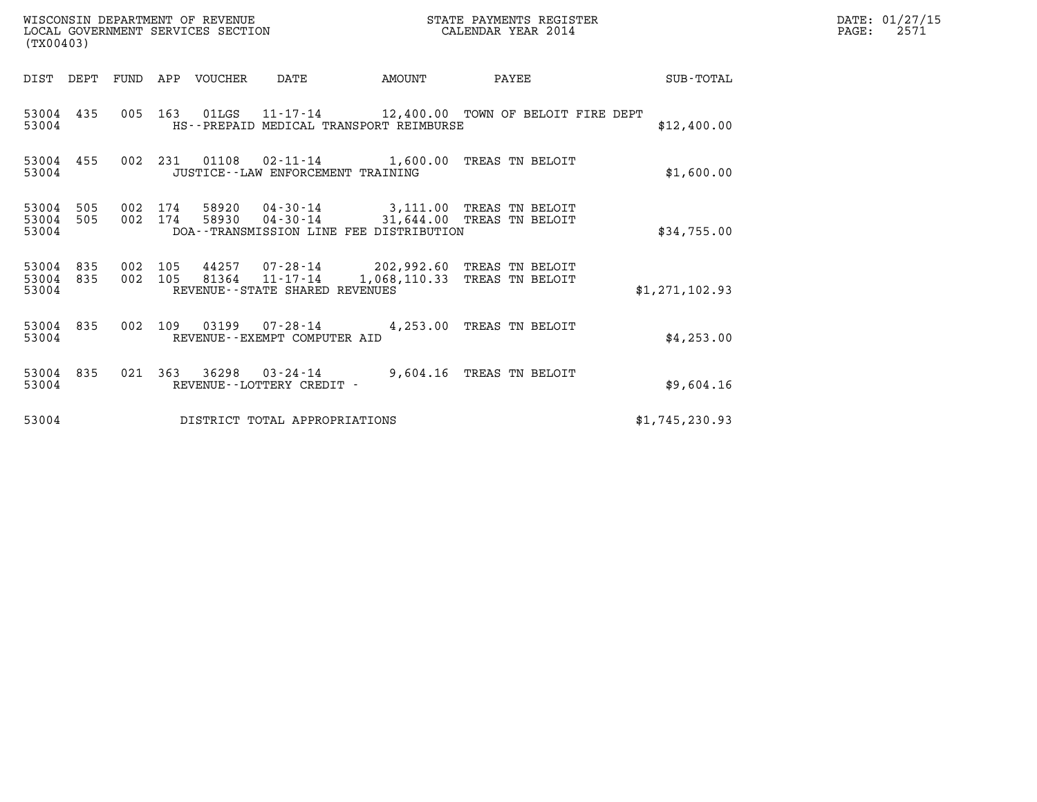| DATE: | 01/27/15 |
|-------|----------|
| PAGE: | 2571     |

| (TX00403)                                    | WISCONSIN DEPARTMENT OF REVENUE<br>LOCAL GOVERNMENT SERVICES SECTION                                 | STATE PAYMENTS REGISTER<br>CALENDAR YEAR 2014                           |                | DATE: 01/27/15<br>PAGE:<br>2571 |
|----------------------------------------------|------------------------------------------------------------------------------------------------------|-------------------------------------------------------------------------|----------------|---------------------------------|
| DIST DEPT                                    | FUND APP VOUCHER<br>DATE                                                                             | PAYEE<br>AMOUNT                                                         | SUB-TOTAL      |                                 |
| 53004 435<br>53004                           | 005 163 01LGS 11-17-14 12,400.00 TOWN OF BELOIT FIRE DEPT<br>HS--PREPAID MEDICAL TRANSPORT REIMBURSE |                                                                         | \$12,400.00    |                                 |
| 53004 455<br>53004                           | 002 231 01108<br>JUSTICE -- LAW ENFORCEMENT TRAINING                                                 | 02-11-14 1,600.00 TREAS TN BELOIT                                       | \$1,600.00     |                                 |
| 53004<br>505<br>53004<br>505<br>53004        | 002 174<br>58920<br>002 174<br>58930<br>DOA--TRANSMISSION LINE FEE DISTRIBUTION                      | 04-30-14 3.111.00 TREAS TN BELOIT<br>04-30-14 31,644.00 TREAS TN BELOIT | \$34,755.00    |                                 |
| 53004<br>835<br>002<br>53004<br>835<br>53004 | 44257<br>105<br>81364<br>002 105<br>$11 - 17 - 14$<br>REVENUE - - STATE SHARED REVENUES              | 07-28-14 202,992.60 TREAS TN BELOIT<br>1,068,110.33 TREAS TN BELOIT     | \$1,271,102.93 |                                 |
| 835<br>53004<br>53004                        | 03199<br>002 109<br>REVENUE--EXEMPT COMPUTER AID                                                     | 07-28-14 4,253.00 TREAS TN BELOIT                                       | \$4,253.00     |                                 |
| 53004<br>835<br>021<br>53004                 | 363<br>36298<br>REVENUE--LOTTERY CREDIT -                                                            | 03-24-14 9,604.16 TREAS TN BELOIT                                       | \$9,604.16     |                                 |
| 53004                                        | DISTRICT TOTAL APPROPRIATIONS                                                                        |                                                                         | \$1,745,230.93 |                                 |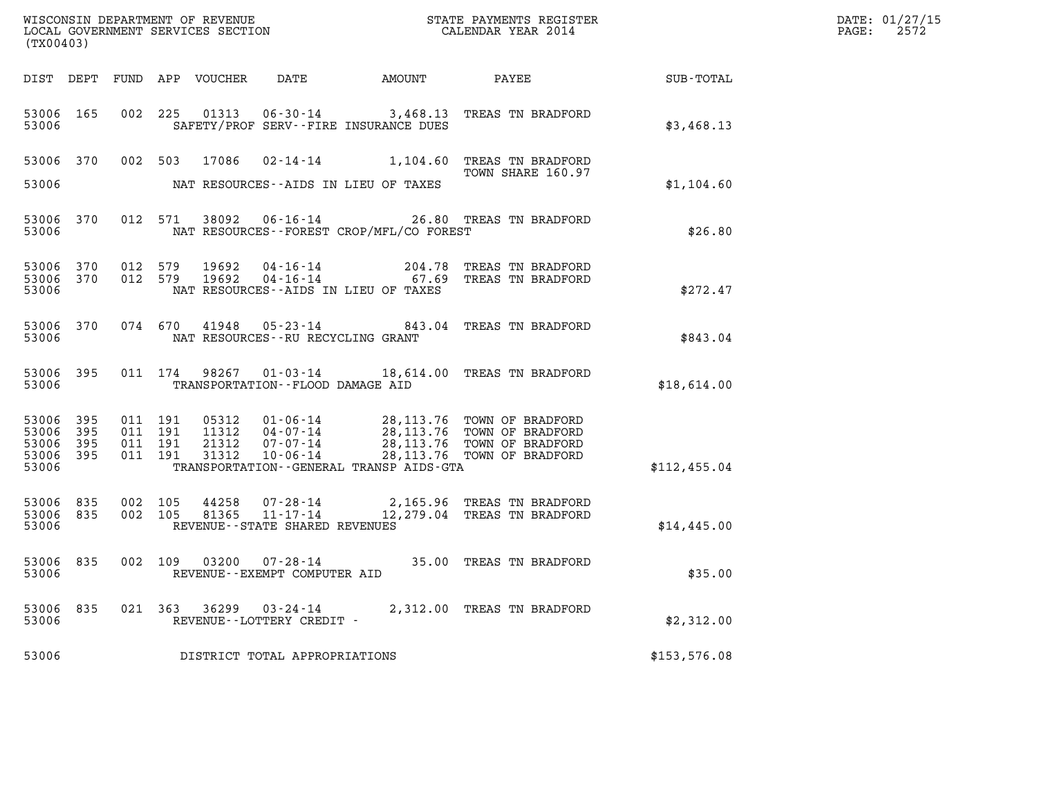| (TX00403)                                     |                     |                                          |                |                                       |                                              |                                                                                                                                                                                                                                                                                                                                        |              | DATE: 01/27/15<br>$\mathtt{PAGE:}$<br>2572 |
|-----------------------------------------------|---------------------|------------------------------------------|----------------|---------------------------------------|----------------------------------------------|----------------------------------------------------------------------------------------------------------------------------------------------------------------------------------------------------------------------------------------------------------------------------------------------------------------------------------------|--------------|--------------------------------------------|
|                                               |                     |                                          |                |                                       |                                              |                                                                                                                                                                                                                                                                                                                                        |              |                                            |
| 53006 165<br>53006                            |                     |                                          |                |                                       | SAFETY/PROF SERV--FIRE INSURANCE DUES        | 002 225 01313 06-30-14 3,468.13 TREAS TN BRADFORD                                                                                                                                                                                                                                                                                      | \$3,468.13   |                                            |
| 53006 370                                     |                     |                                          |                |                                       |                                              | 002 503 17086 02-14-14 1,104.60 TREAS TN BRADFORD<br>TOWN SHARE 160.97                                                                                                                                                                                                                                                                 |              |                                            |
| 53006                                         |                     |                                          |                |                                       | NAT RESOURCES--AIDS IN LIEU OF TAXES         |                                                                                                                                                                                                                                                                                                                                        | \$1,104.60   |                                            |
| 53006 370<br>53006                            |                     |                                          |                |                                       | NAT RESOURCES--FOREST CROP/MFL/CO FOREST     | 012 571 38092 06-16-14 26.80 TREAS TN BRADFORD                                                                                                                                                                                                                                                                                         | \$26.80      |                                            |
| 53006 370<br>53006 370<br>53006               |                     | 012 579<br>012 579                       | 19692<br>19692 |                                       | NAT RESOURCES--AIDS IN LIEU OF TAXES         | 04-16-14 204.78 TREAS TN BRADFORD<br>04-16-14 67.69 TREAS TN BRADFORD                                                                                                                                                                                                                                                                  | \$272.47     |                                            |
| 53006                                         | 53006 370           |                                          |                | NAT RESOURCES--RU RECYCLING GRANT     |                                              | 074 670 41948 05-23-14 843.04 TREAS TN BRADFORD                                                                                                                                                                                                                                                                                        | \$843.04     |                                            |
| 53006                                         | 53006 395           |                                          |                | TRANSPORTATION--FLOOD DAMAGE AID      |                                              | 011 174 98267 01-03-14 18,614.00 TREAS TN BRADFORD                                                                                                                                                                                                                                                                                     | \$18,614.00  |                                            |
| 53006 395<br>53006<br>53006<br>53006<br>53006 | 395<br>395<br>- 395 | 011 191<br>011 191<br>011 191<br>011 191 |                |                                       | TRANSPORTATION - - GENERAL TRANSP AIDS - GTA | $\begin{array}{cccc} 05312 & 01\cdot 06\cdot 14 & 28, 113\cdot 76 & \text{TOWN OF BRADFORD} \\ 11312 & 04\cdot 07\cdot 14 & 28, 113\cdot 76 & \text{TOWN OF BRADFORD} \\ 21312 & 07\cdot 07\cdot 14 & 28, 113\cdot 76 & \text{TOWN OF BRADFORD} \\ 31312 & 10\cdot 06\cdot 14 & 28, 113\cdot 76 & \text{TOWN OF BRADFORD} \end{array}$ | \$112,455.04 |                                            |
| 53006 835<br>53006 835<br>53006               |                     | 002 105<br>002 105                       | 44258<br>81365 | REVENUE--STATE SHARED REVENUES        |                                              | 07-28-14 2,165.96 TREAS TN BRADFORD<br>11-17-14 12,279.04 TREAS TN BRADFORD                                                                                                                                                                                                                                                            | \$14,445.00  |                                            |
| 53006                                         | 53006 835           |                                          |                | REVENUE - - EXEMPT COMPUTER AID       |                                              | 002 109 03200 07-28-14 35.00 TREAS TN BRADFORD                                                                                                                                                                                                                                                                                         | \$35.00      |                                            |
| 53006<br>53006                                | 835                 | 021 363                                  | 36299          | 03-24-14<br>REVENUE--LOTTERY CREDIT - |                                              | 2,312.00 TREAS TN BRADFORD                                                                                                                                                                                                                                                                                                             | \$2,312.00   |                                            |
| 53006                                         |                     |                                          |                | DISTRICT TOTAL APPROPRIATIONS         |                                              |                                                                                                                                                                                                                                                                                                                                        | \$153,576.08 |                                            |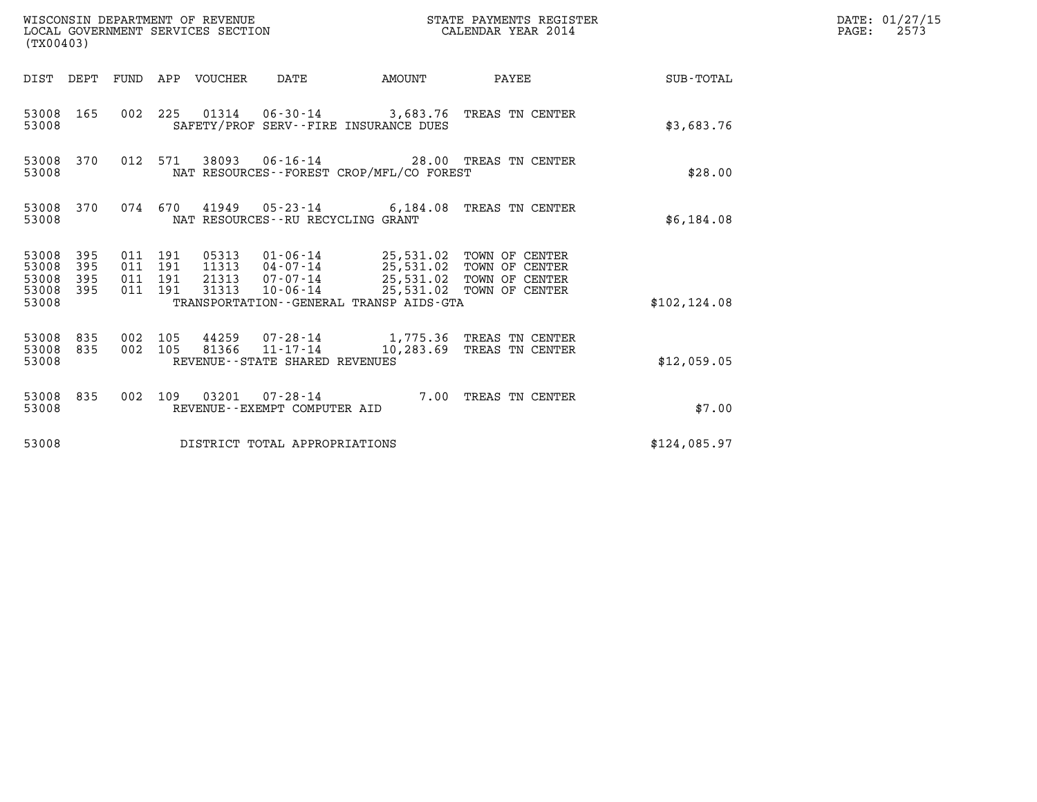| WISCONSIN DEPARTMENT OF REVENUE<br>(TX00403)                       | LOCAL GOVERNMENT SERVICES SECTION                                                                                                                                                                                                                                                | STATE PAYMENTS REGISTER<br>CALENDAR YEAR 2014 | DATE: 01/27/15<br>$\mathtt{PAGE:}$<br>2573 |
|--------------------------------------------------------------------|----------------------------------------------------------------------------------------------------------------------------------------------------------------------------------------------------------------------------------------------------------------------------------|-----------------------------------------------|--------------------------------------------|
|                                                                    | DIST DEPT FUND APP VOUCHER DATE<br>AMOUNT                                                                                                                                                                                                                                        | PAYEE SUB-TOTAL                               |                                            |
| 53008 165<br>53008                                                 | 002 225 01314 06-30-14 3,683.76 TREAS TN CENTER<br>SAFETY/PROF SERV--FIRE INSURANCE DUES                                                                                                                                                                                         | \$3,683.76                                    |                                            |
| 53008 370<br>53008                                                 | 012 571<br>38093  06-16-14  28.00 TREAS TN CENTER<br>NAT RESOURCES--FOREST CROP/MFL/CO FOREST                                                                                                                                                                                    | \$28.00                                       |                                            |
| 53008 370<br>53008                                                 | 074 670 41949 05-23-14 6,184.08 TREAS TN CENTER<br>NAT RESOURCES - - RU RECYCLING GRANT                                                                                                                                                                                          | \$6,184.08                                    |                                            |
| 53008<br>395<br>53008<br>395<br>53008<br>395<br>53008 395<br>53008 | 011 191<br>05313  01-06-14  25,531.02  TOWN OF CENTER<br>11313  04-07-14  25,531.02  TOWN OF CENTER<br>011 191<br>21313  07-07-14  25,531.02  TOWN OF CENTER<br>011 191<br>10-06-14 25,531.02 TOWN OF CENTER<br>011 191<br>31313<br>TRANSPORTATION - - GENERAL TRANSP AIDS - GTA | \$102, 124.08                                 |                                            |
| 53008 835<br>53008 835<br>53008                                    | 002 105<br>44259 07-28-14 1,775.36 TREAS TN CENTER<br>81366 11-17-14<br>002 105<br>REVENUE--STATE SHARED REVENUES                                                                                                                                                                | 10,283.69 TREAS TN CENTER<br>\$12,059.05      |                                            |
| 53008 835<br>53008                                                 | 002 109 03201 07-28-14 7.00 TREAS TN CENTER<br>REVENUE--EXEMPT COMPUTER AID                                                                                                                                                                                                      | \$7.00                                        |                                            |
| 53008                                                              | DISTRICT TOTAL APPROPRIATIONS                                                                                                                                                                                                                                                    | \$124,085.97                                  |                                            |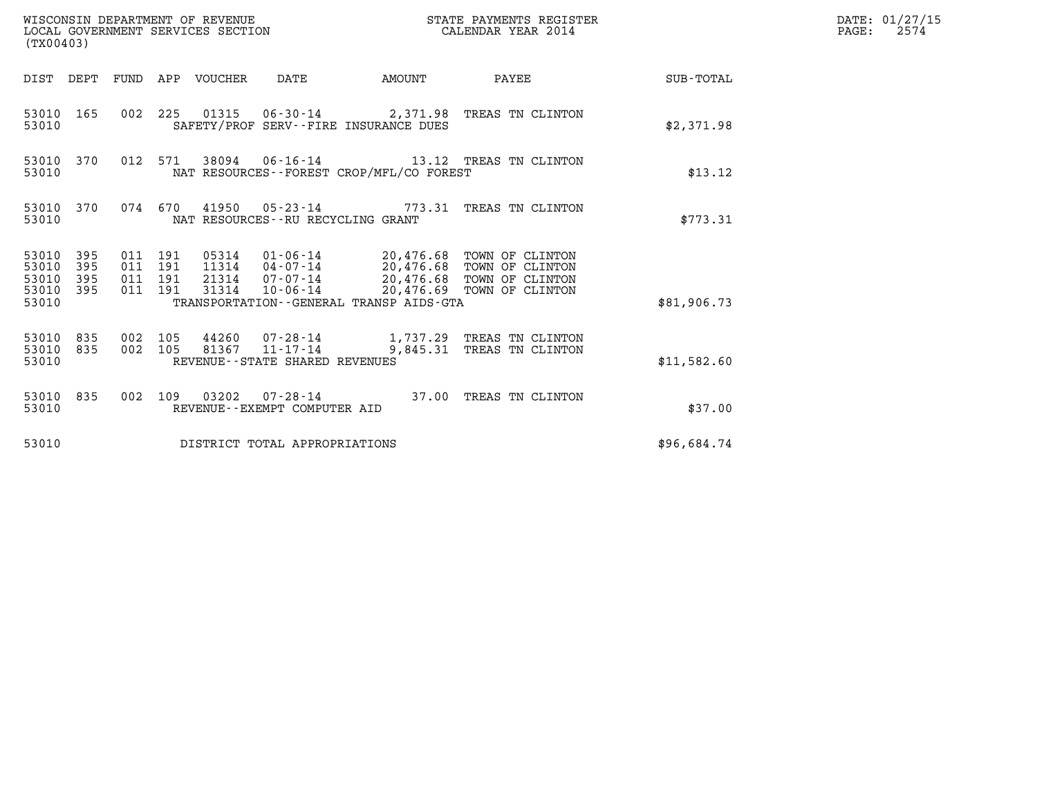| WISCONSIN DEPARTMENT OF REVENUE<br>LOCAL GOVERNMENT SERVICES SECTION<br>(TX00403)                           |                                                                                                                                                                                                           | STATE PAYMENTS REGISTER<br>CALENDAR YEAR 2014 |             | DATE: 01/27/15<br>$\mathtt{PAGE:}$<br>2574 |
|-------------------------------------------------------------------------------------------------------------|-----------------------------------------------------------------------------------------------------------------------------------------------------------------------------------------------------------|-----------------------------------------------|-------------|--------------------------------------------|
| DIST DEPT FUND APP VOUCHER DATE                                                                             | AMOUNT                                                                                                                                                                                                    | PAYEE SUB-TOTAL                               |             |                                            |
| 53010 165<br>53010                                                                                          | 002 225 01315 06-30-14 2,371.98 TREAS TN CLINTON<br>SAFETY/PROF SERV--FIRE INSURANCE DUES                                                                                                                 |                                               | \$2,371.98  |                                            |
| 53010 370<br>012 571<br>53010                                                                               | 38094  06-16-14  13.12  TREAS TN CLINTON<br>NAT RESOURCES--FOREST CROP/MFL/CO FOREST                                                                                                                      |                                               | \$13.12     |                                            |
| 53010 370<br>53010                                                                                          | 074 670 41950 05-23-14 773.31 TREAS TN CLINTON<br>NAT RESOURCES - - RU RECYCLING GRANT                                                                                                                    |                                               | \$773.31    |                                            |
| 53010 395<br>011 191<br>53010<br>395<br>011 191<br>53010<br>395<br>011 191<br>53010 395<br>011 191<br>53010 | 05314  01-06-14  20,476.68 TOWN OF CLINTON<br>11314  04-07-14  20,476.68 TOWN OF CLINTON<br>21314 07-07-14 20,476.68 TOWN OF CLINTON<br>31314<br>10-06-14<br>TRANSPORTATION - - GENERAL TRANSP AIDS - GTA | 20,476.69 TOWN OF CLINTON                     | \$81,906.73 |                                            |
| 53010 835<br>002 105<br>002 105<br>53010 835<br>53010                                                       | 44260 07-28-14 1,737.29 TREAS TN CLINTON<br>81367 11-17-14<br>REVENUE--STATE SHARED REVENUES                                                                                                              | 9,845.31 TREAS TN CLINTON                     | \$11,582.60 |                                            |
| 53010 835<br>53010                                                                                          | 002 109 03202 07-28-14 37.00 TREAS TN CLINTON<br>REVENUE--EXEMPT COMPUTER AID                                                                                                                             |                                               | \$37.00     |                                            |
| 53010                                                                                                       | DISTRICT TOTAL APPROPRIATIONS                                                                                                                                                                             |                                               | \$96,684.74 |                                            |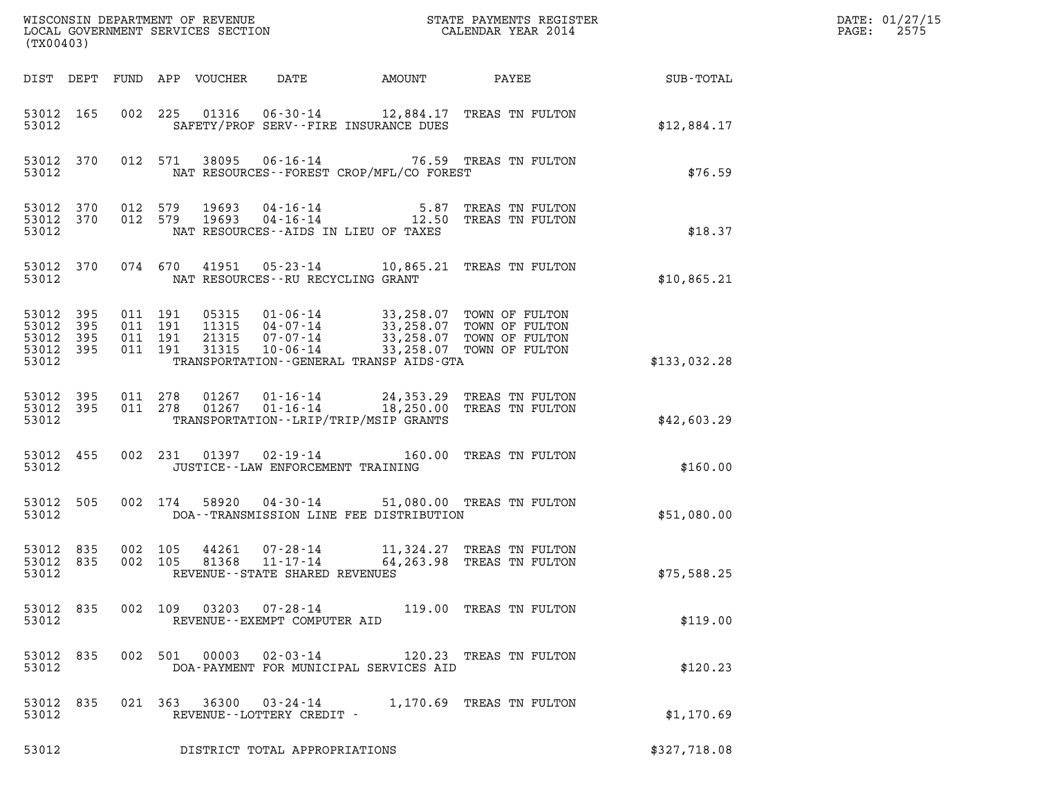| % WISCONSIN DEPARTMENT OF REVENUE $$\tt STATE$ PAYMENTS REGISTER LOCAL GOVERNMENT SERVICES SECTION $$\tt CALEINDAR$ YEAR 2014<br>(TX00403) |                        |                    |                                          |                            |                                                                       |                                            |                                                                                                                                                                    |                 | DATE: 01/27/15<br>2575<br>$\mathtt{PAGE:}$ |
|--------------------------------------------------------------------------------------------------------------------------------------------|------------------------|--------------------|------------------------------------------|----------------------------|-----------------------------------------------------------------------|--------------------------------------------|--------------------------------------------------------------------------------------------------------------------------------------------------------------------|-----------------|--------------------------------------------|
|                                                                                                                                            |                        |                    |                                          | DIST DEPT FUND APP VOUCHER | DATE                                                                  | AMOUNT                                     |                                                                                                                                                                    | PAYEE SUB-TOTAL |                                            |
| 53012 165<br>53012                                                                                                                         |                        |                    |                                          |                            |                                                                       | SAFETY/PROF SERV--FIRE INSURANCE DUES      | 002 225 01316 06-30-14 12,884.17 TREAS TN FULTON                                                                                                                   | \$12,884.17     |                                            |
| 53012                                                                                                                                      | 53012 370              |                    | 012 571                                  |                            |                                                                       | NAT RESOURCES -- FOREST CROP/MFL/CO FOREST | 38095  06-16-14  76.59  TREAS TN FULTON                                                                                                                            | \$76.59         |                                            |
| 53012                                                                                                                                      | 53012 370<br>53012 370 |                    | 012 579<br>012 579                       |                            |                                                                       | NAT RESOURCES--AIDS IN LIEU OF TAXES       | 19693  04-16-14  5.87 TREAS TN FULTON<br>19693  04-16-14  12.50 TREAS TN FULTON                                                                                    | \$18.37         |                                            |
| 53012                                                                                                                                      | 53012 370              |                    |                                          |                            | NAT RESOURCES--RU RECYCLING GRANT                                     |                                            | 074 670 41951 05-23-14 10,865.21 TREAS TN FULTON                                                                                                                   | \$10,865.21     |                                            |
| 53012<br>53012<br>53012<br>53012 395<br>53012                                                                                              | 395<br>395<br>395      |                    | 011 191<br>011 191<br>011 191<br>011 191 | 31315                      | $10 - 06 - 14$                                                        | TRANSPORTATION--GENERAL TRANSP AIDS-GTA    | 05315  01-06-14  33,258.07  TOWN OF FULTON<br>11315  04-07-14  33,258.07  TOWN OF FULTON<br>21315  07-07-14  33,258.07  TOWN OF FULTON<br>33,258.07 TOWN OF FULTON | \$133,032.28    |                                            |
| 53012 395<br>53012                                                                                                                         | 53012 395              | 011 278            | 011 278                                  |                            |                                                                       | TRANSPORTATION - - LRIP/TRIP/MSIP GRANTS   | 01267  01-16-14  24,353.29  TREAS TN FULTON<br>01267  01-16-14  18,250.00 TREAS TN FULTON                                                                          | \$42,603.29     |                                            |
| 53012 455<br>53012                                                                                                                         |                        |                    |                                          |                            | JUSTICE - - LAW ENFORCEMENT TRAINING                                  |                                            | 002 231 01397 02-19-14 160.00 TREAS TN FULTON                                                                                                                      | \$160.00        |                                            |
| 53012 505<br>53012                                                                                                                         |                        |                    | 002 174                                  |                            |                                                                       | DOA--TRANSMISSION LINE FEE DISTRIBUTION    | 58920  04-30-14  51,080.00  TREAS TN FULTON                                                                                                                        | \$51,080.00     |                                            |
| 53012 835<br>53012 835<br>53012                                                                                                            |                        | 002 105<br>002 105 |                                          | 44261<br>81368             | $07 - 28 - 14$<br>$11 - 17 - 14$<br>REVENUE - - STATE SHARED REVENUES |                                            | 11,324.27 TREAS TN FULTON<br>64,263.98 TREAS TN FULTON                                                                                                             | \$75,588.25     |                                            |
| 53012 835<br>53012                                                                                                                         |                        |                    |                                          |                            | 002 109 03203 07-28-14<br>REVENUE - - EXEMPT COMPUTER AID             |                                            | 119.00 TREAS TN FULTON                                                                                                                                             | \$119.00        |                                            |
| 53012 835<br>53012                                                                                                                         |                        |                    | 002 501                                  | 00003                      | $02 - 03 - 14$                                                        | DOA-PAYMENT FOR MUNICIPAL SERVICES AID     | 120.23 TREAS TN FULTON                                                                                                                                             | \$120.23        |                                            |
| 53012 835<br>53012                                                                                                                         |                        |                    |                                          |                            | REVENUE--LOTTERY CREDIT -                                             |                                            | 021 363 36300 03-24-14 1,170.69 TREAS TN FULTON                                                                                                                    | \$1,170.69      |                                            |
| 53012                                                                                                                                      |                        |                    |                                          |                            | DISTRICT TOTAL APPROPRIATIONS                                         |                                            |                                                                                                                                                                    | \$327,718.08    |                                            |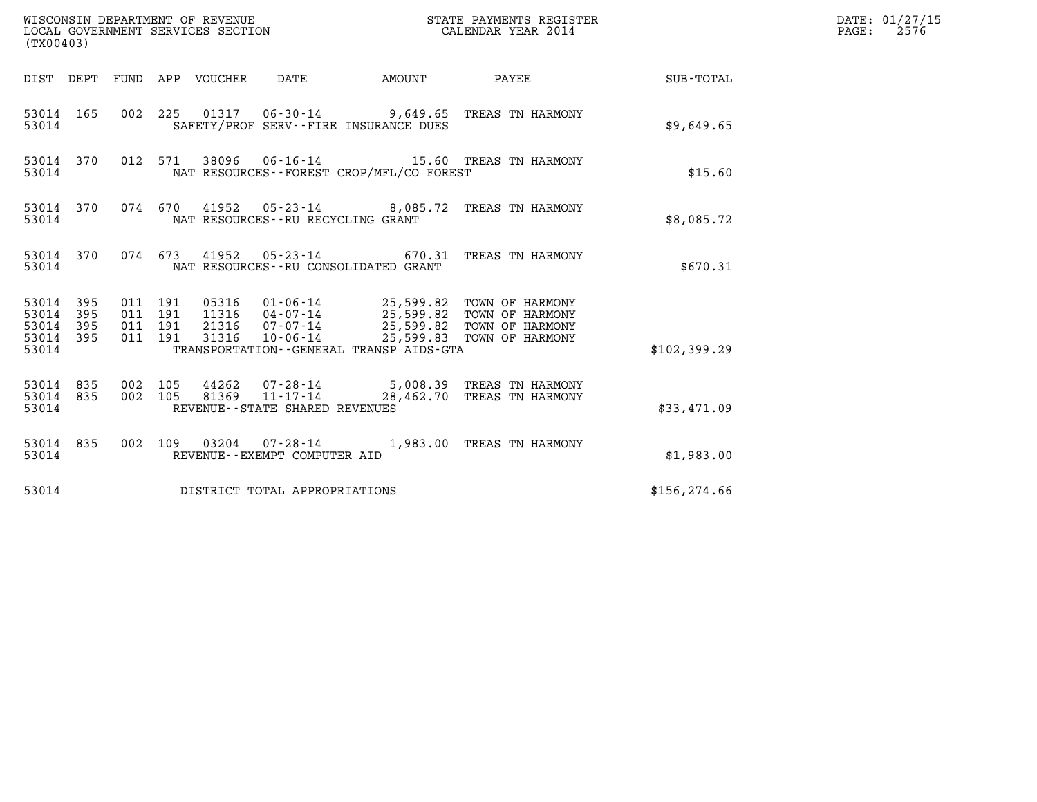| (TX00403)                                             |     |                                          |                                 |                                            |                                          |                                                                                                                                                                                                                       |               | DATE: 01/27/15<br>$\mathtt{PAGE:}$<br>2576 |
|-------------------------------------------------------|-----|------------------------------------------|---------------------------------|--------------------------------------------|------------------------------------------|-----------------------------------------------------------------------------------------------------------------------------------------------------------------------------------------------------------------------|---------------|--------------------------------------------|
|                                                       |     |                                          | DIST DEPT FUND APP VOUCHER DATE |                                            | AMOUNT                                   | <b>PAYEE</b>                                                                                                                                                                                                          | SUB-TOTAL     |                                            |
| 53014 165<br>53014                                    |     |                                          |                                 |                                            | SAFETY/PROF SERV--FIRE INSURANCE DUES    | 002 225 01317 06-30-14 9,649.65 TREAS TN HARMONY                                                                                                                                                                      | \$9,649.65    |                                            |
| 53014 370<br>53014                                    |     |                                          |                                 |                                            | NAT RESOURCES--FOREST CROP/MFL/CO FOREST | 012 571 38096 06-16-14 15.60 TREAS TN HARMONY                                                                                                                                                                         | \$15.60       |                                            |
| 53014 370<br>53014                                    |     |                                          |                                 | NAT RESOURCES--RU RECYCLING GRANT          |                                          | 074 670 41952 05-23-14 8,085.72 TREAS TN HARMONY                                                                                                                                                                      | \$8,085.72    |                                            |
| 53014 370<br>53014                                    |     |                                          |                                 |                                            | NAT RESOURCES - - RU CONSOLIDATED GRANT  | 074 673 41952 05-23-14 670.31 TREAS TN HARMONY                                                                                                                                                                        | \$670.31      |                                            |
| 53014 395<br>53014 395<br>53014<br>53014 395<br>53014 | 395 | 011 191<br>011 191<br>011 191<br>011 191 | 31316                           | $10 - 06 - 14$                             | TRANSPORTATION--GENERAL TRANSP AIDS-GTA  | 05316  01-06-14  25,599.82  TOWN OF HARMONY<br>11316  04-07-14  25,599.82  TOWN OF HARMONY<br>21316  07-07-14  25,599.82  TOWN OF HARMONY<br>31316  10-06-14  25,599.83  TOWN OF HARMONY<br>25,599.83 TOWN OF HARMONY | \$102,399.29  |                                            |
| 53014 835<br>53014 835<br>53014                       |     | 002 105<br>002 105                       | 81369                           | 11-17-14<br>REVENUE--STATE SHARED REVENUES |                                          | 44262  07-28-14  5,008.39 TREAS TN HARMONY<br>28,462.70 TREAS TN HARMONY                                                                                                                                              | \$33,471.09   |                                            |
| 53014 835<br>53014                                    |     |                                          |                                 | REVENUE--EXEMPT COMPUTER AID               |                                          | 002 109 03204 07-28-14 1,983.00 TREAS TN HARMONY                                                                                                                                                                      | \$1,983.00    |                                            |
| 53014                                                 |     |                                          |                                 | DISTRICT TOTAL APPROPRIATIONS              |                                          |                                                                                                                                                                                                                       | \$156, 274.66 |                                            |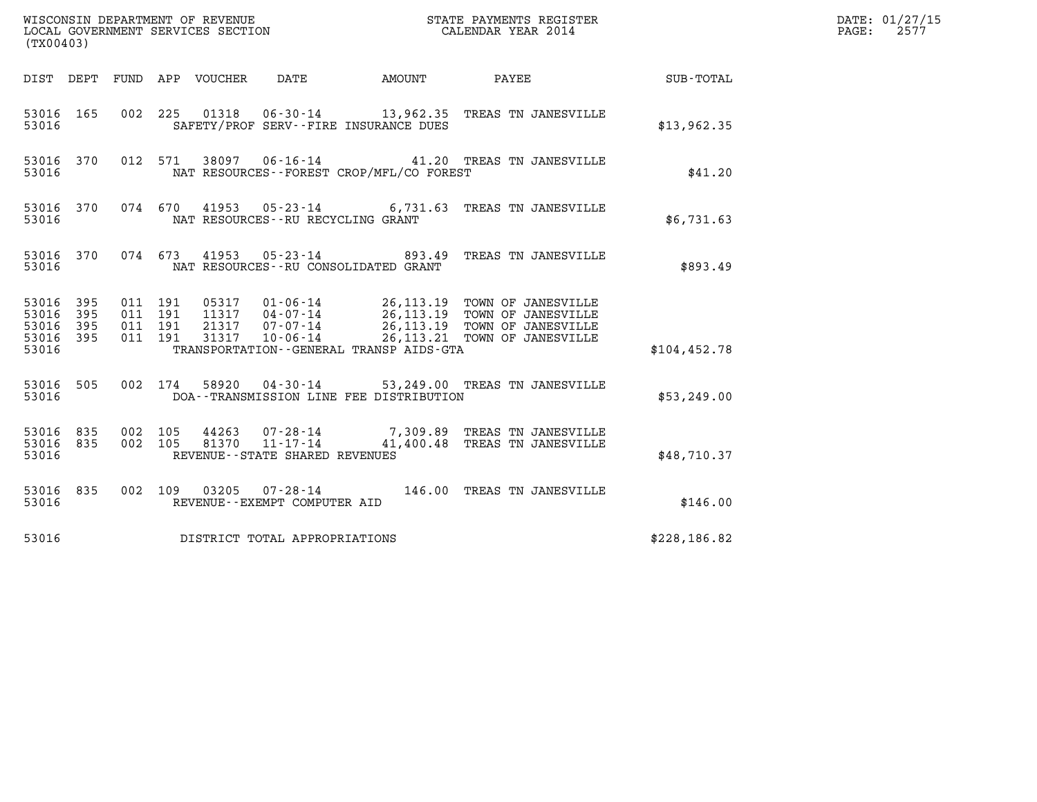| (TX00403)                                                       |                                          |                                      |                                                                                                                                                                                                                                             |                        |               | DATE: 01/27/15<br>$\mathtt{PAGE}$ :<br>2577 |
|-----------------------------------------------------------------|------------------------------------------|--------------------------------------|---------------------------------------------------------------------------------------------------------------------------------------------------------------------------------------------------------------------------------------------|------------------------|---------------|---------------------------------------------|
|                                                                 |                                          | DIST DEPT FUND APP VOUCHER DATE      |                                                                                                                                                                                                                                             | AMOUNT PAYEE SUB-TOTAL |               |                                             |
| 53016 165<br>53016                                              | 002 225                                  |                                      | 01318  06-30-14  13,962.35  TREAS TN JANESVILLE<br>SAFETY/PROF SERV--FIRE INSURANCE DUES                                                                                                                                                    |                        | \$13,962.35   |                                             |
| 53016 370<br>53016                                              |                                          |                                      | 012 571 38097 06-16-14 41.20 TREAS TN JANESVILLE<br>NAT RESOURCES--FOREST CROP/MFL/CO FOREST                                                                                                                                                |                        | \$41.20       |                                             |
| 53016 370<br>53016                                              |                                          | NAT RESOURCES - - RU RECYCLING GRANT | 074 670 41953 05-23-14 6,731.63 TREAS TN JANESVILLE                                                                                                                                                                                         |                        | \$6,731.63    |                                             |
| 53016 370<br>53016                                              |                                          |                                      | 074  673  41953  05-23-14  893.49  TREAS TN JANESVILLE<br>NAT RESOURCES -- RU CONSOLIDATED GRANT                                                                                                                                            |                        | \$893.49      |                                             |
| 53016 395<br>53016<br>395<br>53016<br>395<br>53016 395<br>53016 | 011 191<br>011 191<br>011 191<br>011 191 |                                      | 05317  01-06-14  26,113.19 TOWN OF JANESVILLE<br>11317  04-07-14  26,113.19 TOWN OF JANESVILLE<br>21317  07-07-14  26,113.19 TOWN OF JANESVILLE<br>31317  10-06-14  26,113.21 TOWN OF JANESVILLE<br>TRANSPORTATION--GENERAL TRANSP AIDS-GTA |                        | \$104, 452.78 |                                             |
| 53016 505<br>53016                                              |                                          | 002 174                              | 58920  04-30-14  53,249.00  TREAS TN JANESVILLE<br>DOA--TRANSMISSION LINE FEE DISTRIBUTION                                                                                                                                                  |                        | \$53,249.00   |                                             |
| 53016 835<br>53016 835<br>53016                                 | 002 105<br>002 105                       | REVENUE - - STATE SHARED REVENUES    | 44263  07-28-14  7,309.89  TREAS TN JANESVILLE<br>81370  11-17-14  41,400.48  TREAS TN JANESVILLE                                                                                                                                           |                        | \$48,710.37   |                                             |
| 53016 835<br>53016                                              |                                          | REVENUE--EXEMPT COMPUTER AID         | 002 109 03205 07-28-14 146.00 TREAS TN JANESVILLE                                                                                                                                                                                           |                        | \$146.00      |                                             |
| 53016                                                           |                                          | DISTRICT TOTAL APPROPRIATIONS        |                                                                                                                                                                                                                                             |                        | \$228, 186.82 |                                             |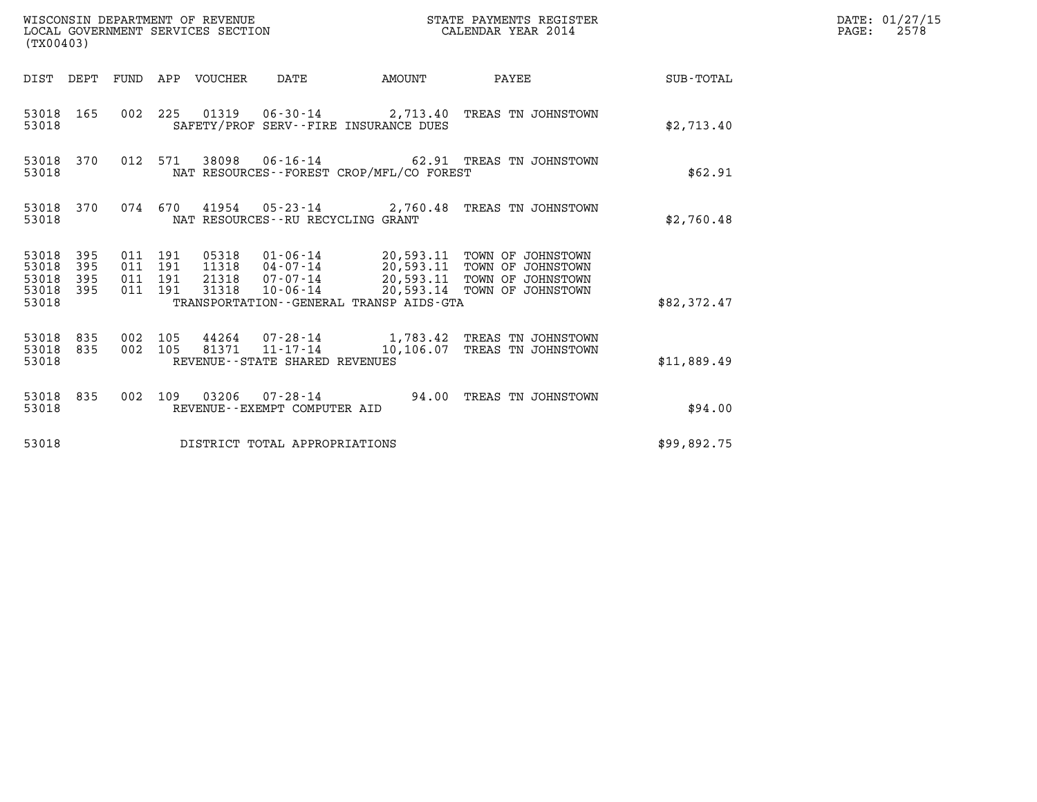| WISCONSIN DEPARTMENT OF REVENUE<br>(TX00403)                    | LOCAL GOVERNMENT SERVICES SECTION                                                                                                                                                                                                                                                            | STATE PAYMENTS REGISTER<br>CALENDAR YEAR 2014 |                  | DATE: 01/27/15<br>$\mathtt{PAGE:}$<br>2578 |
|-----------------------------------------------------------------|----------------------------------------------------------------------------------------------------------------------------------------------------------------------------------------------------------------------------------------------------------------------------------------------|-----------------------------------------------|------------------|--------------------------------------------|
|                                                                 | DIST DEPT FUND APP VOUCHER DATE<br>AMOUNT                                                                                                                                                                                                                                                    | PAYEE                                         | <b>SUB-TOTAL</b> |                                            |
| 53018 165<br>53018                                              | 002 225 01319 06-30-14 2,713.40 TREAS TN JOHNSTOWN<br>SAFETY/PROF SERV--FIRE INSURANCE DUES                                                                                                                                                                                                  |                                               | \$2,713.40       |                                            |
| 53018 370<br>53018                                              | 012 571<br>38098  06-16-14  62.91  TREAS TN JOHNSTOWN<br>NAT RESOURCES--FOREST CROP/MFL/CO FOREST                                                                                                                                                                                            |                                               | \$62.91          |                                            |
| 53018 370<br>53018                                              | 074 670 41954 05-23-14 2,760.48 TREAS TN JOHNSTOWN<br>NAT RESOURCES - - RU RECYCLING GRANT                                                                                                                                                                                                   |                                               | \$2,760.48       |                                            |
| 53018 395<br>53018<br>395<br>53018<br>395<br>53018 395<br>53018 | 011 191<br>05318  01-06-14  20,593.11  TOWN OF JOHNSTOWN<br>11318  04-07-14  20,593.11  TOWN OF JOHNSTOWN<br>011 191<br>07-07-14 20,593.11 TOWN OF JOHNSTOWN<br>011 191<br>21318<br>10-06-14 20,593.14 TOWN OF JOHNSTOWN<br>011 191<br>31318<br>TRANSPORTATION - - GENERAL TRANSP AIDS - GTA |                                               | \$82,372.47      |                                            |
| 53018 835<br>53018 835<br>53018                                 | 002 105<br>44264 07-28-14 1,783.42 TREAS TN JOHNSTOWN<br>81371 11-17-14<br>002 105<br>REVENUE - - STATE SHARED REVENUES                                                                                                                                                                      | 10,106.07 TREAS TN JOHNSTOWN                  | \$11,889.49      |                                            |
| 53018 835<br>53018                                              | 002 109 03206 07-28-14 94.00 TREAS TN JOHNSTOWN<br>REVENUE--EXEMPT COMPUTER AID                                                                                                                                                                                                              |                                               | \$94.00          |                                            |
| 53018                                                           | DISTRICT TOTAL APPROPRIATIONS                                                                                                                                                                                                                                                                |                                               | \$99,892.75      |                                            |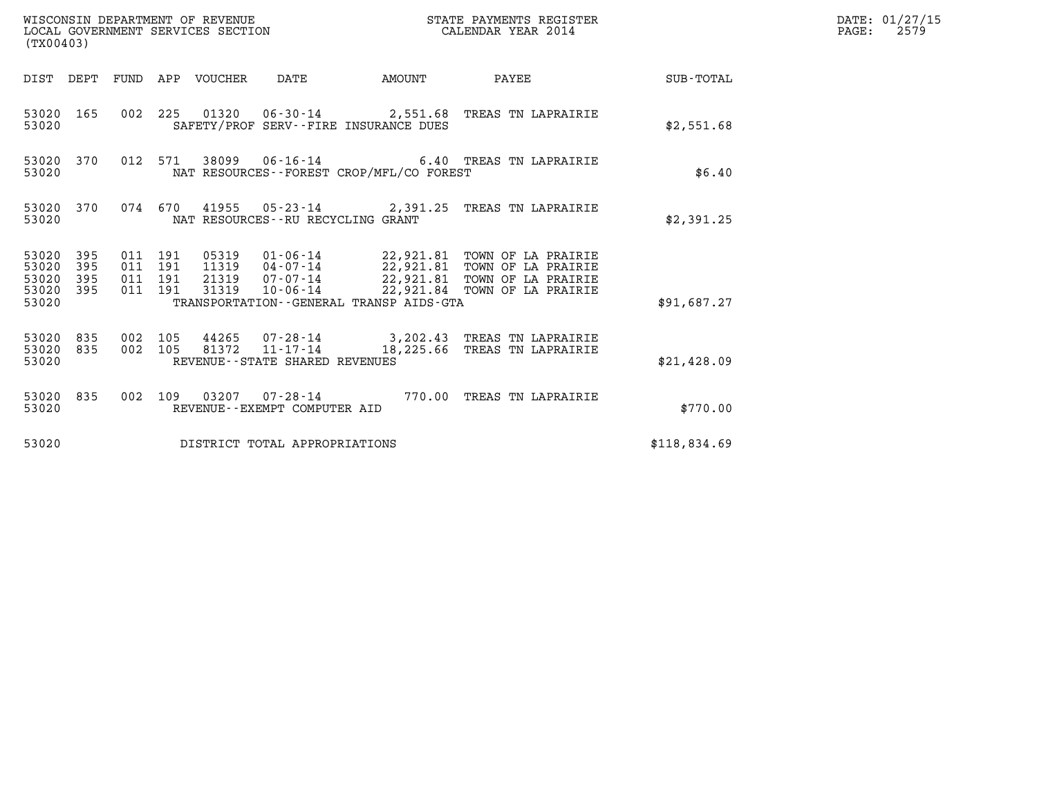| (TX00403)                            |                         |                                          |         | WISCONSIN DEPARTMENT OF REVENUE | WISCONSIN DEPARTMENT OF REVENUE<br>LOCAL GOVERNMENT SERVICES SECTION |                                          | STATE PAYMENTS REGISTER<br>CALENDAR YEAR 2014                              |              | DATE: 01/27/15<br>$\mathtt{PAGE:}$<br>2579 |
|--------------------------------------|-------------------------|------------------------------------------|---------|---------------------------------|----------------------------------------------------------------------|------------------------------------------|----------------------------------------------------------------------------|--------------|--------------------------------------------|
|                                      |                         |                                          |         | DIST DEPT FUND APP VOUCHER DATE |                                                                      | AMOUNT                                   | PAYEE SUB-TOTAL                                                            |              |                                            |
| 53020                                | 53020 165               |                                          |         |                                 |                                                                      | SAFETY/PROF SERV--FIRE INSURANCE DUES    | 002 225 01320 06-30-14 2,551.68 TREAS TN LAPRAIRIE                         | \$2,551.68   |                                            |
| 53020                                | 53020 370               |                                          | 012 571 |                                 |                                                                      | NAT RESOURCES--FOREST CROP/MFL/CO FOREST | 38099   06-16-14   6.40 TREAS TN LAPRAIRIE                                 | \$6.40       |                                            |
| 53020                                |                         |                                          |         |                                 | NAT RESOURCES - - RU RECYCLING GRANT                                 |                                          | 53020 370 074 670 41955 05-23-14 2,391.25 TREAS TN LAPRAIRIE               | \$2,391.25   |                                            |
| 53020 395<br>53020<br>53020<br>53020 | 395<br>395<br>53020 395 | 011 191<br>011 191<br>011 191<br>011 191 |         |                                 |                                                                      | TRANSPORTATION--GENERAL TRANSP AIDS-GTA  | 31319  10-06-14  22,921.84  TOWN OF LA PRAIRIE                             | \$91,687.27  |                                            |
| 53020                                | 53020 835<br>53020 835  | 002 105<br>002 105                       |         |                                 | $81372$ $11 - 17 - 14$<br>REVENUE--STATE SHARED REVENUES             |                                          | 44265 07-28-14 3,202.43 TREAS TN LAPRAIRIE<br>18,225.66 TREAS TN LAPRAIRIE | \$21,428.09  |                                            |
| 53020                                |                         |                                          |         |                                 | REVENUE--EXEMPT COMPUTER AID                                         |                                          | 53020 835 002 109 03207 07-28-14 770.00 TREAS TN LAPRAIRIE                 | \$770.00     |                                            |
| 53020                                |                         |                                          |         |                                 | DISTRICT TOTAL APPROPRIATIONS                                        |                                          |                                                                            | \$118,834.69 |                                            |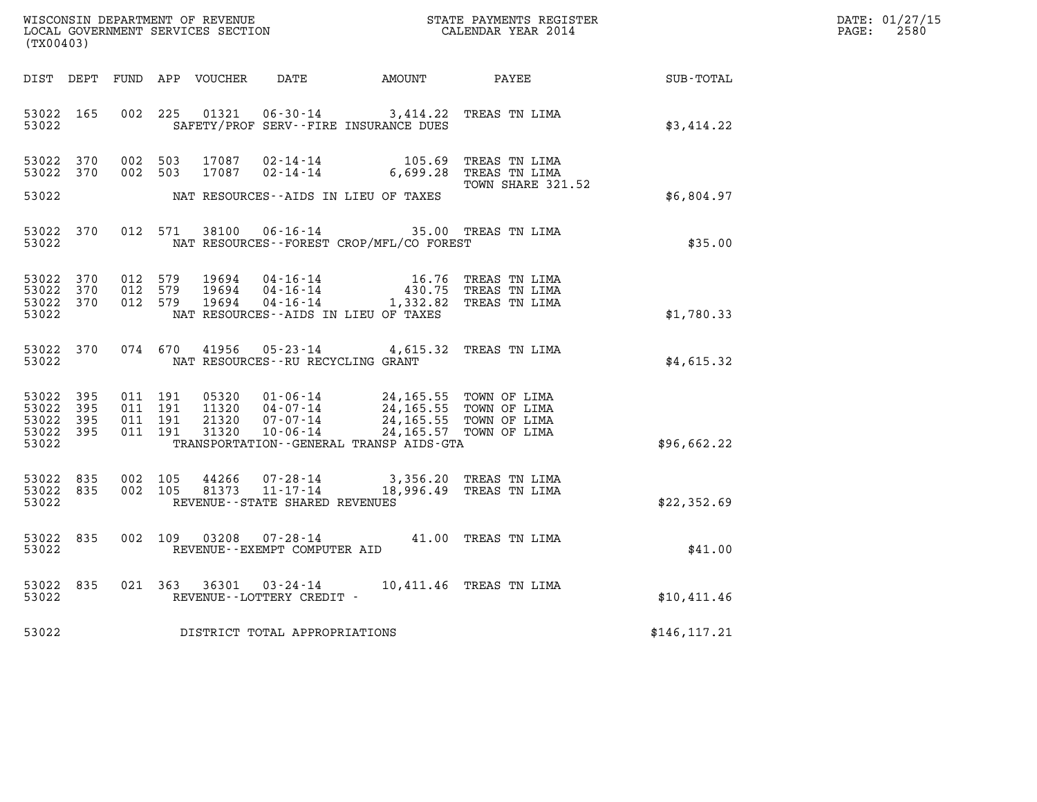| DATE: | 01/27/15 |
|-------|----------|
| PAGE: | 2580     |

| (TX00403)                                |                        |         |                               |               |                                   |                                                                                                                                                                                                                                                                                                            | WISCONSIN DEPARTMENT OF REVENUE<br>LOCAL GOVERNMENT SERVICES SECTION<br>CALENDAR YEAR 2014 |                                                                                       | DATE: 01/27/15<br>$\mathtt{PAGE:}$<br>2580 |
|------------------------------------------|------------------------|---------|-------------------------------|---------------|-----------------------------------|------------------------------------------------------------------------------------------------------------------------------------------------------------------------------------------------------------------------------------------------------------------------------------------------------------|--------------------------------------------------------------------------------------------|---------------------------------------------------------------------------------------|--------------------------------------------|
|                                          |                        |         |                               |               |                                   |                                                                                                                                                                                                                                                                                                            |                                                                                            | DIST DEPT FUND APP VOUCHER DATE AMOUNT PAYEE SUB-TOTAL                                |                                            |
| 53022                                    | 53022 165              |         |                               |               |                                   | 002 225 01321 06-30-14 3,414.22 TREAS TN LIMA<br>SAFETY/PROF SERV--FIRE INSURANCE DUES                                                                                                                                                                                                                     |                                                                                            | \$3,414.22                                                                            |                                            |
|                                          | 53022 370<br>53022 370 |         | 002 503                       | 002 503 17087 |                                   |                                                                                                                                                                                                                                                                                                            | TOWN SHARE 321.52                                                                          |                                                                                       |                                            |
| 53022                                    |                        |         |                               |               |                                   | NAT RESOURCES--AIDS IN LIEU OF TAXES                                                                                                                                                                                                                                                                       |                                                                                            | \$6,804.97                                                                            |                                            |
| 53022                                    | 53022 370              |         |                               |               |                                   |                                                                                                                                                                                                                                                                                                            |                                                                                            | 012 571 38100 06-16-14 35.00 TREAS TN LIMA<br>\$35.00 \$35.00 \$35.00 \$35.00 \$35.00 |                                            |
| 53022 370<br>53022 370<br>53022          | 53022 370              |         |                               |               |                                   | $\begin{array}{cccc} 012 & 579 & 19694 & 04\cdot 16\cdot 14 & 16\cdot 76 & \text{TREAS TN LIMA} \\ 012 & 579 & 19694 & 04\cdot 16\cdot 14 & 430.75 & \text{TREAS TN LIMA} \\ 012 & 579 & 19694 & 04\cdot 16\cdot 14 & 1,332.82 & \text{TREAS TN LIMA} \end{array}$<br>NAT RESOURCES--AIDS IN LIEU OF TAXES |                                                                                            | \$1,780.33                                                                            |                                            |
| 53022                                    | 53022 370              |         |                               |               | NAT RESOURCES--RU RECYCLING GRANT | 074 670 41956 05-23-14 4,615.32 TREAS TN LIMA                                                                                                                                                                                                                                                              |                                                                                            | \$4,615.32                                                                            |                                            |
| 53022<br>53022 395<br>53022 395<br>53022 | 395<br>53022 395       | 011 191 | 011 191<br>011 191<br>011 191 |               |                                   | 05320  01-06-14  24,165.55  TOWN OF LIMA<br>11320  04-07-14  24,165.55  TOWN OF LIMA<br>21320  07-07-14  24,165.55  TOWN OF LIMA<br>31320  10-06-14  24,165.57  TOWN OF LIMA<br>TRANSPORTATION - - GENERAL TRANSP AIDS - GTA                                                                               |                                                                                            | \$96,662.22                                                                           |                                            |
| 53022                                    | 53022 835<br>53022 835 |         | 002 105<br>002 105            |               | REVENUE - - STATE SHARED REVENUES | 44266 07-28-14 3,356.20 TREAS TN LIMA<br>81373 11-17-14 18,996.49 TREAS TN LIMA                                                                                                                                                                                                                            |                                                                                            | \$22,352.69                                                                           |                                            |
| 53022                                    | 53022 835              |         |                               |               | REVENUE--EXEMPT COMPUTER AID      | 002 109 03208 07-28-14 41.00 TREAS TN LIMA                                                                                                                                                                                                                                                                 |                                                                                            | \$41.00                                                                               |                                            |
| 53022<br>53022                           | 835                    |         |                               |               | REVENUE--LOTTERY CREDIT -         | 021 363 36301 03-24-14 10,411.46 TREAS TN LIMA                                                                                                                                                                                                                                                             |                                                                                            | \$10,411.46                                                                           |                                            |
| 53022                                    |                        |         |                               |               | DISTRICT TOTAL APPROPRIATIONS     |                                                                                                                                                                                                                                                                                                            |                                                                                            | \$146, 117.21                                                                         |                                            |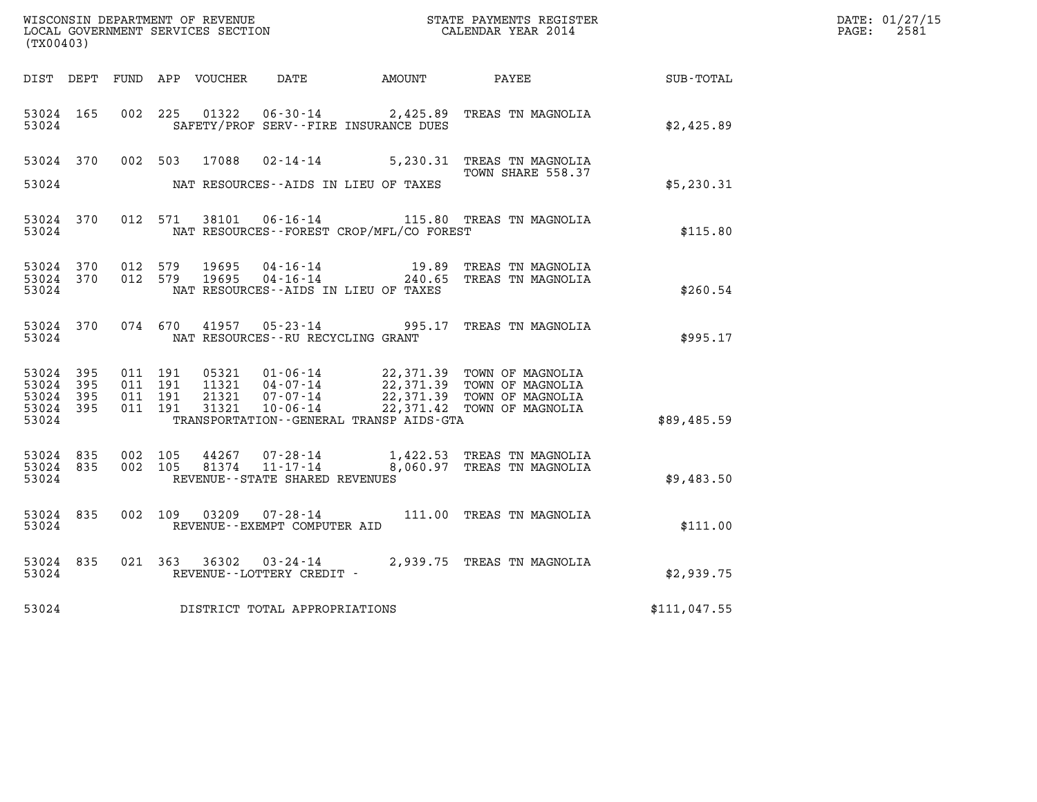| (TX00403)                                         |            |                               |         |                                         |                                              | WISCONSIN DEPARTMENT OF REVENUE<br>LOCAL GOVERNMENT SERVICES SECTION<br>CALENDAR YEAR 2014                                                                                                             |                  | DATE: 01/27/15<br>$\mathtt{PAGE:}$<br>2581 |
|---------------------------------------------------|------------|-------------------------------|---------|-----------------------------------------|----------------------------------------------|--------------------------------------------------------------------------------------------------------------------------------------------------------------------------------------------------------|------------------|--------------------------------------------|
|                                                   |            |                               |         |                                         | DIST DEPT FUND APP VOUCHER DATE AMOUNT PAYEE |                                                                                                                                                                                                        | <b>SUB-TOTAL</b> |                                            |
| 53024 165<br>53024                                |            |                               |         |                                         | SAFETY/PROF SERV--FIRE INSURANCE DUES        | 002 225 01322 06-30-14 2,425.89 TREAS TN MAGNOLIA                                                                                                                                                      | \$2,425.89       |                                            |
|                                                   |            |                               |         |                                         |                                              | 53024 370 002 503 17088 02-14-14 5,230.31 TREAS TN MAGNOLIA<br>TOWN SHARE 558.37                                                                                                                       |                  |                                            |
| 53024                                             |            |                               |         |                                         | NAT RESOURCES--AIDS IN LIEU OF TAXES         |                                                                                                                                                                                                        | \$5,230.31       |                                            |
| 53024                                             | 53024 370  |                               |         |                                         | NAT RESOURCES - - FOREST CROP/MFL/CO FOREST  | 012 571 38101 06-16-14 115.80 TREAS TN MAGNOLIA                                                                                                                                                        | \$115.80         |                                            |
| 53024 370<br>53024                                | 53024 370  |                               |         |                                         | NAT RESOURCES--AIDS IN LIEU OF TAXES         | 012 579 19695 04-16-14 19.89 TREAS TN MAGNOLIA<br>012 579 19695 04-16-14 240.65 TREAS TN MAGNOLIA                                                                                                      | \$260.54         |                                            |
|                                                   | 53024 370  |                               |         | 53024 NAT RESOURCES--RU RECYCLING GRANT |                                              | 074 670 41957 05-23-14 995.17 TREAS TN MAGNOLIA                                                                                                                                                        | \$995.17         |                                            |
| 53024 395<br>53024<br>53024<br>53024 395<br>53024 | 395<br>395 | 011 191<br>011 191<br>011 191 | 011 191 |                                         | TRANSPORTATION--GENERAL TRANSP AIDS-GTA      | 05321 01-06-14 22,371.39 TOWN OF MAGNOLIA<br>11321 04-07-14 22,371.39 TOWN OF MAGNOLIA<br>21321 07-07-14 22,371.39 TOWN OF MAGNOLIA<br>31321 10-06-14 22,371.42 TOWN OF MAGNOLIA                       | \$89,485.59      |                                            |
| 53024 835<br>53024                                | 53024 835  |                               |         | REVENUE--STATE SHARED REVENUES          |                                              | $\begin{array}{cccc} 002 & 105 & 44267 & 07\text{-}28\text{-}14 & 1,422.53 & \text{TREAS TN MAGNOLIA} \\ 002 & 105 & 81374 & 11\text{-}17\text{-}14 & 8,060.97 & \text{TREAS TN MAGNOLIA} \end{array}$ | \$9,483.50       |                                            |
| 53024                                             | 53024 835  |                               |         | REVENUE--EXEMPT COMPUTER AID            |                                              | 002 109 03209 07-28-14 111.00 TREAS TN MAGNOLIA                                                                                                                                                        | \$111.00         |                                            |
| 53024                                             | 53024 835  |                               |         | REVENUE--LOTTERY CREDIT -               |                                              | 021 363 36302 03-24-14 2,939.75 TREAS TN MAGNOLIA                                                                                                                                                      | \$2,939.75       |                                            |
| 53024                                             |            |                               |         | DISTRICT TOTAL APPROPRIATIONS           |                                              |                                                                                                                                                                                                        | \$111,047.55     |                                            |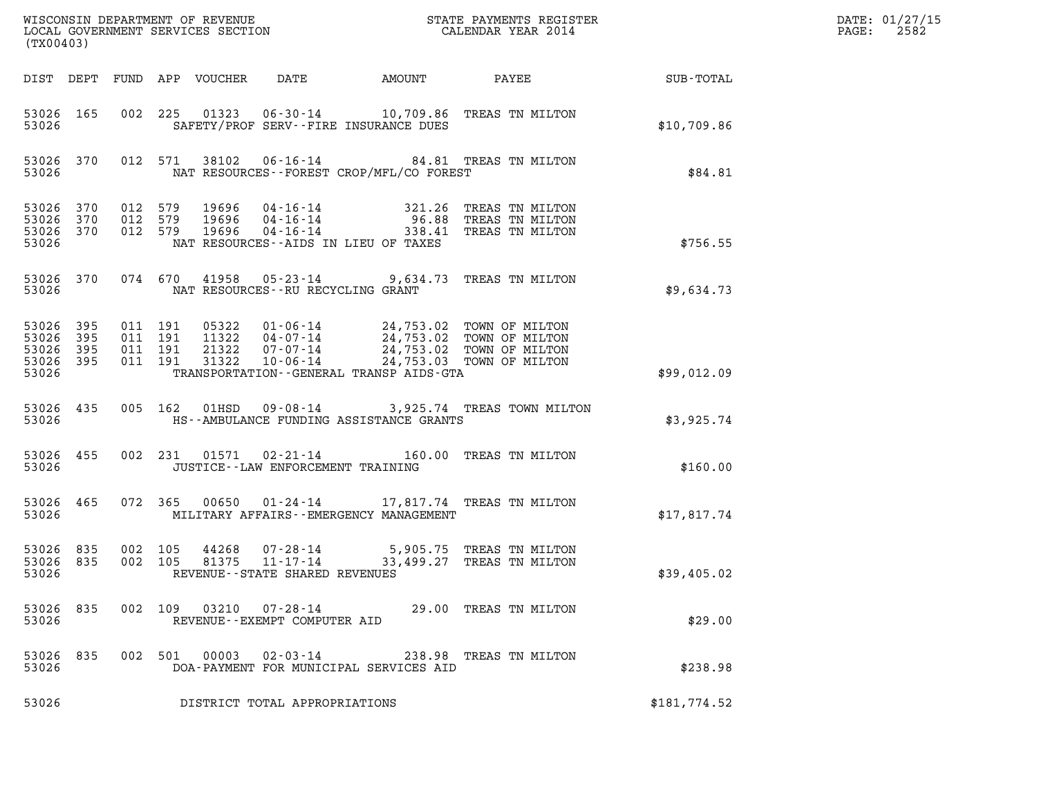| (TX00403)                                             |           |                                          |         |                            |                                                          |                                                                                                                                    |              | DATE: 01/27/15<br>2582<br>$\mathtt{PAGE:}$ |
|-------------------------------------------------------|-----------|------------------------------------------|---------|----------------------------|----------------------------------------------------------|------------------------------------------------------------------------------------------------------------------------------------|--------------|--------------------------------------------|
|                                                       |           |                                          |         | DIST DEPT FUND APP VOUCHER | DATE                                                     | AMOUNT PAYEE SUB-TOTAL                                                                                                             |              |                                            |
| 53026                                                 | 53026 165 |                                          |         |                            | SAFETY/PROF SERV--FIRE INSURANCE DUES                    | 002 225 01323 06-30-14 10,709.86 TREAS TN MILTON                                                                                   | \$10,709.86  |                                            |
| 53026                                                 | 53026 370 |                                          |         |                            | NAT RESOURCES--FOREST CROP/MFL/CO FOREST                 | 012 571 38102 06-16-14 84.81 TREAS TN MILTON                                                                                       | \$84.81      |                                            |
| 53026 370<br>53026 370<br>53026 370<br>53026          |           | 012 579<br>012 579                       | 012 579 |                            | NAT RESOURCES -- AIDS IN LIEU OF TAXES                   | 19696   04-16-14   321.26 TREAS TN MILTON<br>19696   04-16-14   96.88 TREAS TN MILTON<br>19696   04-16-14   338.41 TREAS TN MILTON | \$756.55     |                                            |
| 53026 370<br>53026                                    |           |                                          |         |                            | NAT RESOURCES - - RU RECYCLING GRANT                     | 074 670 41958 05-23-14 9,634.73 TREAS TN MILTON                                                                                    | \$9,634.73   |                                            |
| 53026 395<br>53026<br>53026 395<br>53026 395<br>53026 | 395       | 011 191<br>011 191<br>011 191<br>011 191 |         |                            | TRANSPORTATION--GENERAL TRANSP AIDS-GTA                  |                                                                                                                                    | \$99,012.09  |                                            |
| 53026                                                 | 53026 435 |                                          |         |                            | HS--AMBULANCE FUNDING ASSISTANCE GRANTS                  | 005 162 01HSD 09-08-14 3,925.74 TREAS TOWN MILTON                                                                                  | \$3,925.74   |                                            |
| 53026                                                 | 53026 455 |                                          |         |                            | JUSTICE--LAW ENFORCEMENT TRAINING                        | 002 231 01571 02-21-14 160.00 TREAS TN MILTON                                                                                      | \$160.00     |                                            |
| 53026                                                 | 53026 465 |                                          |         |                            | MILITARY AFFAIRS - - EMERGENCY MANAGEMENT                | 072 365 00650 01-24-14 17,817.74 TREAS TN MILTON                                                                                   | \$17,817.74  |                                            |
| 53026 835<br>53026 835<br>53026                       |           | 002 105<br>002 105                       |         | 81375                      | 11-17-14<br>REVENUE - - STATE SHARED REVENUES            | 44268 07-28-14 5,905.75 TREAS TN MILTON<br>33,499.27 TREAS TN MILTON                                                               | \$39,405.02  |                                            |
| 53026 835<br>53026                                    |           |                                          |         |                            | REVENUE--EXEMPT COMPUTER AID                             | 002 109 03210 07-28-14 29.00 TREAS TN MILTON                                                                                       | \$29.00      |                                            |
| 53026 835<br>53026                                    |           |                                          |         | 002 501 00003              | $02 - 03 - 14$<br>DOA-PAYMENT FOR MUNICIPAL SERVICES AID | 238.98 TREAS TN MILTON                                                                                                             | \$238.98     |                                            |
| 53026                                                 |           |                                          |         |                            | DISTRICT TOTAL APPROPRIATIONS                            |                                                                                                                                    | \$181,774.52 |                                            |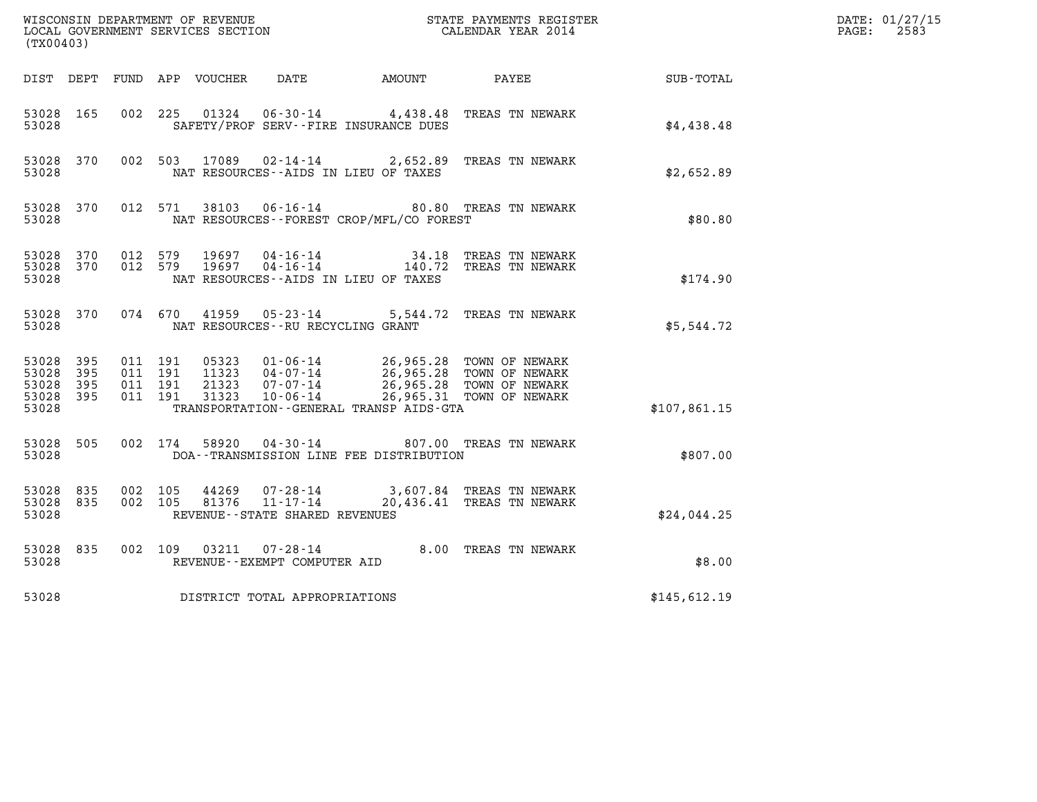| (TX00403)                                     |                   |                                          |         | WISCONSIN DEPARTMENT OF REVENUE<br>LOCAL GOVERNMENT SERVICES SECTION |                                                                      |                                                         | STATE PAYMENTS REGISTER<br>CALENDAR YEAR 2014                                                                |              | DATE: 01/27/15<br>$\mathtt{PAGE:}$<br>2583 |
|-----------------------------------------------|-------------------|------------------------------------------|---------|----------------------------------------------------------------------|----------------------------------------------------------------------|---------------------------------------------------------|--------------------------------------------------------------------------------------------------------------|--------------|--------------------------------------------|
| DIST DEPT                                     |                   |                                          |         | FUND APP VOUCHER                                                     | DATE                                                                 | <b>AMOUNT</b>                                           | PAYEE                                                                                                        | SUB-TOTAL    |                                            |
| 53028 165<br>53028                            |                   | 002 225                                  |         | 01324                                                                |                                                                      | SAFETY/PROF SERV--FIRE INSURANCE DUES                   | 06-30-14 4,438.48 TREAS TN NEWARK                                                                            | \$4,438.48   |                                            |
| 53028 370<br>53028                            |                   | 002 503                                  |         | 17089                                                                |                                                                      | NAT RESOURCES -- AIDS IN LIEU OF TAXES                  | 02-14-14 2,652.89 TREAS TN NEWARK                                                                            | \$2,652.89   |                                            |
| 53028 370<br>53028                            |                   |                                          | 012 571 | 38103                                                                |                                                                      | NAT RESOURCES--FOREST CROP/MFL/CO FOREST                | 06-16-14 80.80 TREAS TN NEWARK                                                                               | \$80.80      |                                            |
| 53028<br>53028 370<br>53028                   | 370               | 012 579<br>012 579                       |         | 19697<br>19697                                                       | $04 - 16 - 14$<br>$04 - 16 - 14$                                     | 34.18<br>140.72<br>NAT RESOURCES--AIDS IN LIEU OF TAXES | TREAS TN NEWARK<br>TREAS TN NEWARK                                                                           | \$174.90     |                                            |
| 53028 370<br>53028                            |                   | 074 670                                  |         | 41959                                                                | $05 - 23 - 14$<br>NAT RESOURCES - - RU RECYCLING GRANT               |                                                         | 5,544.72 TREAS TN NEWARK                                                                                     | \$5,544.72   |                                            |
| 53028 395<br>53028<br>53028<br>53028<br>53028 | 395<br>395<br>395 | 011 191<br>011 191<br>011 191<br>011 191 |         | 05323<br>11323<br>21323<br>31323                                     | $01 - 06 - 14$<br>$04 - 07 - 14$<br>$07 - 07 - 14$<br>$10 - 06 - 14$ | TRANSPORTATION--GENERAL TRANSP AIDS-GTA                 | 26,965.28 TOWN OF NEWARK<br>26,965.28 TOWN OF NEWARK<br>26,965.28 TOWN OF NEWARK<br>26,965.31 TOWN OF NEWARK | \$107,861.15 |                                            |
| 53028 505<br>53028                            |                   |                                          | 002 174 | 58920                                                                | $04 - 30 - 14$                                                       | DOA--TRANSMISSION LINE FEE DISTRIBUTION                 | 807.00 TREAS TN NEWARK                                                                                       | \$807.00     |                                            |
| 53028<br>53028 835<br>53028                   | 835               | 002<br>002 105                           | 105     | 44269<br>81376                                                       | 07-28-14<br>$11 - 17 - 14$<br>REVENUE - - STATE SHARED REVENUES      |                                                         | 3,607.84 TREAS TN NEWARK<br>20,436.41 TREAS TN NEWARK                                                        | \$24,044.25  |                                            |
| 53028 835<br>53028                            |                   | 002 109                                  |         |                                                                      | 03211 07-28-14<br>REVENUE--EXEMPT COMPUTER AID                       |                                                         | 8.00 TREAS TN NEWARK                                                                                         | \$8.00       |                                            |
| 53028                                         |                   |                                          |         |                                                                      | DISTRICT TOTAL APPROPRIATIONS                                        |                                                         |                                                                                                              | \$145,612.19 |                                            |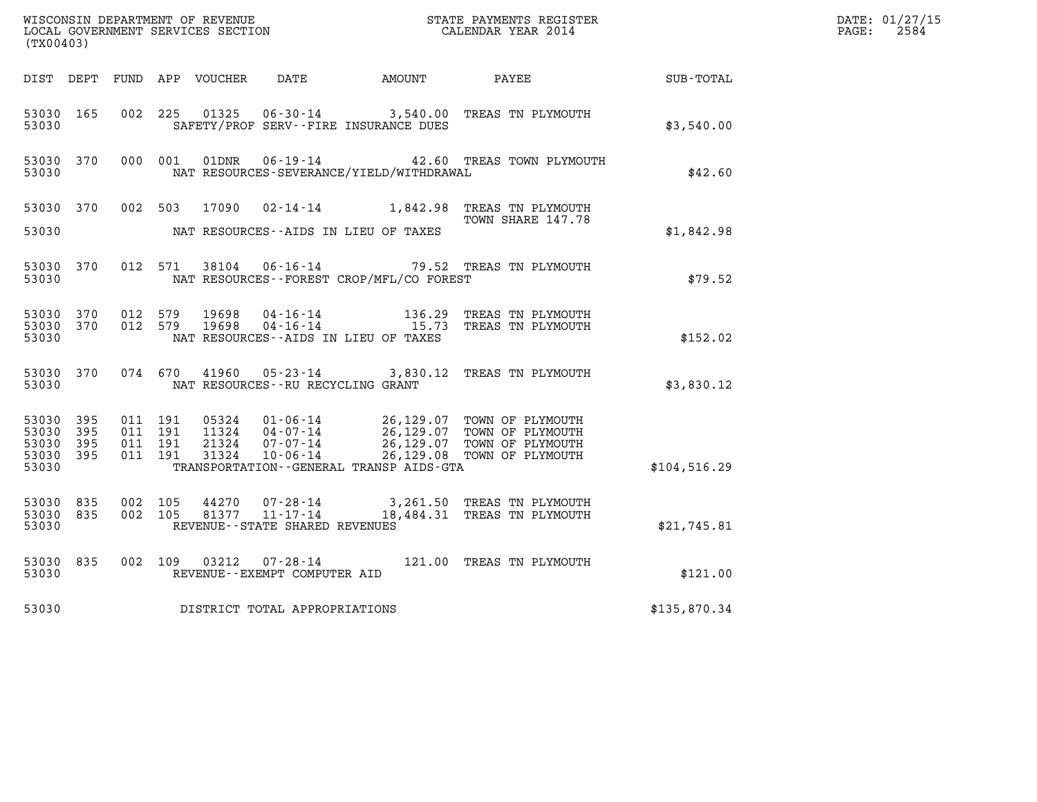| (TX00403)                                         |              |                                          |         |                                  |                                                        |                                          | $\tt WISCONSIM DEPARTMENT OF REVENUE$ $\tt WISCONSIMENT$ SERVICES SECTION $\tt WISCONERNMENT$ SERVICES SECTION $\tt CALENDAR$ YEAR 2014 |                  | DATE: 01/27/15<br>$\mathtt{PAGE:}$<br>2584 |
|---------------------------------------------------|--------------|------------------------------------------|---------|----------------------------------|--------------------------------------------------------|------------------------------------------|-----------------------------------------------------------------------------------------------------------------------------------------|------------------|--------------------------------------------|
|                                                   |              |                                          |         | DIST DEPT FUND APP VOUCHER       | DATE                                                   | <b>EXAMPLE THE AMOUNT</b>                | PAYEE                                                                                                                                   | <b>SUB-TOTAL</b> |                                            |
| 53030 165<br>53030                                |              | 002 225                                  |         | 01325                            |                                                        | SAFETY/PROF SERV--FIRE INSURANCE DUES    | 06-30-14 3,540.00 TREAS TN PLYMOUTH                                                                                                     | \$3,540.00       |                                            |
| 53030 370<br>53030                                |              |                                          | 000 001 | 01DNR                            |                                                        | NAT RESOURCES-SEVERANCE/YIELD/WITHDRAWAL | 06-19-14  42.60 TREAS TOWN PLYMOUTH                                                                                                     | \$42.60          |                                            |
| 53030 370                                         |              | 002 503                                  |         | 17090                            |                                                        |                                          | 02-14-14 1,842.98 TREAS TN PLYMOUTH<br>TOWN SHARE 147.78                                                                                |                  |                                            |
| 53030                                             |              |                                          |         |                                  |                                                        | NAT RESOURCES - AIDS IN LIEU OF TAXES    |                                                                                                                                         | \$1,842.98       |                                            |
| 53030 370<br>53030                                |              | 012 571                                  |         |                                  |                                                        | NAT RESOURCES--FOREST CROP/MFL/CO FOREST | 38104  06-16-14  79.52  TREAS TN PLYMOUTH                                                                                               | \$79.52          |                                            |
| 53030 370<br>53030 370<br>53030                   |              | 012 579<br>012 579                       |         | 19698<br>19698                   |                                                        | NAT RESOURCES--AIDS IN LIEU OF TAXES     | 04-16-14 136.29 TREAS TN PLYMOUTH<br>04-16-14 15.73 TREAS TN PLYMOUTH                                                                   | \$152.02         |                                            |
| 53030 370<br>53030                                |              | 074 670                                  |         | 41960                            | NAT RESOURCES - - RU RECYCLING GRANT                   |                                          | 05-23-14 3,830.12 TREAS TN PLYMOUTH                                                                                                     | \$3,830.12       |                                            |
| 53030 395<br>53030<br>53030<br>53030 395<br>53030 | 395<br>- 395 | 011 191<br>011 191<br>011 191<br>011 191 |         | 05324<br>11324<br>21324<br>31324 | $01 - 06 - 14$<br>07-07-14<br>10-06-14                 | TRANSPORTATION--GENERAL TRANSP AIDS-GTA  | 26,129.07 TOWN OF PLYMOUTH<br>04-07-14 26,129.07 TOWN OF PLYMOUTH<br>26,129.07 TOWN OF PLYMOUTH<br>26,129.08 TOWN OF PLYMOUTH           | \$104,516.29     |                                            |
| 53030 835<br>53030 835<br>53030                   |              | 002 105<br>002 105                       |         | 44270<br>81377                   | 07-28-14<br>11-17-14<br>REVENUE--STATE SHARED REVENUES |                                          | 3,261.50 TREAS TN PLYMOUTH<br>18,484.31 TREAS TN PLYMOUTH                                                                               | \$21,745.81      |                                            |
| 53030 835<br>53030                                |              | 002 109                                  |         |                                  | REVENUE--EXEMPT COMPUTER AID                           |                                          | 121.00 TREAS TN PLYMOUTH                                                                                                                | \$121.00         |                                            |
| 53030                                             |              |                                          |         |                                  | DISTRICT TOTAL APPROPRIATIONS                          |                                          |                                                                                                                                         | \$135,870.34     |                                            |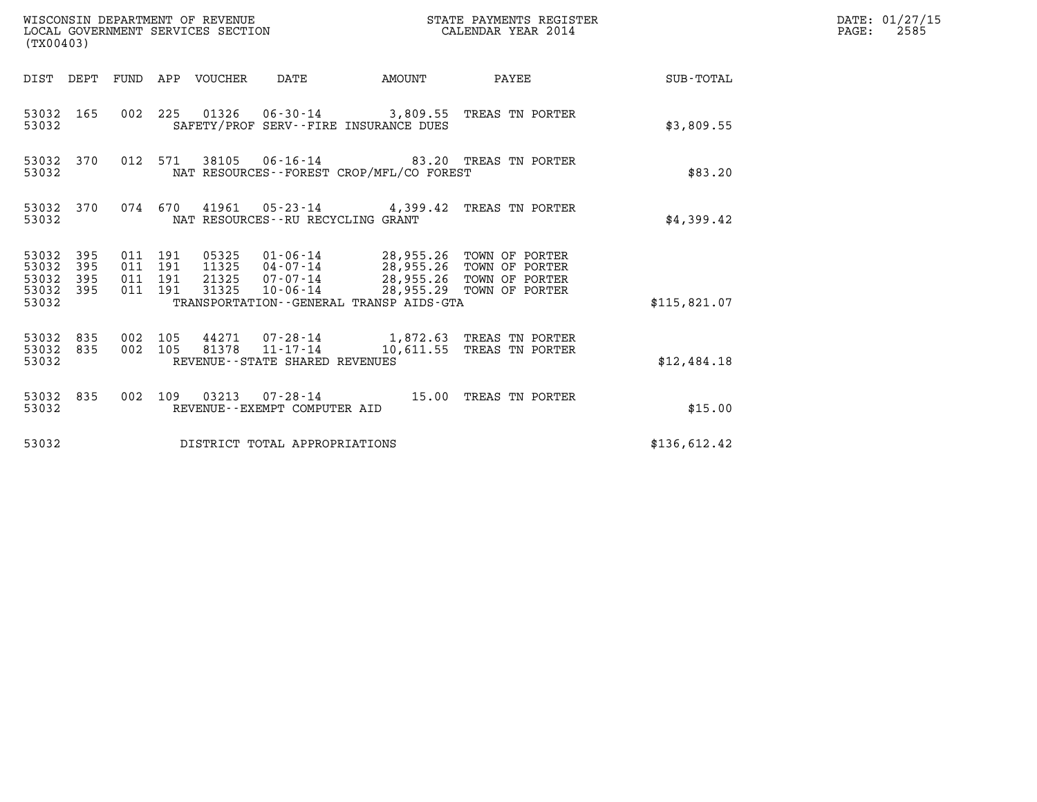| (TX00403)                                         |            |                                          |         | WISCONSIN DEPARTMENT OF REVENUE | WISCONSIN DEPARTMENT OF REVENUE<br>LOCAL GOVERNMENT SERVICES SECTION |                                                                                                                                                                                                                     | STATE PAYMENTS REGISTER<br>CALENDAR YEAR 2014                             |                 | DATE: 01/27/15<br>$\mathtt{PAGE:}$<br>2585 |
|---------------------------------------------------|------------|------------------------------------------|---------|---------------------------------|----------------------------------------------------------------------|---------------------------------------------------------------------------------------------------------------------------------------------------------------------------------------------------------------------|---------------------------------------------------------------------------|-----------------|--------------------------------------------|
|                                                   |            |                                          |         | DIST DEPT FUND APP VOUCHER DATE |                                                                      | AMOUNT                                                                                                                                                                                                              |                                                                           | PAYEE SUB-TOTAL |                                            |
| 53032 165<br>53032                                |            |                                          |         |                                 |                                                                      | SAFETY/PROF SERV--FIRE INSURANCE DUES                                                                                                                                                                               | 002 225 01326 06-30-14 3,809.55 TREAS TN PORTER                           | \$3,809.55      |                                            |
| 53032 370<br>53032                                |            |                                          | 012 571 |                                 |                                                                      | NAT RESOURCES--FOREST CROP/MFL/CO FOREST                                                                                                                                                                            | 38105  06-16-14  83.20  TREAS TN PORTER                                   | \$83.20         |                                            |
| 53032 370<br>53032                                |            |                                          |         |                                 | NAT RESOURCES - - RU RECYCLING GRANT                                 |                                                                                                                                                                                                                     | 074 670 41961 05-23-14 4,399.42 TREAS TN PORTER                           | \$4,399.42      |                                            |
| 53032 395<br>53032<br>53032<br>53032 395<br>53032 | 395<br>395 | 011 191<br>011 191<br>011 191<br>011 191 |         | 31325                           |                                                                      | 05325  01-06-14  28,955.26  TOWN OF PORTER<br>11325  04-07-14  28,955.26  TOWN OF PORTER<br>21325 07-07-14 28,955.26 TOWN OF PORTER<br>10-06-14 28,955.29 TOWN OF PORTER<br>TRANSPORTATION--GENERAL TRANSP AIDS-GTA |                                                                           | \$115.821.07    |                                            |
| 53032 835<br>53032 835<br>53032                   |            | 002 105<br>002 105                       |         |                                 | 81378 11-17-14<br>REVENUE - - STATE SHARED REVENUES                  |                                                                                                                                                                                                                     | 44271  07-28-14   1,872.63   TREAS TN PORTER<br>10,611.55 TREAS TN PORTER | \$12,484.18     |                                            |
| 53032 835<br>53032                                |            |                                          |         |                                 | REVENUE--EXEMPT COMPUTER AID                                         |                                                                                                                                                                                                                     | 002 109 03213 07-28-14 15.00 TREAS TN PORTER                              | \$15.00         |                                            |
| 53032                                             |            |                                          |         |                                 | DISTRICT TOTAL APPROPRIATIONS                                        |                                                                                                                                                                                                                     |                                                                           | \$136,612.42    |                                            |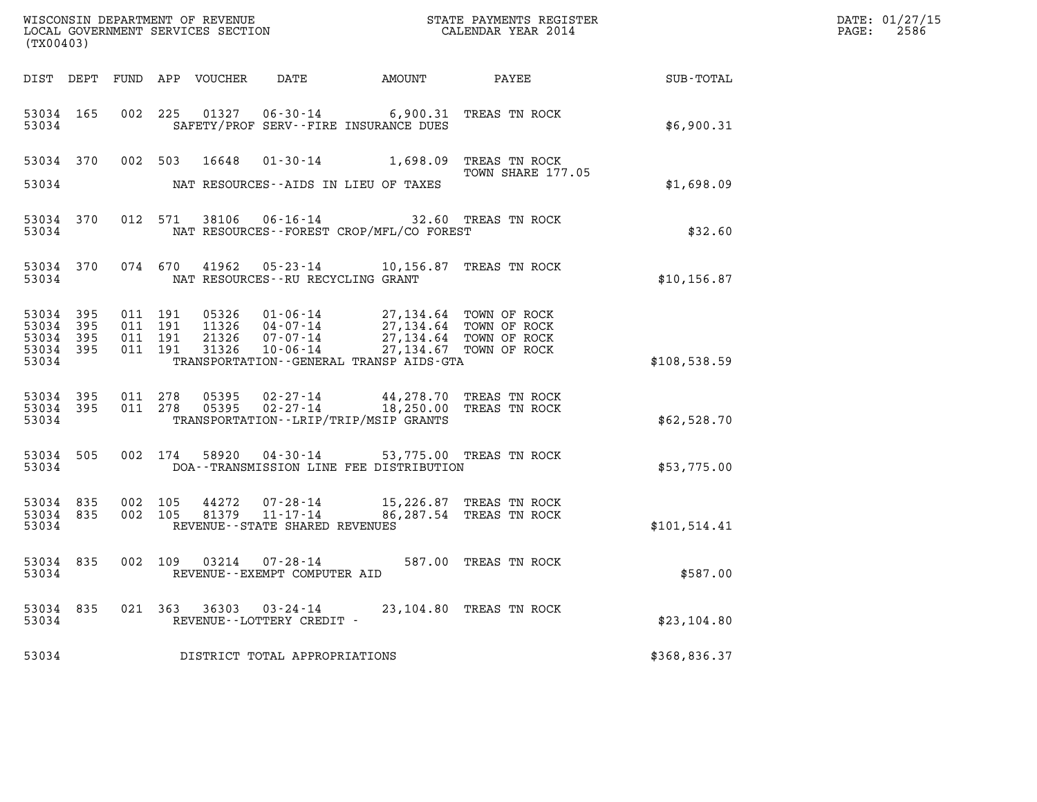| (TX00403)                                         |             |                                          |                                  |                                                           |                                                                                                                                                  |                         |              | DATE: 01/27/15<br>$\mathtt{PAGE:}$<br>2586 |
|---------------------------------------------------|-------------|------------------------------------------|----------------------------------|-----------------------------------------------------------|--------------------------------------------------------------------------------------------------------------------------------------------------|-------------------------|--------------|--------------------------------------------|
|                                                   |             |                                          | DIST DEPT FUND APP VOUCHER       | DATE                                                      |                                                                                                                                                  | AMOUNT PAYEE            | SUB-TOTAL    |                                            |
| 53034 165<br>53034                                |             |                                          |                                  |                                                           | 002 225 01327 06-30-14 6,900.31 TREAS TN ROCK<br>SAFETY/PROF SERV--FIRE INSURANCE DUES                                                           |                         | \$6,900.31   |                                            |
| 53034                                             |             |                                          | 53034 370 002 503 16648          |                                                           | 01-30-14 1,698.09 TREAS TN ROCK<br>NAT RESOURCES--AIDS IN LIEU OF TAXES                                                                          | TOWN SHARE 177.05       | \$1,698.09   |                                            |
| 53034                                             | 53034 370   |                                          |                                  |                                                           | 012 571 38106 06-16-14 32.60 TREAS TN ROCK<br>NAT RESOURCES - - FOREST CROP/MFL/CO FOREST                                                        |                         | \$32.60      |                                            |
| 53034                                             | 53034 370   |                                          |                                  | NAT RESOURCES--RU RECYCLING GRANT                         | 074 670 41962 05-23-14 10,156.87 TREAS TN ROCK                                                                                                   |                         | \$10, 156.87 |                                            |
| 53034<br>53034 395<br>53034<br>53034 395<br>53034 | 395<br>-395 | 011 191<br>011 191<br>011 191<br>011 191 | 05326<br>11326<br>21326<br>31326 | 10-06-14                                                  | 01-06-14 27,134.64 TOWN OF ROCK<br>04-07-14 27,134.64 TOWN OF ROCK<br>07-07-14 27,134.64 TOWN OF ROCK<br>TRANSPORTATION--GENERAL TRANSP AIDS-GTA | 27,134.67 TOWN OF ROCK  | \$108,538.59 |                                            |
| 53034 395<br>53034                                | 53034 395   | 011 278<br>011 278                       | 05395<br>05395                   |                                                           | 02-27-14 44,278.70 TREAS TN ROCK<br>02-27-14 18,250.00 TREAS TN ROCK<br>TRANSPORTATION - - LRIP/TRIP/MSIP GRANTS                                 |                         | \$62,528.70  |                                            |
| 53034 505<br>53034                                |             |                                          |                                  |                                                           | 002 174 58920 04-30-14 53,775.00 TREAS TN ROCK<br>DOA--TRANSMISSION LINE FEE DISTRIBUTION                                                        |                         | \$53,775.00  |                                            |
| 53034 835<br>53034 835<br>53034                   |             | 002 105<br>002 105                       | 44272<br>81379                   | 11-17-14<br>REVENUE - - STATE SHARED REVENUES             | 07-28-14 15,226.87 TREAS TN ROCK                                                                                                                 | 86,287.54 TREAS TN ROCK | \$101,514.41 |                                            |
| 53034                                             | 53034 835   |                                          |                                  | 002 109 03214 07-28-14<br>REVENUE - - EXEMPT COMPUTER AID |                                                                                                                                                  | 587.00 TREAS TN ROCK    | \$587.00     |                                            |
| 53034 835<br>53034                                |             |                                          |                                  | 021 363 36303 03-24-14<br>REVENUE--LOTTERY CREDIT -       |                                                                                                                                                  | 23,104.80 TREAS TN ROCK | \$23,104.80  |                                            |
| 53034                                             |             |                                          |                                  | DISTRICT TOTAL APPROPRIATIONS                             |                                                                                                                                                  |                         | \$368,836.37 |                                            |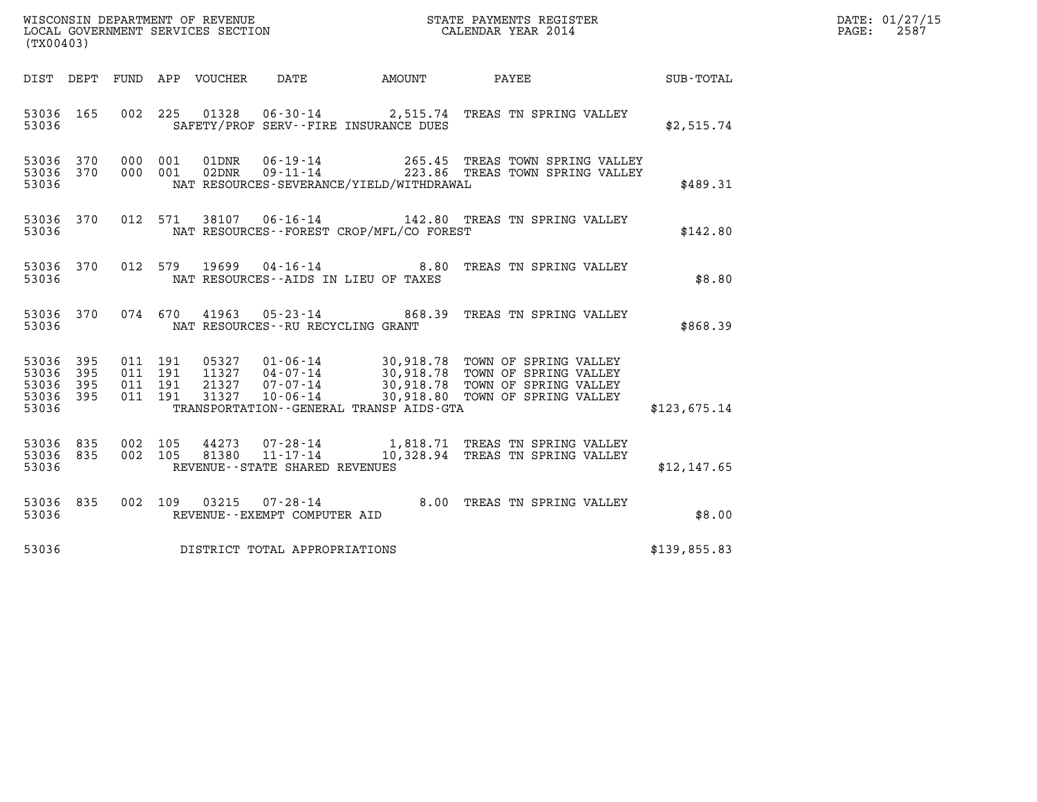| DATE: | 01/27/15 |
|-------|----------|
| PAGE: | 2587     |

| (TX00403)                                             |     |  |                                   |                                          | WISCONSIN DEPARTMENT OF REVENUE<br>LOCAL GOVERNMENT SERVICES SECTION<br>LOCAL GOVERNMENT SERVICES SECTION<br>CALENDAR YEAR 2014                                                                                                      | $\mathcal{R}$ | DATE: 01/27/15<br>2587<br>$\mathtt{PAGE:}$ |
|-------------------------------------------------------|-----|--|-----------------------------------|------------------------------------------|--------------------------------------------------------------------------------------------------------------------------------------------------------------------------------------------------------------------------------------|---------------|--------------------------------------------|
|                                                       |     |  |                                   |                                          |                                                                                                                                                                                                                                      |               |                                            |
| 53036                                                 |     |  |                                   | SAFETY/PROF SERV--FIRE INSURANCE DUES    | 53036 165 002 225 01328 06-30-14 2,515.74 TREAS TN SPRING VALLEY                                                                                                                                                                     | \$2,515.74    |                                            |
| 53036                                                 |     |  |                                   | NAT RESOURCES-SEVERANCE/YIELD/WITHDRAWAL | 53036 370 000 001 01DNR 06-19-14 265.45 TREAS TOWN SPRING VALLEY<br>53036 370 000 001 02DNR 09-11-14 223.86 TREAS TOWN SPRING VALLEY                                                                                                 | \$489.31      |                                            |
| 53036                                                 |     |  |                                   | NAT RESOURCES--FOREST CROP/MFL/CO FOREST | 53036 370 012 571 38107 06-16-14 142.80 TREAS TN SPRING VALLEY                                                                                                                                                                       | \$142.80      |                                            |
| 53036                                                 |     |  |                                   | NAT RESOURCES--AIDS IN LIEU OF TAXES     | 53036 370 012 579 19699 04-16-14 8.80 TREAS TN SPRING VALLEY                                                                                                                                                                         | \$8.80        |                                            |
| 53036                                                 |     |  | NAT RESOURCES--RU RECYCLING GRANT |                                          | 53036 370 074 670 41963 05-23-14 868.39 TREAS TN SPRING VALLEY                                                                                                                                                                       | \$868.39      |                                            |
| 53036 395<br>53036<br>53036 395<br>53036 395<br>53036 | 395 |  |                                   | TRANSPORTATION--GENERAL TRANSP AIDS-GTA  | 011 191 05327 01-06-14 30,918.78 TOWN OF SPRING VALLEY<br>011 191 11327 04-07-14 30,918.78 TOWN OF SPRING VALLEY<br>011 191 21327 07-07-14 30,918.78 TOWN OF SPRING VALLEY<br>011 191 31327 10-06-14 30,918.80 TOWN OF SPRING VALLEY | \$123,675.14  |                                            |
| 53036                                                 |     |  | REVENUE - - STATE SHARED REVENUES |                                          | 53036 835 002 105 44273 07-28-14 1,818.71 TREAS TN SPRING VALLEY<br>53036 835 002 105 81380 11-17-14 10,328.94 TREAS TN SPRING VALLEY                                                                                                | \$12,147.65   |                                            |
| 53036                                                 |     |  | REVENUE--EXEMPT COMPUTER AID      |                                          | 53036 835 002 109 03215 07-28-14 8.00 TREAS TN SPRING VALLEY                                                                                                                                                                         | \$8.00        |                                            |
| 53036                                                 |     |  | DISTRICT TOTAL APPROPRIATIONS     |                                          |                                                                                                                                                                                                                                      | \$139,855.83  |                                            |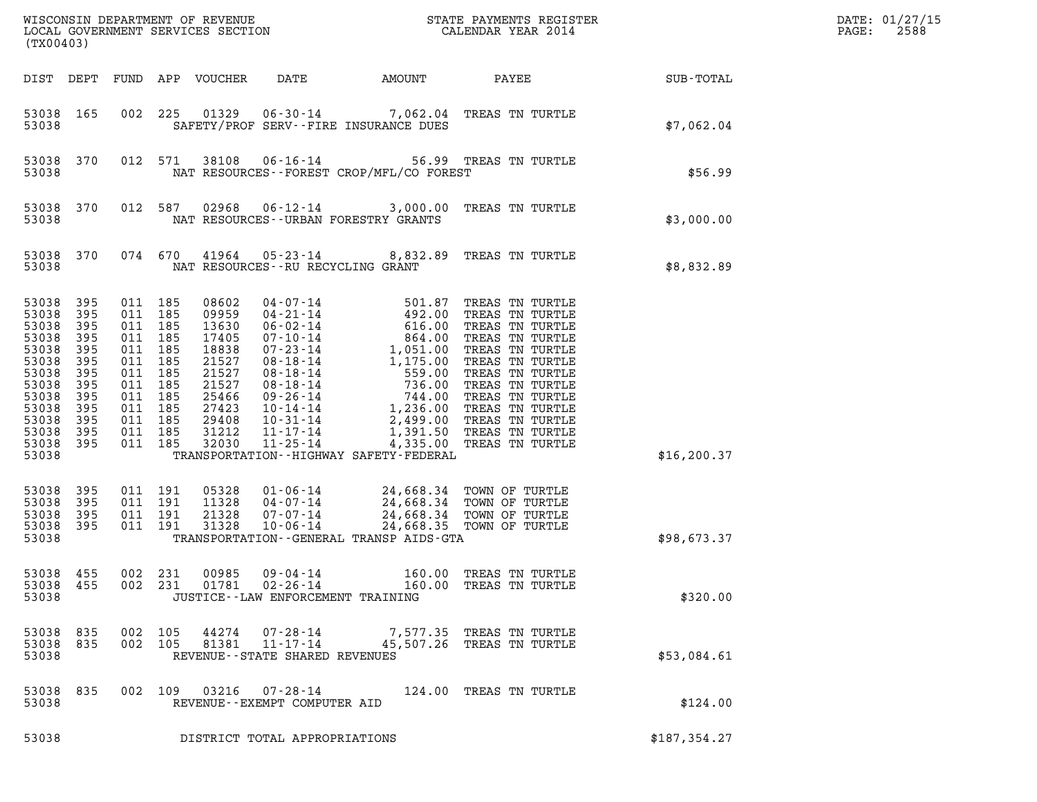| (TX00403)                                                                                                                      |                                                                                  |                                                                                                                                             |                |                                                                                                                   |                                                                    |        |                                                                                                                                                                                                                                                                      |                 | DATE: 01/27/15<br>2588<br>PAGE: |
|--------------------------------------------------------------------------------------------------------------------------------|----------------------------------------------------------------------------------|---------------------------------------------------------------------------------------------------------------------------------------------|----------------|-------------------------------------------------------------------------------------------------------------------|--------------------------------------------------------------------|--------|----------------------------------------------------------------------------------------------------------------------------------------------------------------------------------------------------------------------------------------------------------------------|-----------------|---------------------------------|
| DIST DEPT                                                                                                                      |                                                                                  |                                                                                                                                             |                | FUND APP VOUCHER                                                                                                  | DATE                                                               | AMOUNT |                                                                                                                                                                                                                                                                      | PAYEE SUB-TOTAL |                                 |
| 53038 165<br>53038                                                                                                             |                                                                                  | 002                                                                                                                                         | 225            |                                                                                                                   | SAFETY/PROF SERV--FIRE INSURANCE DUES                              |        | 01329  06-30-14  7,062.04  TREAS TN TURTLE                                                                                                                                                                                                                           | \$7,062.04      |                                 |
| 53038 370<br>53038                                                                                                             |                                                                                  |                                                                                                                                             | 012 571        |                                                                                                                   | NAT RESOURCES - - FOREST CROP/MFL/CO FOREST                        |        | 38108  06-16-14  56.99  TREAS TN TURTLE                                                                                                                                                                                                                              | \$56.99         |                                 |
| 53038 370<br>53038                                                                                                             |                                                                                  |                                                                                                                                             | 012 587        | 02968                                                                                                             | NAT RESOURCES--URBAN FORESTRY GRANTS                               |        | 06-12-14 3,000.00 TREAS TN TURTLE                                                                                                                                                                                                                                    | \$3,000.00      |                                 |
| 53038 370<br>53038                                                                                                             |                                                                                  |                                                                                                                                             | 074 670        |                                                                                                                   | NAT RESOURCES--RU RECYCLING GRANT                                  |        | 41964  05-23-14  8,832.89  TREAS TN TURTLE                                                                                                                                                                                                                           | \$8,832.89      |                                 |
| 53038<br>53038<br>53038<br>53038<br>53038<br>53038<br>53038<br>53038<br>53038<br>53038<br>53038<br>53038<br>53038 395<br>53038 | 395<br>395<br>395<br>395<br>395<br>395<br>395<br>395<br>395<br>395<br>395<br>395 | 011 185<br>011 185<br>011 185<br>011 185<br>011 185<br>011 185<br>011 185<br>011 185<br>011 185<br>011 185<br>011 185<br>011 185<br>011 185 |                | 08602<br>09959<br>13630<br>17405<br>18838<br>21527<br>21527<br>21527<br>25466<br>27423<br>29408<br>31212<br>32030 | $11 - 25 - 14$<br>TRANSPORTATION - - HIGHWAY SAFETY - FEDERAL      |        | 04 - 07 - 14 501.87 TREAS TN TURTLE<br>04 - 21 - 14 492.00 TREAS TN TURTLE<br>06 - 02 - 14 616.00 TREAS TN TURTLE<br>07 - 10 - 14 1, 051.00 TREAS TN TURTLE<br>08 - 18 - 14 1, 175.00 TREAS TN TURTLE<br>08 - 18 - 14 559.00 TREAS TN TU<br>4,335.00 TREAS TN TURTLE | \$16, 200.37    |                                 |
| 53038<br>53038<br>53038<br>53038<br>53038                                                                                      | 395<br>395<br>395<br>395                                                         | 011 191<br>011 191<br>011 191<br>011 191                                                                                                    |                | 05328<br>11328<br>21328<br>31328                                                                                  | TRANSPORTATION--GENERAL TRANSP AIDS-GTA                            |        | 01-06-14<br>04-07-14 24,668.34 TOWN OF TURTLE<br>07-07-14 24,668.34 TOWN OF TURTLE<br>10-06-14 24,668.35 TOWN OF TURTLE                                                                                                                                              | \$98,673.37     |                                 |
| 53038 455<br>53038 455<br>53038                                                                                                |                                                                                  | 002                                                                                                                                         | 231<br>002 231 | 00985<br>01781                                                                                                    | $09 - 04 - 14$<br>02-26-14<br>JUSTICE - - LAW ENFORCEMENT TRAINING |        | 160.00 TREAS TN TURTLE<br>160.00 TREAS TN TURTLE                                                                                                                                                                                                                     | \$320.00        |                                 |
| 53038 835<br>53038 835<br>53038                                                                                                |                                                                                  | 002 105                                                                                                                                     | 002 105        | 44274<br>81381                                                                                                    | 07-28-14<br>$11 - 17 - 14$<br>REVENUE--STATE SHARED REVENUES       |        | 7,577.35 TREAS TN TURTLE<br>45,507.26 TREAS TN TURTLE                                                                                                                                                                                                                | \$53,084.61     |                                 |
| 53038 835<br>53038                                                                                                             |                                                                                  | 002 109                                                                                                                                     |                | 03216                                                                                                             | 07-28-14<br>REVENUE--EXEMPT COMPUTER AID                           |        | 124.00 TREAS TN TURTLE                                                                                                                                                                                                                                               | \$124.00        |                                 |
| 53038                                                                                                                          |                                                                                  |                                                                                                                                             |                |                                                                                                                   | DISTRICT TOTAL APPROPRIATIONS                                      |        |                                                                                                                                                                                                                                                                      | \$187,354.27    |                                 |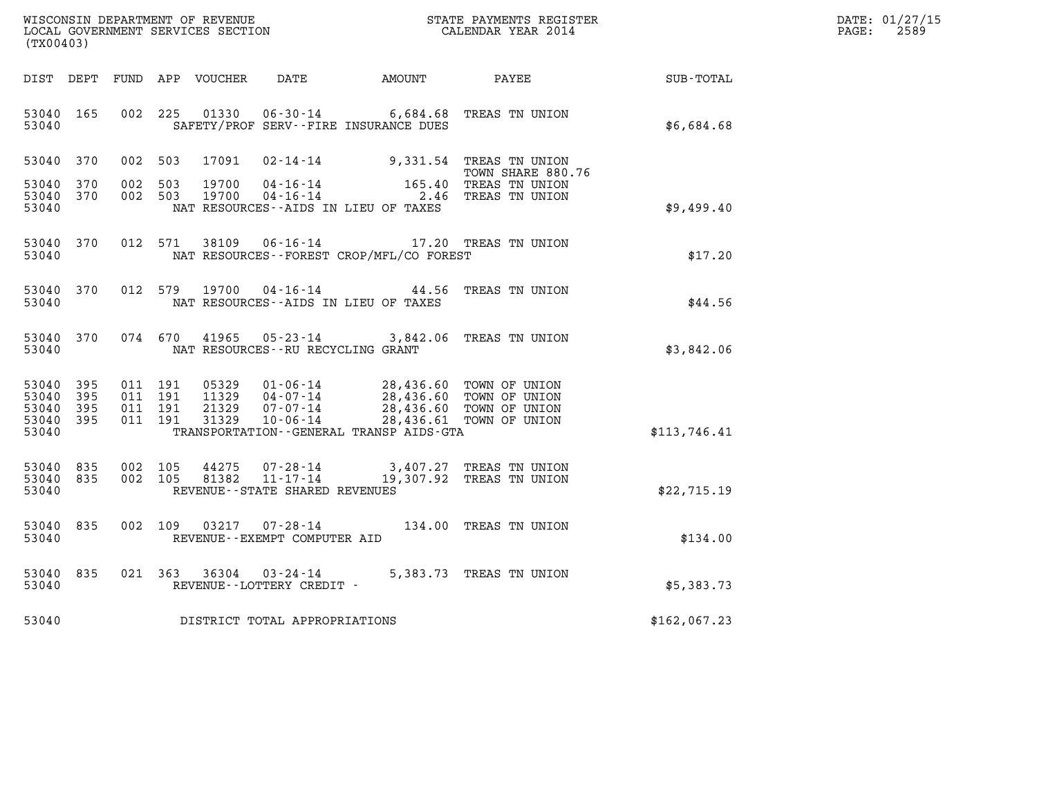| WISCONSIN DEPARTMENT OF REVENUE   | STATE PAYMENTS REGISTER | DATE: 01/27/15 |
|-----------------------------------|-------------------------|----------------|
| LOCAL GOVERNMENT SERVICES SECTION | CALENDAR YEAR 2014      | 2589<br>PAGE:  |

| (TX00403)                                                                                         | WISCONSIN DEPARTMENT OF REVENUE<br>STATE PAYMENTS REGISTER<br>LOCAL GOVERNMENT SERVICES SECTION<br>CALENDAR YEAR 2014                                                           |                                                  |                                                                  |                  |  |  |  |  |
|---------------------------------------------------------------------------------------------------|---------------------------------------------------------------------------------------------------------------------------------------------------------------------------------|--------------------------------------------------|------------------------------------------------------------------|------------------|--|--|--|--|
| DIST<br>DEPT<br>FUND                                                                              | APP<br>VOUCHER<br>DATE                                                                                                                                                          | AMOUNT                                           | PAYEE                                                            | <b>SUB-TOTAL</b> |  |  |  |  |
| 165<br>002<br>53040<br>53040                                                                      | 225<br>01330<br>$06 - 30 - 14$<br>SAFETY/PROF SERV--FIRE INSURANCE DUES                                                                                                         | 6,684.68                                         | TREAS TN UNION                                                   | \$6,684.68       |  |  |  |  |
| 53040<br>370<br>002                                                                               | 17091<br>503<br>$02 - 14 - 14$                                                                                                                                                  | 9,331.54                                         | TREAS TN UNION<br>TOWN SHARE 880.76                              |                  |  |  |  |  |
| 002<br>53040<br>370<br>53040<br>370<br>002<br>53040                                               | 503<br>19700<br>$04 - 16 - 14$<br>503<br>19700<br>$04 - 16 - 14$<br>NAT RESOURCES -- AIDS IN LIEU OF TAXES                                                                      | 165.40<br>2.46                                   | TREAS TN UNION<br>TREAS TN UNION                                 | \$9,499.40       |  |  |  |  |
| 370<br>012<br>53040<br>53040                                                                      | 571<br>38109<br>$06 - 16 - 14$<br>NAT RESOURCES - - FOREST CROP/MFL/CO FOREST                                                                                                   |                                                  | 17.20 TREAS TN UNION                                             | \$17.20          |  |  |  |  |
| 370<br>012<br>53040<br>53040                                                                      | 579<br>19700<br>$04 - 16 - 14$<br>NAT RESOURCES -- AIDS IN LIEU OF TAXES                                                                                                        | 44.56                                            | TREAS TN UNION                                                   | \$44.56          |  |  |  |  |
| 370<br>074<br>53040<br>53040                                                                      | 670<br>41965<br>$05 - 23 - 14$<br>NAT RESOURCES - - RU RECYCLING GRANT                                                                                                          | 3,842.06                                         | TREAS TN UNION                                                   | \$3,842.06       |  |  |  |  |
| 395<br>53040<br>011<br>53040<br>395<br>011<br>53040<br>395<br>011<br>53040<br>395<br>011<br>53040 | 191<br>05329<br>$01 - 06 - 14$<br>191<br>11329<br>$04 - 07 - 14$<br>21329<br>$07 - 07 - 14$<br>191<br>31329<br>$10 - 06 - 14$<br>191<br>TRANSPORTATION--GENERAL TRANSP AIDS-GTA | 28,436.60<br>28,436.60<br>28,436.60<br>28,436.61 | TOWN OF UNION<br>TOWN OF UNION<br>TOWN OF UNION<br>TOWN OF UNION | \$113,746.41     |  |  |  |  |
| 53040<br>835<br>002<br>53040<br>835<br>002<br>53040                                               | 105<br>44275<br>$07 - 28 - 14$<br>105<br>81382<br>$11 - 17 - 14$<br>REVENUE - - STATE SHARED REVENUES                                                                           | 3,407.27<br>19,307.92                            | TREAS TN UNION<br>TREAS TN UNION                                 | \$22,715.19      |  |  |  |  |
| 002<br>53040<br>835<br>53040                                                                      | 109<br>03217<br>$07 - 28 - 14$<br>REVENUE - - EXEMPT COMPUTER AID                                                                                                               | 134.00                                           | TREAS TN UNION                                                   | \$134.00         |  |  |  |  |
| 835<br>021<br>53040<br>53040                                                                      | 363<br>36304<br>$03 - 24 - 14$<br>REVENUE - - LOTTERY CREDIT -                                                                                                                  | 5,383.73                                         | TREAS TN UNION                                                   | \$5,383.73       |  |  |  |  |
| 53040                                                                                             | DISTRICT TOTAL APPROPRIATIONS                                                                                                                                                   |                                                  |                                                                  | \$162,067.23     |  |  |  |  |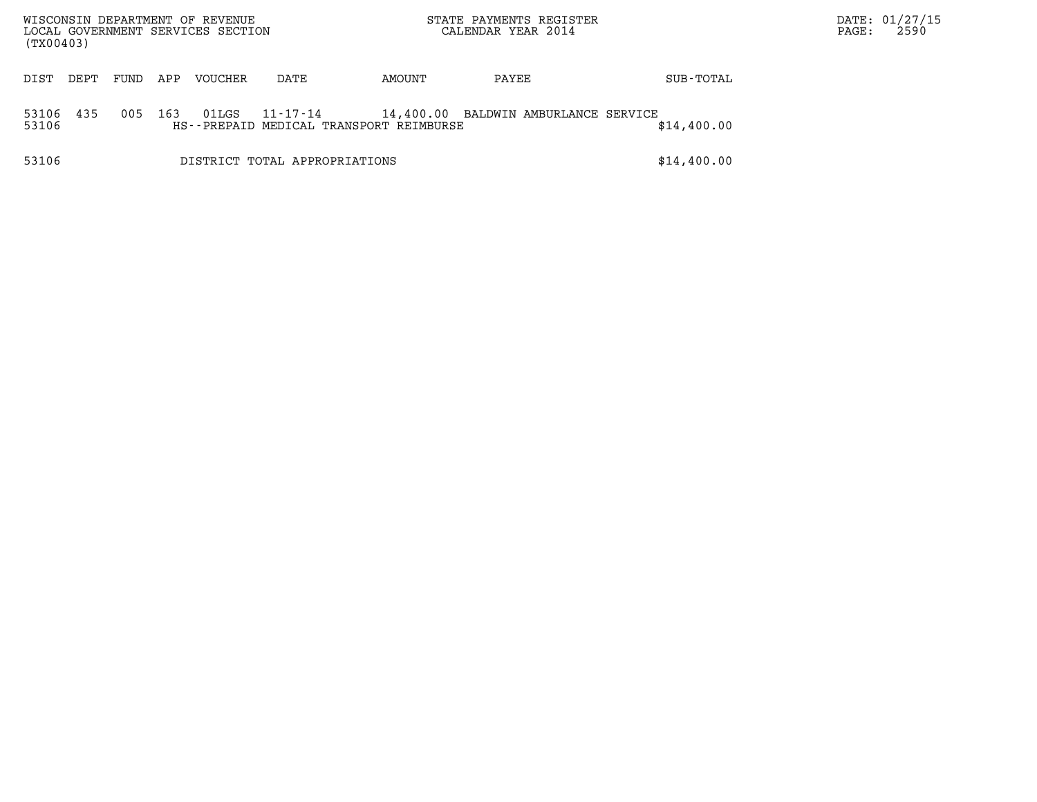| WISCONSIN DEPARTMENT OF REVENUE<br>LOCAL GOVERNMENT SERVICES SECTION<br>(TX00403) |      |      |     |         |                                                     |        | STATE PAYMENTS REGISTER<br>CALENDAR YEAR 2014 |             | PAGE: | DATE: 01/27/15<br>2590 |
|-----------------------------------------------------------------------------------|------|------|-----|---------|-----------------------------------------------------|--------|-----------------------------------------------|-------------|-------|------------------------|
| DIST                                                                              | DEPT | FUND | APP | VOUCHER | DATE                                                | AMOUNT | PAYEE                                         | SUB-TOTAL   |       |                        |
| 53106<br>53106                                                                    | 435  | 005  | 163 | 01LGS   | 11-17-14<br>HS--PREPAID MEDICAL TRANSPORT REIMBURSE |        | 14,400.00 BALDWIN AMBURLANCE SERVICE          | \$14,400.00 |       |                        |
| 53106                                                                             |      |      |     |         | DISTRICT TOTAL APPROPRIATIONS                       |        |                                               | \$14,400.00 |       |                        |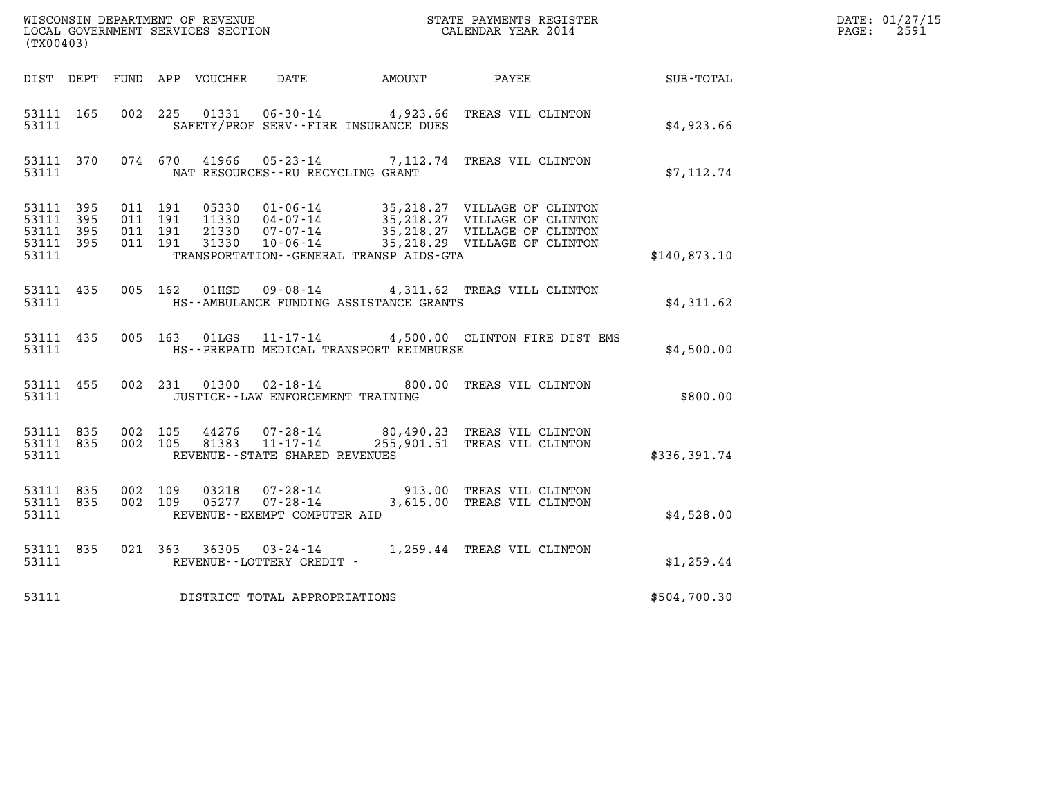|                                                           |           |                                          |  |                                                          |                                              | WISCONSIN DEPARTMENT OF REVENUE<br>LOCAL GOVERNMENT SERVICES SECTION<br>CALENDAR YEAR 2014 |                      | DATE: 01/27/15<br>$\mathtt{PAGE:}$<br>2591 |
|-----------------------------------------------------------|-----------|------------------------------------------|--|----------------------------------------------------------|----------------------------------------------|--------------------------------------------------------------------------------------------|----------------------|--------------------------------------------|
| (TX00403)                                                 |           |                                          |  |                                                          |                                              |                                                                                            |                      |                                            |
|                                                           |           |                                          |  |                                                          | DIST DEPT FUND APP VOUCHER DATE AMOUNT PAYEE |                                                                                            | $\texttt{SUB-TOTAL}$ |                                            |
| 53111 165<br>53111                                        |           |                                          |  |                                                          | SAFETY/PROF SERV--FIRE INSURANCE DUES        | 002 225 01331 06-30-14 4,923.66 TREAS VIL CLINTON                                          | \$4,923.66           |                                            |
| 53111 370<br>53111                                        |           |                                          |  | NAT RESOURCES--RU RECYCLING GRANT                        |                                              | 074 670 41966 05-23-14 7,112.74 TREAS VIL CLINTON                                          | \$7,112.74           |                                            |
| 53111 395<br>53111 395<br>53111 395<br>53111 395<br>53111 |           | 011 191<br>011 191<br>011 191<br>011 191 |  |                                                          | TRANSPORTATION--GENERAL TRANSP AIDS-GTA      |                                                                                            | \$140,873.10         |                                            |
| 53111                                                     | 53111 435 |                                          |  |                                                          | HS--AMBULANCE FUNDING ASSISTANCE GRANTS      | 005 162 01HSD 09-08-14 4,311.62 TREAS VILL CLINTON                                         | \$4,311.62           |                                            |
| 53111                                                     | 53111 435 |                                          |  |                                                          | HS--PREPAID MEDICAL TRANSPORT REIMBURSE      | 005 163 01LGS 11-17-14 4,500.00 CLINTON FIRE DIST EMS                                      | \$4,500.00           |                                            |
| 53111                                                     | 53111 455 |                                          |  | JUSTICE - - LAW ENFORCEMENT TRAINING                     |                                              | 002 231 01300 02-18-14 800.00 TREAS VIL CLINTON                                            | \$800.00             |                                            |
| 53111 835<br>53111                                        | 53111 835 | 002 105                                  |  | 002 105 81383 11-17-14<br>REVENUE--STATE SHARED REVENUES |                                              | 44276  07-28-14  80,490.23  TREAS VIL CLINTON<br>255,901.51 TREAS VIL CLINTON              | \$336,391.74         |                                            |
| 53111 835<br>53111 835<br>53111                           |           | 002 109<br>002 109                       |  | REVENUE--EXEMPT COMPUTER AID                             |                                              | 03218  07-28-14  913.00 TREAS VIL CLINTON<br>05277  07-28-14  3,615.00 TREAS VIL CLINTON   | \$4,528.00           |                                            |
| 53111                                                     | 53111 835 |                                          |  | REVENUE--LOTTERY CREDIT -                                |                                              | 021 363 36305 03-24-14 1,259.44 TREAS VIL CLINTON                                          | \$1,259.44           |                                            |
| 53111                                                     |           |                                          |  | DISTRICT TOTAL APPROPRIATIONS                            |                                              |                                                                                            | \$504,700.30         |                                            |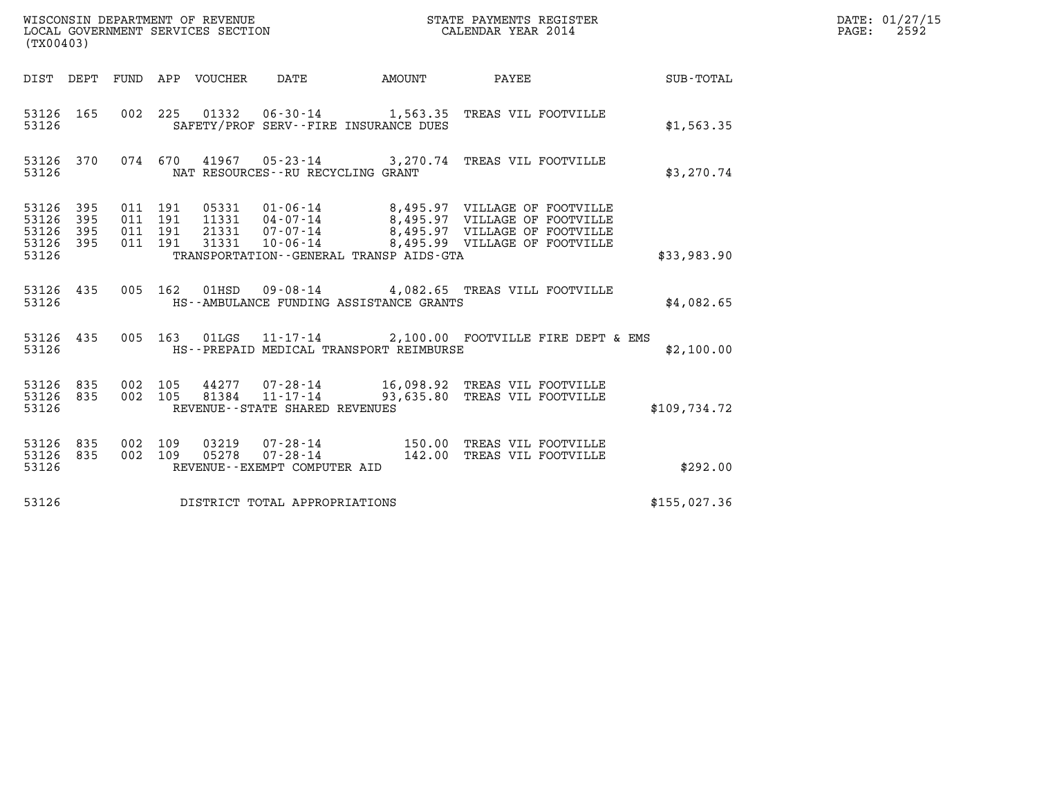| WISCONSIN DEPARTMENT OF REVENUE<br>LOCAL GOVERNMENT SERVICES SECTION<br>(TX00403) |            |                               |         |                                 |                                                                  |        | STATE PAYMENTS REGISTER<br>CALENDAR YEAR 2014                                                      |                                                 | DATE: 01/27/15<br>$\mathtt{PAGE:}$<br>2592 |
|-----------------------------------------------------------------------------------|------------|-------------------------------|---------|---------------------------------|------------------------------------------------------------------|--------|----------------------------------------------------------------------------------------------------|-------------------------------------------------|--------------------------------------------|
|                                                                                   |            |                               |         | DIST DEPT FUND APP VOUCHER DATE |                                                                  | AMOUNT | PAYEE                                                                                              | $\begin{array}{c}\text{SUB - TOTAL}\end{array}$ |                                            |
| 53126 165<br>53126                                                                |            |                               |         |                                 | SAFETY/PROF SERV--FIRE INSURANCE DUES                            |        | 002 225 01332 06-30-14 1,563.35 TREAS VIL FOOTVILLE                                                | \$1,563.35                                      |                                            |
| 53126 370<br>53126                                                                |            |                               |         |                                 | NAT RESOURCES - - RU RECYCLING GRANT                             |        | 074  670  41967  05-23-14  3,270.74  TREAS VIL FOOTVILLE                                           | \$3,270.74                                      |                                            |
| 53126 395<br>53126<br>53126<br>53126 395<br>53126                                 | 395<br>395 | 011 191<br>011 191<br>011 191 | 011 191 |                                 | TRANSPORTATION--GENERAL TRANSP AIDS-GTA                          |        | 05331  01-06-14  8,495.97  VILLAGE OF FOOTVILLE<br>11331  04-07-14  8,495.97  VILLAGE OF FOOTVILLE | \$33,983.90                                     |                                            |
| 53126 435<br>53126                                                                |            |                               |         |                                 | HS--AMBULANCE FUNDING ASSISTANCE GRANTS                          |        | 005 162 01HSD 09-08-14 4,082.65 TREAS VILL FOOTVILLE                                               | \$4,082.65                                      |                                            |
| 53126 435<br>53126                                                                |            |                               |         |                                 | HS--PREPAID MEDICAL TRANSPORT REIMBURSE                          |        | 005 163 01LGS 11-17-14 2,100.00 FOOTVILLE FIRE DEPT & EMS                                          | \$2,100.00                                      |                                            |
| 53126 835<br>53126 835<br>53126                                                   |            | 002 105<br>002 105            |         | 81384                           | $11 - 17 - 14$<br>REVENUE - - STATE SHARED REVENUES              |        | 44277 07-28-14 16,098.92 TREAS VIL FOOTVILLE<br>93,635.80 TREAS VIL FOOTVILLE                      | \$109,734.72                                    |                                            |
| 53126 835<br>53126 835<br>53126                                                   |            | 002 109<br>002 109            |         | 03219<br>05278                  | $07 - 28 - 14$<br>$07 - 28 - 14$<br>REVENUE--EXEMPT COMPUTER AID |        | 150.00 TREAS VIL FOOTVILLE<br>142.00 TREAS VIL FOOTVILLE                                           | \$292.00                                        |                                            |
| 53126                                                                             |            |                               |         |                                 | DISTRICT TOTAL APPROPRIATIONS                                    |        |                                                                                                    | \$155,027.36                                    |                                            |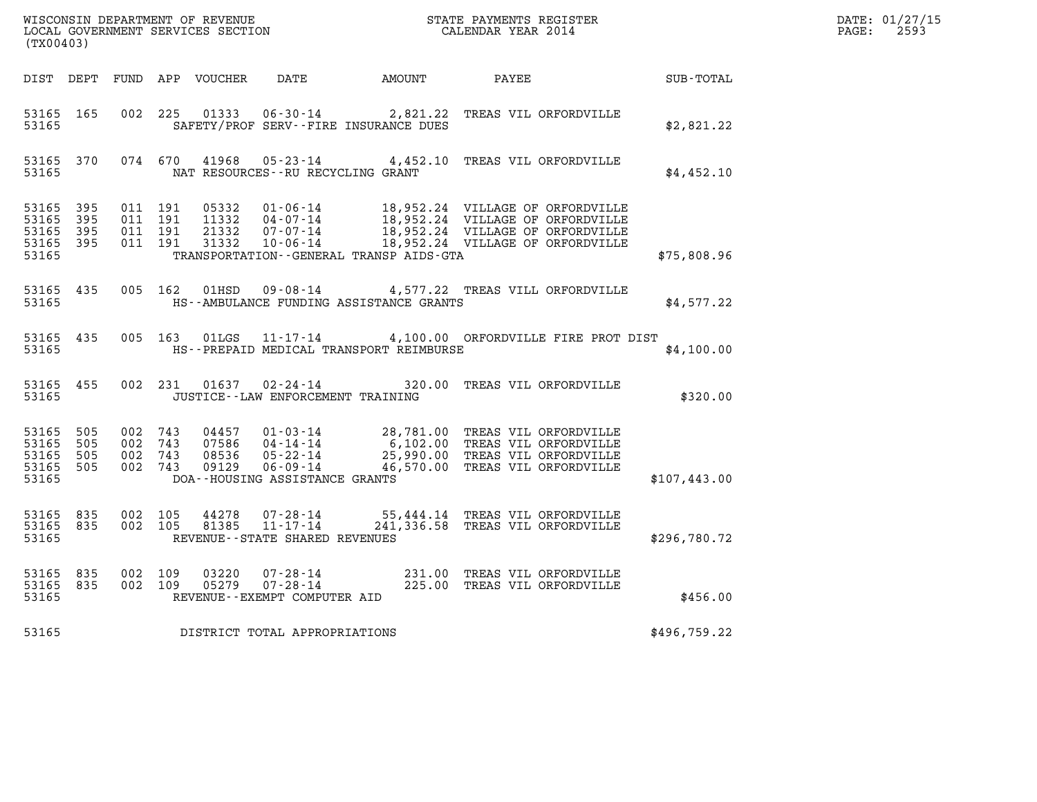| ${\tt WISCOONSIM} \begin{tabular}{lcccc} {\tt WISCO} & {\tt NEPARTMENT} \begin{tabular}{lcccc} {\tt OF REVIEW} & {\tt MECONSIM} & {\tt STATE} \end{tabular} & {\tt RAYMENTS} \begin{tabular}{lcccc} {\tt REGISTER} \end{tabular} \end{tabular}$<br>(TX00403) |                   |                                          |         |                                  |                                                               |                                         |                                                                                                                                                                                         |              | DATE: 01/27/15<br>$\mathtt{PAGE:}$<br>2593 |
|--------------------------------------------------------------------------------------------------------------------------------------------------------------------------------------------------------------------------------------------------------------|-------------------|------------------------------------------|---------|----------------------------------|---------------------------------------------------------------|-----------------------------------------|-----------------------------------------------------------------------------------------------------------------------------------------------------------------------------------------|--------------|--------------------------------------------|
|                                                                                                                                                                                                                                                              |                   |                                          |         | DIST DEPT FUND APP VOUCHER       | DATE                                                          | AMOUNT PAYEE                            |                                                                                                                                                                                         | SUB-TOTAL    |                                            |
| 53165 165<br>53165                                                                                                                                                                                                                                           |                   | 002 225                                  |         |                                  | SAFETY/PROF SERV--FIRE INSURANCE DUES                         |                                         | 01333  06-30-14  2,821.22  TREAS VIL ORFORDVILLE                                                                                                                                        | \$2,821.22   |                                            |
| 53165 370<br>53165                                                                                                                                                                                                                                           |                   |                                          |         |                                  | NAT RESOURCES--RU RECYCLING GRANT                             |                                         | 074 670 41968 05-23-14 4,452.10 TREAS VIL ORFORDVILLE                                                                                                                                   | \$4,452.10   |                                            |
| 53165 395<br>53165 395<br>53165<br>53165 395<br>53165                                                                                                                                                                                                        | - 395             | 011 191<br>011 191<br>011 191<br>011 191 |         | 05332<br>11332<br>21332<br>31332 | 04 - 07 - 14<br>07 - 07 - 14<br>07-07-14<br>$10 - 06 - 14$    | TRANSPORTATION--GENERAL TRANSP AIDS-GTA | $01 - 06 - 14$ 18,952.24 VILLAGE OF ORFORDVILLE<br>18,952.24 VILLAGE OF ORFORDVILLE<br>18,952.24 VILLAGE OF ORFORDVILLE<br>18,952.24 VILLAGE OF ORFORDVILLE                             | \$75,808.96  |                                            |
| 53165 435<br>53165                                                                                                                                                                                                                                           |                   |                                          | 005 162 |                                  |                                                               | HS--AMBULANCE FUNDING ASSISTANCE GRANTS | 01HSD 09-08-14 4,577.22 TREAS VILL ORFORDVILLE                                                                                                                                          | \$4,577.22   |                                            |
| 53165 435<br>53165                                                                                                                                                                                                                                           |                   |                                          |         | 005 163 01LGS                    |                                                               | HS--PREPAID MEDICAL TRANSPORT REIMBURSE | 11-17-14 4,100.00 ORFORDVILLE FIRE PROT DIST                                                                                                                                            | \$4,100.00   |                                            |
| 53165 455<br>53165                                                                                                                                                                                                                                           |                   |                                          |         | 002 231 01637                    | $02 - 24 - 14$<br>JUSTICE - - LAW ENFORCEMENT TRAINING        |                                         | 320.00 TREAS VIL ORFORDVILLE                                                                                                                                                            | \$320.00     |                                            |
| 53165<br>53165<br>53165<br>53165 505<br>53165                                                                                                                                                                                                                | 505<br>505<br>505 | 002 743<br>002 743<br>002 743<br>002 743 |         | 04457<br>07586<br>08536<br>09129 | DOA--HOUSING ASSISTANCE GRANTS                                |                                         | 01-03-14 28,781.00 TREAS VIL ORFORDVILLE<br>04-14-14 6,102.00 TREAS VIL ORFORDVILLE<br>04-14 14<br>05-22-14 25,990.00 TREAS VIL ORFORDVILLE<br>06-09-14 46,570.00 TREAS VIL ORFORDVILLE | \$107,443.00 |                                            |
| 53165 835<br>53165 835<br>53165                                                                                                                                                                                                                              |                   | 002 105<br>002 105                       |         | 44278<br>81385                   | 07-28-14<br>11-17-14<br>REVENUE - - STATE SHARED REVENUES     |                                         | 55,444.14 TREAS VIL ORFORDVILLE<br>241,336.58 TREAS VIL ORFORDVILLE                                                                                                                     | \$296,780.72 |                                            |
| 53165 835<br>53165 835<br>53165                                                                                                                                                                                                                              |                   | 002 109<br>002 109                       |         | 03220<br>05279                   | 07-28-14<br>$07 - 28 - 14$<br>REVENUE - - EXEMPT COMPUTER AID |                                         | 231.00 TREAS VIL ORFORDVILLE<br>225.00 TREAS VIL ORFORDVILLE                                                                                                                            | \$456.00     |                                            |
| 53165                                                                                                                                                                                                                                                        |                   |                                          |         |                                  | DISTRICT TOTAL APPROPRIATIONS                                 |                                         |                                                                                                                                                                                         | \$496,759.22 |                                            |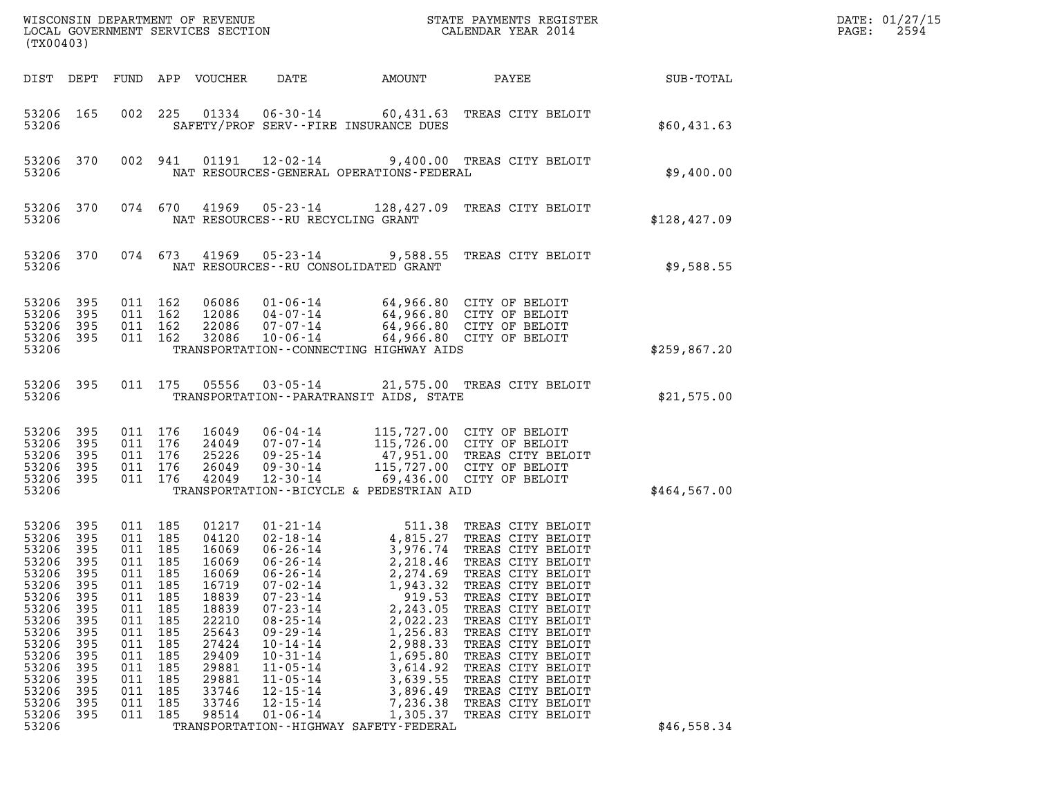| (TX00403)                                                                                                                                                                                                                                                                             |                                                                                                       |                                                                                                                             |                                                                                                                                                       | WISCONSIN DEPARTMENT OF REVENUE<br>LOCAL GOVERNMENT SERVICES SECTION                                                                                                                                                                                                                                                                                          |                                                                                                                                                                                                      | STATE PAYMENTS REGISTER<br>CALENDAR YEAR 2014                                                                                                                                                                                                                                                                                                                     |               | DATE: 01/27/15<br>2594<br>PAGE: |
|---------------------------------------------------------------------------------------------------------------------------------------------------------------------------------------------------------------------------------------------------------------------------------------|-------------------------------------------------------------------------------------------------------|-----------------------------------------------------------------------------------------------------------------------------|-------------------------------------------------------------------------------------------------------------------------------------------------------|---------------------------------------------------------------------------------------------------------------------------------------------------------------------------------------------------------------------------------------------------------------------------------------------------------------------------------------------------------------|------------------------------------------------------------------------------------------------------------------------------------------------------------------------------------------------------|-------------------------------------------------------------------------------------------------------------------------------------------------------------------------------------------------------------------------------------------------------------------------------------------------------------------------------------------------------------------|---------------|---------------------------------|
| DIST DEPT                                                                                                                                                                                                                                                                             | FUND                                                                                                  |                                                                                                                             | APP VOUCHER                                                                                                                                           | DATE                                                                                                                                                                                                                                                                                                                                                          | AMOUNT                                                                                                                                                                                               | PAYEE                                                                                                                                                                                                                                                                                                                                                             | SUB-TOTAL     |                                 |
| 53206 165<br>53206                                                                                                                                                                                                                                                                    | 002                                                                                                   | 225                                                                                                                         | 01334                                                                                                                                                 | 06-30-14<br>SAFETY/PROF SERV--FIRE INSURANCE DUES                                                                                                                                                                                                                                                                                                             |                                                                                                                                                                                                      | 60,431.63 TREAS CITY BELOIT                                                                                                                                                                                                                                                                                                                                       | \$60,431.63   |                                 |
| 53206 370<br>53206                                                                                                                                                                                                                                                                    |                                                                                                       | 002 941                                                                                                                     | 01191                                                                                                                                                 | 12-02-14<br>NAT RESOURCES-GENERAL OPERATIONS-FEDERAL                                                                                                                                                                                                                                                                                                          |                                                                                                                                                                                                      | 9,400.00 TREAS CITY BELOIT                                                                                                                                                                                                                                                                                                                                        | \$9,400.00    |                                 |
| 53206 370<br>53206                                                                                                                                                                                                                                                                    |                                                                                                       | 074 670                                                                                                                     | 41969                                                                                                                                                 | 05-23-14<br>NAT RESOURCES -- RU RECYCLING GRANT                                                                                                                                                                                                                                                                                                               | 128,427.09                                                                                                                                                                                           | TREAS CITY BELOIT                                                                                                                                                                                                                                                                                                                                                 | \$128, 427.09 |                                 |
| 53206 370<br>53206                                                                                                                                                                                                                                                                    |                                                                                                       | 074 673                                                                                                                     | 41969                                                                                                                                                 | 05-23-14<br>NAT RESOURCES - - RU CONSOLIDATED GRANT                                                                                                                                                                                                                                                                                                           |                                                                                                                                                                                                      | 9,588.55 TREAS CITY BELOIT                                                                                                                                                                                                                                                                                                                                        | \$9,588.55    |                                 |
| 53206<br>395<br>53206<br>395<br>53206<br>395<br>53206 395<br>53206                                                                                                                                                                                                                    |                                                                                                       | 011 162<br>011 162<br>011 162<br>011 162                                                                                    | 06086<br>12086<br>22086<br>32086                                                                                                                      | 01-06-14<br>04-07-14<br>$07 - 07 - 14$<br>$10 - 06 - 14$<br>TRANSPORTATION - - CONNECTING HIGHWAY AIDS                                                                                                                                                                                                                                                        |                                                                                                                                                                                                      | 64,966.80 CITY OF BELOIT<br>64,966.80 CITY OF BELOIT<br>64,966.80 CITY OF BELOIT<br>64,966.80 CITY OF BELOIT                                                                                                                                                                                                                                                      | \$259,867.20  |                                 |
| 53206<br>395<br>53206                                                                                                                                                                                                                                                                 |                                                                                                       | 011 175                                                                                                                     | 05556                                                                                                                                                 | 03-05-14<br>TRANSPORTATION - - PARATRANSIT AIDS, STATE                                                                                                                                                                                                                                                                                                        |                                                                                                                                                                                                      | 21,575.00 TREAS CITY BELOIT                                                                                                                                                                                                                                                                                                                                       | \$21,575.00   |                                 |
| 53206<br>395<br>53206<br>395<br>53206<br>395<br>53206<br>395<br>53206<br>395<br>53206                                                                                                                                                                                                 | 011<br>011                                                                                            | 011 176<br>011 176<br>176<br>176<br>011 176                                                                                 | 16049<br>24049<br>25226<br>26049<br>42049                                                                                                             | 06-04-14<br>07-07-14<br>$09 - 25 - 14$<br>$09 - 30 - 14$<br>$12 - 30 - 14$<br>TRANSPORTATION--BICYCLE & PEDESTRIAN AID                                                                                                                                                                                                                                        |                                                                                                                                                                                                      | 115,727.00 CITY OF BELOIT<br>115,726.00 CITY OF BELOIT<br>47,951.00 TREAS CITY BELOIT<br>115,727.00 CITY OF BELOIT<br>69,436.00 CITY OF BELOIT                                                                                                                                                                                                                    | \$464,567.00  |                                 |
| 53206<br>395<br>53206<br>395<br>53206<br>395<br>53206<br>395<br>53206<br>395<br>53206<br>395<br>53206<br>395<br>53206<br>395<br>53206<br>395<br>53206<br>395<br>53206<br>395<br>53206<br>395<br>53206<br>395<br>53206<br>395<br>53206<br>395<br>53206<br>395<br>53206<br>395<br>53206 | 011<br>011<br>011<br>011<br>011<br>011<br>011<br>011<br>011<br>011<br>011<br>011<br>011<br>011<br>011 | 011 185<br>185<br>185<br>011 185<br>185<br>185<br>185<br>185<br>185<br>185<br>185<br>185<br>185<br>185<br>185<br>185<br>185 | 01217<br>04120<br>16069<br>16069<br>16069<br>16719<br>18839<br>18839<br>22210<br>25643<br>27424<br>29409<br>29881<br>29881<br>33746<br>33746<br>98514 | $01 - 21 - 14$<br>$02 - 18 - 14$<br>$06 - 26 - 14$<br>$06 - 26 - 14$<br>$06 - 26 - 14$<br>$07 - 02 - 14$<br>$07 - 23 - 14$<br>$07 - 23 - 14$<br>$08 - 25 - 14$<br>$09 - 29 - 14$<br>$10 - 14 - 14$<br>$10 - 31 - 14$<br>$11 - 05 - 14$<br>$11 - 05 - 14$<br>$12 - 15 - 14$<br>$12 - 15 - 14$<br>$01 - 06 - 14$<br>TRANSPORTATION - - HIGHWAY SAFETY - FEDERAL | 511.38<br>4,815.27<br>3,976.74<br>2,218.46<br>2,274.69<br>1,943.32<br>919.53<br>2,243.05<br>2,022.23<br>1,256.83<br>2,988.33<br>1,695.80<br>3,614.92<br>3,639.55<br>3,896.49<br>7,236.38<br>1,305.37 | TREAS CITY BELOIT<br>TREAS CITY BELOIT<br>TREAS CITY BELOIT<br>TREAS CITY BELOIT<br>TREAS CITY BELOIT<br>TREAS CITY BELOIT<br>TREAS CITY BELOIT<br>TREAS CITY BELOIT<br>TREAS CITY BELOIT<br>TREAS CITY BELOIT<br>TREAS CITY BELOIT<br>TREAS CITY BELOIT<br>TREAS CITY BELOIT<br>TREAS CITY BELOIT<br>TREAS CITY BELOIT<br>TREAS CITY BELOIT<br>TREAS CITY BELOIT | \$46,558.34   |                                 |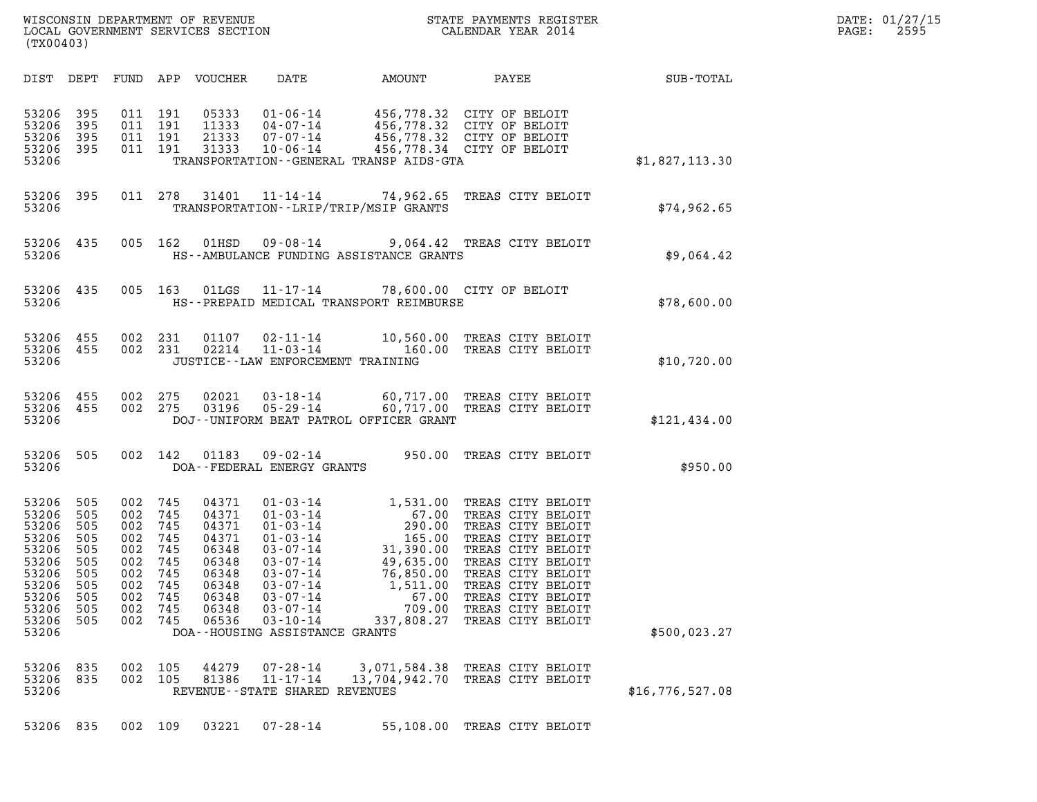| WISCONSIN DEPARTMENT OF REVENUE<br>LOCAL GOVERNMENT SERVICES SECTION<br>(TX00403) | STATE PAYMENTS REGISTER<br>CALENDAR YEAR 2014 | DATE: 01/27/15<br>2595<br>PAGE: |
|-----------------------------------------------------------------------------------|-----------------------------------------------|---------------------------------|

| (TX00403)                                                                                                                                                                             |                                                                                                                                                        |                                                                                                                                                                                                                                                                                                                                         |                                                                                                                           |                                                                                                                                                                                                                                     |                 |
|---------------------------------------------------------------------------------------------------------------------------------------------------------------------------------------|--------------------------------------------------------------------------------------------------------------------------------------------------------|-----------------------------------------------------------------------------------------------------------------------------------------------------------------------------------------------------------------------------------------------------------------------------------------------------------------------------------------|---------------------------------------------------------------------------------------------------------------------------|-------------------------------------------------------------------------------------------------------------------------------------------------------------------------------------------------------------------------------------|-----------------|
| DIST<br>DEPT                                                                                                                                                                          | FUND<br>APP                                                                                                                                            | VOUCHER<br>DATE                                                                                                                                                                                                                                                                                                                         | AMOUNT                                                                                                                    | PAYEE                                                                                                                                                                                                                               | SUB-TOTAL       |
| 53206<br>395<br>53206<br>395<br>53206<br>395<br>53206<br>395<br>53206                                                                                                                 | 191<br>011<br>011<br>191<br>011<br>191<br>011<br>191                                                                                                   | 05333<br>$01 - 06 - 14$<br>11333<br>$04 - 07 - 14$<br>21333<br>$07 - 07 - 14$<br>31333<br>$10 - 06 - 14$<br>TRANSPORTATION - - GENERAL TRANSP AIDS - GTA                                                                                                                                                                                | 456,778.34 CITY OF BELOIT                                                                                                 | 456,778.32 CITY OF BELOIT<br>456,778.32 CITY OF BELOIT<br>456,778.32 CITY OF BELOIT                                                                                                                                                 | \$1,827,113.30  |
| 53206<br>395<br>53206                                                                                                                                                                 | 278<br>011                                                                                                                                             | 31401<br>$11 - 14 - 14$<br>TRANSPORTATION - - LRIP/TRIP/MSIP GRANTS                                                                                                                                                                                                                                                                     |                                                                                                                           | 74,962.65 TREAS CITY BELOIT                                                                                                                                                                                                         | \$74,962.65     |
| 53206<br>435<br>53206                                                                                                                                                                 | 005<br>162                                                                                                                                             | 01HSD<br>$09 - 08 - 14$<br>HS--AMBULANCE FUNDING ASSISTANCE GRANTS                                                                                                                                                                                                                                                                      |                                                                                                                           | 9,064.42 TREAS CITY BELOIT                                                                                                                                                                                                          | \$9,064.42      |
| 53206<br>435<br>53206                                                                                                                                                                 | 005<br>163                                                                                                                                             | 01LGS<br>HS--PREPAID MEDICAL TRANSPORT REIMBURSE                                                                                                                                                                                                                                                                                        | 11-17-14 78,600.00 CITY OF BELOIT                                                                                         |                                                                                                                                                                                                                                     | \$78,600.00     |
| 455<br>53206<br>53206<br>455<br>53206                                                                                                                                                 | 002<br>231<br>002<br>231                                                                                                                               | 01107<br>$02 - 11 - 14$<br>02214<br>$11 - 03 - 14$<br>JUSTICE - - LAW ENFORCEMENT TRAINING                                                                                                                                                                                                                                              | 160.00                                                                                                                    | 10,560.00 TREAS CITY BELOIT<br>TREAS CITY BELOIT                                                                                                                                                                                    | \$10,720.00     |
| 53206<br>455<br>53206<br>455<br>53206                                                                                                                                                 | 002<br>275<br>002<br>275                                                                                                                               | 02021<br>$03 - 18 - 14$<br>$05 - 29 - 14$<br>03196<br>DOJ--UNIFORM BEAT PATROL OFFICER GRANT                                                                                                                                                                                                                                            |                                                                                                                           | 60,717.00 TREAS CITY BELOIT<br>60,717.00 TREAS CITY BELOIT                                                                                                                                                                          | \$121,434.00    |
| 53206<br>505<br>53206                                                                                                                                                                 | 002<br>142                                                                                                                                             | 01183<br>$09 - 02 - 14$<br>DOA--FEDERAL ENERGY GRANTS                                                                                                                                                                                                                                                                                   | 950.00                                                                                                                    | TREAS CITY BELOIT                                                                                                                                                                                                                   | \$950.00        |
| 53206<br>505<br>53206<br>505<br>53206<br>505<br>53206<br>505<br>53206<br>505<br>53206<br>505<br>53206<br>505<br>53206<br>505<br>53206<br>505<br>53206<br>505<br>53206<br>505<br>53206 | 002<br>745<br>002<br>745<br>002<br>745<br>002<br>745<br>002<br>745<br>002<br>745<br>745<br>002<br>002<br>745<br>745<br>002<br>002<br>745<br>745<br>002 | 04371<br>$01 - 03 - 14$<br>04371<br>$01 - 03 - 14$<br>04371<br>$01 - 03 - 14$<br>04371<br>$01 - 03 - 14$<br>06348<br>$03 - 07 - 14$<br>06348<br>$03 - 07 - 14$<br>06348<br>$03 - 07 - 14$<br>06348<br>$03 - 07 - 14$<br>06348<br>$03 - 07 - 14$<br>06348<br>$03 - 07 - 14$<br>06536<br>$03 - 10 - 14$<br>DOA--HOUSING ASSISTANCE GRANTS | 1,531.00<br>67.00<br>290.00<br>165.00<br>31,390.00<br>49,635.00<br>$76, 830$<br>1,511.00<br>67.00<br>709.00<br>337,808.27 | TREAS CITY BELOIT<br>TREAS CITY BELOIT<br>TREAS CITY BELOIT<br>TREAS CITY BELOIT<br>TREAS CITY BELOIT<br>TREAS CITY BELOIT<br>TREAS CITY BELOIT<br>TREAS CITY BELOIT<br>TREAS CITY BELOIT<br>TREAS CITY BELOIT<br>TREAS CITY BELOIT | \$500,023.27    |
| 53206<br>835<br>53206<br>835<br>53206                                                                                                                                                 | 002<br>105<br>002<br>105                                                                                                                               | 44279<br>REVENUE - - STATE SHARED REVENUES                                                                                                                                                                                                                                                                                              |                                                                                                                           | 07-28-14 3,071,584.38 TREAS CITY BELOIT<br>81386 11-17-14 13,704,942.70 TREAS CITY BELOIT                                                                                                                                           | \$16,776,527.08 |
| 53206 835                                                                                                                                                                             | 002<br>109                                                                                                                                             | 03221<br>$07 - 28 - 14$                                                                                                                                                                                                                                                                                                                 |                                                                                                                           | 55,108.00 TREAS CITY BELOIT                                                                                                                                                                                                         |                 |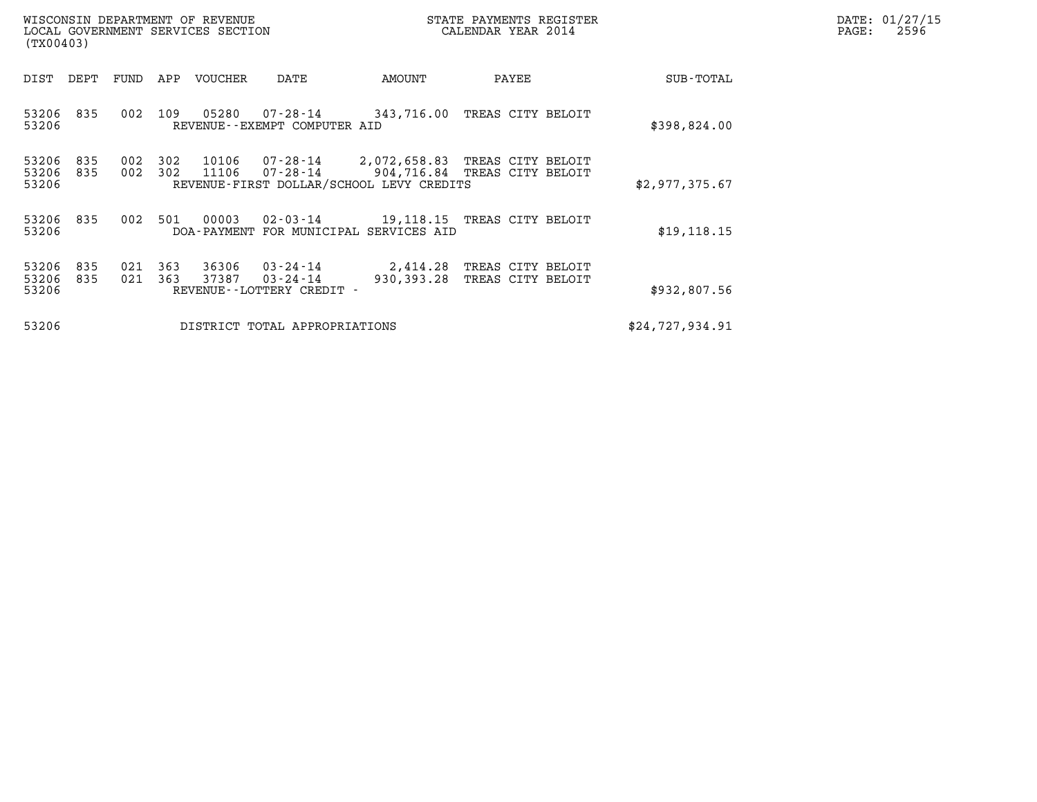| (TX00403)               |            |            |            | WISCONSIN DEPARTMENT OF REVENUE<br>LOCAL GOVERNMENT SERVICES SECTION |                                                                                                 |                              | STATE PAYMENTS REGISTER<br>CALENDAR YEAR 2014 |                 | DATE: 01/27/15<br>PAGE:<br>2596 |
|-------------------------|------------|------------|------------|----------------------------------------------------------------------|-------------------------------------------------------------------------------------------------|------------------------------|-----------------------------------------------|-----------------|---------------------------------|
| DIST                    | DEPT       | FUND       | APP        | VOUCHER                                                              | DATE                                                                                            | AMOUNT                       | PAYEE                                         | SUB-TOTAL       |                                 |
| 53206 835<br>53206      |            | 002        | 109        | 05280                                                                | 07-28-14<br>REVENUE--EXEMPT COMPUTER AID                                                        | 343,716.00 TREAS CITY BELOIT |                                               | \$398,824.00    |                                 |
| 53206<br>53206<br>53206 | 835<br>835 | 002<br>002 | 302<br>302 | 10106<br>11106                                                       | 07-28-14 2,072,658.83 TREAS CITY BELOIT<br>07-28-14<br>REVENUE-FIRST DOLLAR/SCHOOL LEVY CREDITS | 904,716.84 TREAS CITY BELOIT |                                               | \$2,977,375.67  |                                 |
| 53206 835<br>53206      |            | 002        | 501        | 00003                                                                | $02 - 03 - 14$<br>DOA-PAYMENT FOR MUNICIPAL SERVICES AID                                        | 19,118.15 TREAS CITY BELOIT  |                                               | \$19, 118.15    |                                 |
| 53206<br>53206<br>53206 | 835<br>835 | 021<br>021 | 363<br>363 | 36306<br>37387                                                       | $03 - 24 - 14$<br>$03 - 24 - 14$<br>REVENUE--LOTTERY CREDIT -                                   | 2,414.28<br>930, 393. 28     | TREAS CITY BELOIT<br>TREAS CITY BELOIT        | \$932,807.56    |                                 |
| 53206                   |            |            |            |                                                                      | DISTRICT TOTAL APPROPRIATIONS                                                                   |                              |                                               | \$24,727,934.91 |                                 |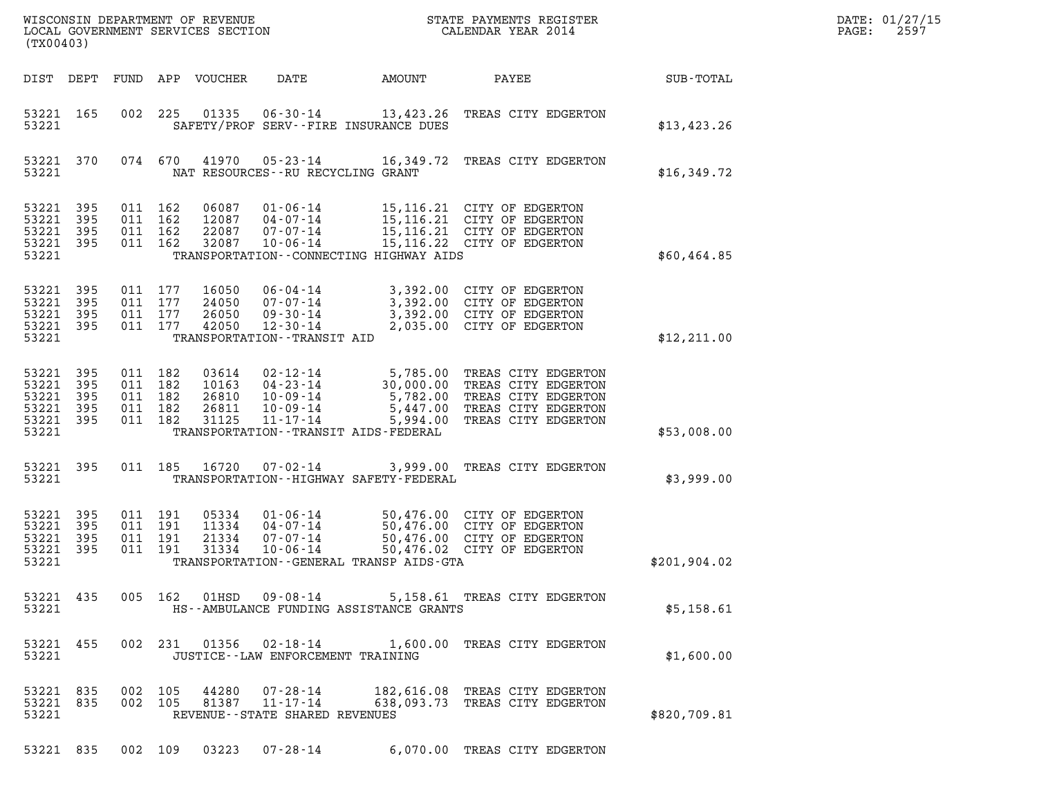| DATE: | 01/27/15 |
|-------|----------|
| PAGE: | 2597     |

|                                               |                     |     |                                          |                                  |                                                                                            |                                             |                                                                                                                               |                  | DATE: 01/27/15 |
|-----------------------------------------------|---------------------|-----|------------------------------------------|----------------------------------|--------------------------------------------------------------------------------------------|---------------------------------------------|-------------------------------------------------------------------------------------------------------------------------------|------------------|----------------|
| (TX00403)                                     |                     |     |                                          |                                  |                                                                                            |                                             |                                                                                                                               |                  | 2597<br>PAGE:  |
| DIST DEPT                                     |                     |     |                                          | FUND APP VOUCHER                 | DATE                                                                                       | AMOUNT                                      | PAYEE                                                                                                                         | <b>SUB-TOTAL</b> |                |
| 53221 165<br>53221                            |                     | 002 | 225                                      | 01335                            | $06 - 30 - 14$                                                                             | SAFETY/PROF SERV--FIRE INSURANCE DUES       | 13,423.26 TREAS CITY EDGERTON                                                                                                 | \$13,423.26      |                |
| 53221 370<br>53221                            |                     |     | 074 670                                  | 41970                            |                                                                                            | NAT RESOURCES - - RU RECYCLING GRANT        | 05-23-14 16,349.72 TREAS CITY EDGERTON                                                                                        | \$16,349.72      |                |
| 53221<br>53221<br>53221<br>53221 395          | 395<br>395<br>395   |     | 011 162<br>011 162<br>011 162<br>011 162 | 06087<br>12087<br>22087<br>32087 | $01 - 06 - 14$<br>04-07-14<br>$07 - 07 - 14$<br>$10 - 06 - 14$                             |                                             | 15,116.21 CITY OF EDGERTON<br>15,116.21 CITY OF EDGERTON<br>15,116.21 CITY OF EDGERTON<br>15,116.22 CITY OF EDGERTON          |                  |                |
| 53221                                         |                     |     |                                          |                                  |                                                                                            | TRANSPORTATION - CONNECTING HIGHWAY AIDS    |                                                                                                                               | \$60,464.85      |                |
| 53221<br>53221<br>53221<br>53221 395<br>53221 | 395<br>395<br>395   |     | 011 177<br>011 177<br>011 177<br>011 177 | 16050<br>24050<br>26050<br>42050 | 06-04-14<br>$07 - 07 - 14$<br>$09 - 30 - 14$<br>12-30-14<br>TRANSPORTATION - - TRANSIT AID |                                             | 3,392.00 CITY OF EDGERTON<br>3,392.00 CITY OF EDGERTON<br>3,392.00 CITY OF EDGERTON<br>2,035.00 CITY OF EDGERTON              | \$12,211.00      |                |
| 53221 395                                     |                     |     | 011 182                                  | 03614                            | 02-12-14                                                                                   |                                             | 5,785.00 TREAS CITY EDGERTON                                                                                                  |                  |                |
| 53221<br>53221<br>53221<br>53221 395<br>53221 | 395<br>395<br>395   |     | 011 182<br>011 182<br>011 182<br>011 182 | 10163<br>26810<br>26811<br>31125 | 04-23-14<br>10-09-14<br>10-09-14<br>$11 - 17 - 14$                                         | TRANSPORTATION - - TRANSIT AIDS - FEDERAL   | 30,000.00 TREAS CITY EDGERTON<br>5,782.00 TREAS CITY EDGERTON<br>5,447.00 TREAS CITY EDGERTON<br>5,994.00 TREAS CITY EDGERTON | \$53,008.00      |                |
|                                               |                     |     |                                          |                                  |                                                                                            |                                             |                                                                                                                               |                  |                |
| 53221 395<br>53221                            |                     |     | 011 185                                  | 16720                            | 07-02-14                                                                                   | TRANSPORTATION - - HIGHWAY SAFETY - FEDERAL | 3,999.00 TREAS CITY EDGERTON                                                                                                  | \$3,999.00       |                |
| 53221 395<br>53221<br>53221<br>53221          | 395<br>395<br>- 395 |     | 011 191<br>011 191<br>011 191<br>011 191 | 05334<br>11334<br>21334<br>31334 | $01 - 06 - 14$<br>$04 - 07 - 14$<br>07-07-14<br>$10 - 06 - 14$                             |                                             | 50,476.00 CITY OF EDGERTON<br>50,476.00 CITY OF EDGERTON<br>50,476.00 CITY OF EDGERTON<br>50,476.02 CITY OF EDGERTON          |                  |                |
| 53221                                         |                     |     |                                          |                                  |                                                                                            | TRANSPORTATION--GENERAL TRANSP AIDS-GTA     |                                                                                                                               | \$201,904.02     |                |
| 53221                                         | 53221 435           |     |                                          |                                  |                                                                                            | HS--AMBULANCE FUNDING ASSISTANCE GRANTS     | 005 162 01HSD 09-08-14 5,158.61 TREAS CITY EDGERTON                                                                           | \$5,158.61       |                |
| 53221 455<br>53221                            |                     |     |                                          |                                  |                                                                                            | JUSTICE - - LAW ENFORCEMENT TRAINING        | 002 231 01356 02-18-14 1,600.00 TREAS CITY EDGERTON                                                                           | \$1,600.00       |                |
| 53221 835<br>53221                            | 53221 835           |     | 002 105<br>002 105                       | 44280                            | 81387 11-17-14                                                                             | REVENUE - - STATE SHARED REVENUES           | 07-28-14 182,616.08 TREAS CITY EDGERTON<br>638,093.73 TREAS CITY EDGERTON                                                     | \$820,709.81     |                |
|                                               |                     |     |                                          |                                  |                                                                                            |                                             | 53221 835 002 109 03223 07-28-14 6,070.00 TREAS CITY EDGERTON                                                                 |                  |                |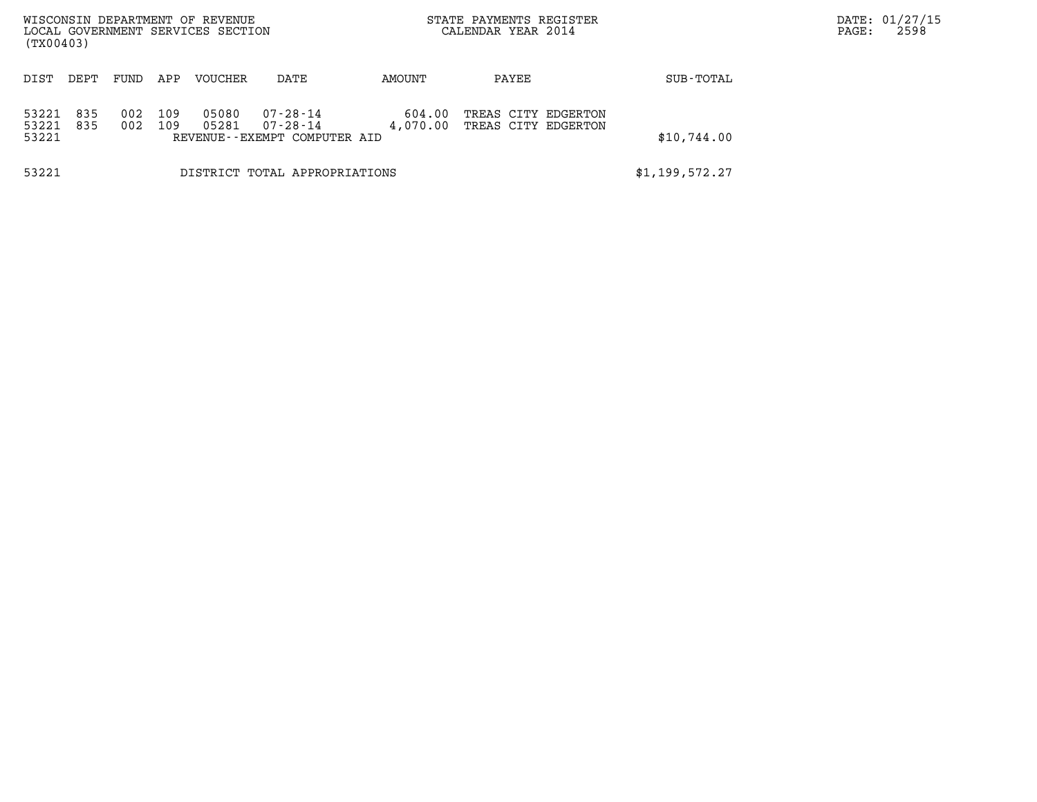| WISCONSIN DEPARTMENT OF REVENUE<br>LOCAL GOVERNMENT SERVICES SECTION<br>(TX00403) |      |            |            |                |                                          |                | STATE PAYMENTS REGISTER<br>CALENDAR YEAR 2014 |             | DATE: 01/27/15<br>2598<br>PAGE: |
|-----------------------------------------------------------------------------------|------|------------|------------|----------------|------------------------------------------|----------------|-----------------------------------------------|-------------|---------------------------------|
| DIST                                                                              | DEPT | FUND       | APP        | VOUCHER        | DATE                                     | AMOUNT         | PAYEE                                         | SUB-TOTAL   |                                 |
|                                                                                   | 835  |            |            |                | $07 - 28 - 14$                           | 604.00         |                                               |             |                                 |
| 53221<br>53221<br>53221                                                           | 835  | 002<br>002 | 109<br>109 | 05080<br>05281 | 07-28-14<br>REVENUE--EXEMPT COMPUTER AID | 4,070.00       | TREAS CITY EDGERTON<br>TREAS CITY EDGERTON    | \$10,744.00 |                                 |
| 53221                                                                             |      |            |            |                | DISTRICT TOTAL APPROPRIATIONS            | \$1,199,572.27 |                                               |             |                                 |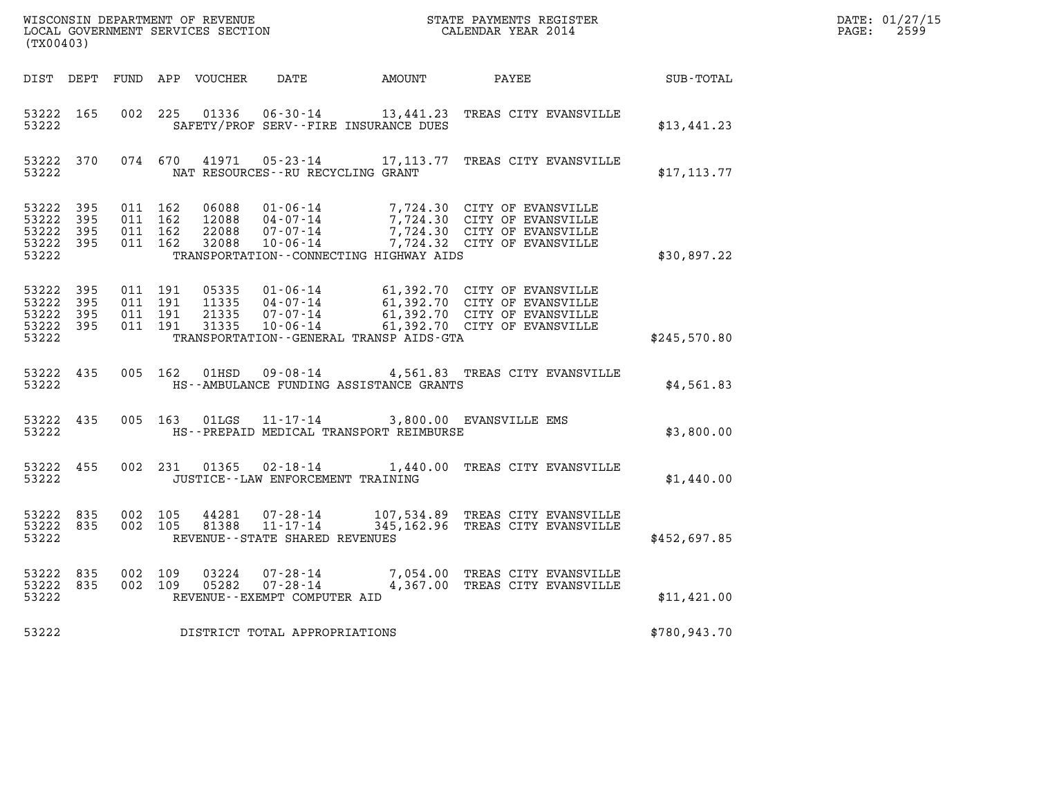| WISCONSIN DEPARTMENT OF REVENUE   | STATE PAYMENTS REGISTER | DATE: 01/27/15 |
|-----------------------------------|-------------------------|----------------|
| LOCAL GOVERNMENT SERVICES SECTION | CALENDAR YEAR 2014      | 2599<br>PAGE:  |

| DIST<br>DEPT<br>FUND                                                                              | APP<br>VOUCHER<br>DATE                                                                                                                                                          | AMOUNT                                                                                                                       | PAYEE<br><b>SUB-TOTAL</b>                                      |  |
|---------------------------------------------------------------------------------------------------|---------------------------------------------------------------------------------------------------------------------------------------------------------------------------------|------------------------------------------------------------------------------------------------------------------------------|----------------------------------------------------------------|--|
| 002<br>53222<br>165<br>53222                                                                      | 225<br>01336<br>$06 - 30 - 14$<br>SAFETY/PROF SERV--FIRE INSURANCE DUES                                                                                                         | 13,441.23                                                                                                                    | TREAS CITY EVANSVILLE<br>\$13,441.23                           |  |
| 370<br>074<br>53222<br>53222                                                                      | 670<br>41971<br>$05 - 23 - 14$<br>NAT RESOURCES - - RU RECYCLING GRANT                                                                                                          | 17,113.77                                                                                                                    | TREAS CITY EVANSVILLE<br>\$17, 113.77                          |  |
| 53222<br>395<br>011<br>53222<br>395<br>011<br>53222<br>395<br>011<br>53222<br>395<br>011<br>53222 | 162<br>06088<br>$01 - 06 - 14$<br>162<br>12088<br>$04 - 07 - 14$<br>162<br>22088<br>$07 - 07 - 14$<br>162<br>$10 - 06 - 14$<br>32088<br>TRANSPORTATION--CONNECTING HIGHWAY AIDS | 7,724.30 CITY OF EVANSVILLE<br>7,724.30 CITY OF EVANSVILLE<br>7,724.30 CITY OF EVANSVILLE<br>7,724.32 CITY OF EVANSVILLE     | \$30,897.22                                                    |  |
| 53222<br>395<br>011<br>011<br>53222<br>395<br>53222<br>395<br>011<br>53222<br>395<br>011<br>53222 | 191<br>05335<br>$01 - 06 - 14$<br>11335<br>$04 - 07 - 14$<br>191<br>191<br>21335<br>$07 - 07 - 14$<br>191<br>31335<br>$10 - 06 - 14$<br>TRANSPORTATION--GENERAL TRANSP AIDS-GTA | 61,392.70 CITY OF EVANSVILLE<br>61,392.70 CITY OF EVANSVILLE<br>61,392.70 CITY OF EVANSVILLE<br>61,392.70 CITY OF EVANSVILLE | \$245,570.80                                                   |  |
| 53222<br>435<br>005<br>53222                                                                      | 162<br>$09 - 08 - 14$<br>01HSD<br>HS--AMBULANCE FUNDING ASSISTANCE GRANTS                                                                                                       | 4,561.83                                                                                                                     | TREAS CITY EVANSVILLE<br>\$4,561.83                            |  |
| 005<br>53222<br>435<br>53222                                                                      | 163<br>01LGS<br>$11 - 17 - 14$<br>HS--PREPAID MEDICAL TRANSPORT REIMBURSE                                                                                                       | 3,800.00 EVANSVILLE EMS                                                                                                      | \$3,800.00                                                     |  |
| 455<br>002<br>53222<br>53222                                                                      | 231<br>01365<br>$02 - 18 - 14$<br>JUSTICE - - LAW ENFORCEMENT TRAINING                                                                                                          | 1,440.00                                                                                                                     | TREAS CITY EVANSVILLE<br>\$1,440.00                            |  |
| 53222<br>835<br>002<br>53222<br>835<br>002<br>53222                                               | 105<br>44281<br>07-28-14<br>$11 - 17 - 14$<br>105<br>81388<br>REVENUE - - STATE SHARED REVENUES                                                                                 | 107,534.89<br>345, 162.96                                                                                                    | TREAS CITY EVANSVILLE<br>TREAS CITY EVANSVILLE<br>\$452,697.85 |  |
| 53222<br>835<br>002<br>53222<br>835<br>002<br>53222                                               | 109<br>03224<br>$07 - 28 - 14$<br>$07 - 28 - 14$<br>109<br>05282<br>REVENUE - - EXEMPT COMPUTER AID                                                                             | 7,054.00<br>4,367.00                                                                                                         | TREAS CITY EVANSVILLE<br>TREAS CITY EVANSVILLE<br>\$11,421.00  |  |
| 53222                                                                                             | DISTRICT TOTAL APPROPRIATIONS                                                                                                                                                   |                                                                                                                              | \$780,943.70                                                   |  |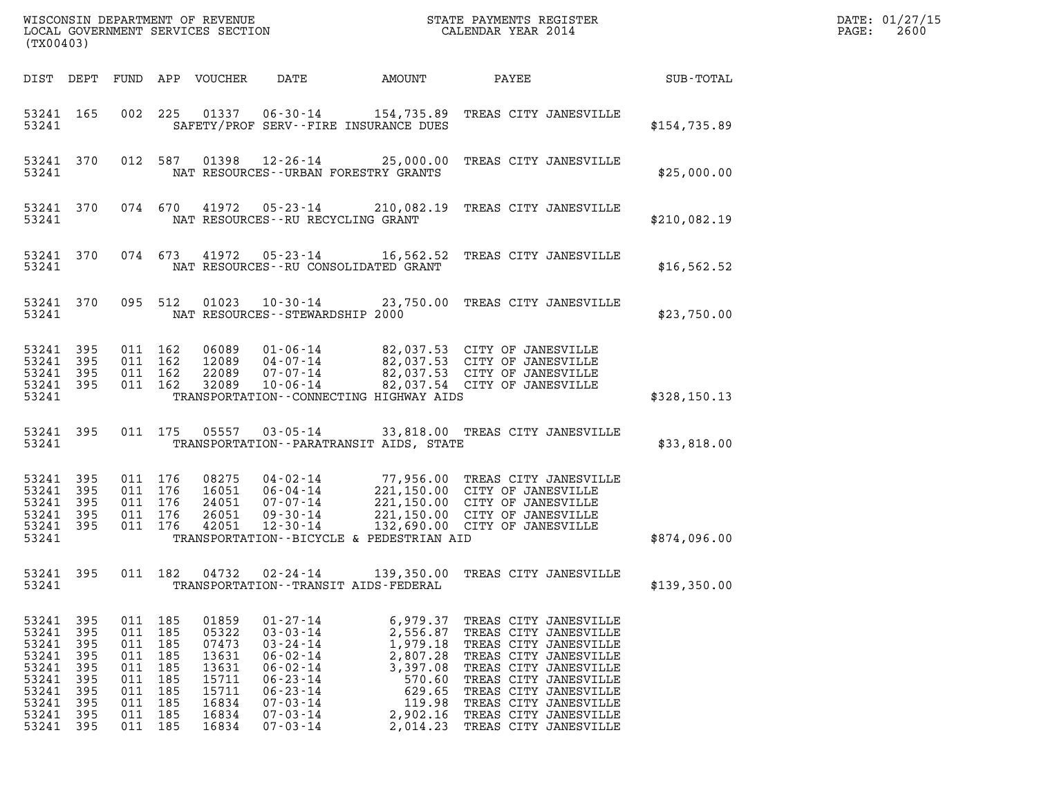| (TX00403)                                                                              |                                                                    |                                                                                                |                   |                                                                                        |                                                                                                                                                                                  |                                                                                                                |                                                                                                                                                                                                                                                        |              | DATE: 01/27/15<br>2600<br>$\mathtt{PAGE}$ : |
|----------------------------------------------------------------------------------------|--------------------------------------------------------------------|------------------------------------------------------------------------------------------------|-------------------|----------------------------------------------------------------------------------------|----------------------------------------------------------------------------------------------------------------------------------------------------------------------------------|----------------------------------------------------------------------------------------------------------------|--------------------------------------------------------------------------------------------------------------------------------------------------------------------------------------------------------------------------------------------------------|--------------|---------------------------------------------|
|                                                                                        | DIST DEPT                                                          |                                                                                                |                   | FUND APP VOUCHER                                                                       | DATE                                                                                                                                                                             | AMOUNT                                                                                                         | PAYEE                                                                                                                                                                                                                                                  | SUB-TOTAL    |                                             |
| 53241 165<br>53241                                                                     |                                                                    | 002 225                                                                                        |                   |                                                                                        |                                                                                                                                                                                  | SAFETY/PROF SERV--FIRE INSURANCE DUES                                                                          | 154,735.89 TREAS CITY JANESVILLE                                                                                                                                                                                                                       | \$154,735.89 |                                             |
| 53241                                                                                  | 53241 370                                                          |                                                                                                |                   |                                                                                        |                                                                                                                                                                                  | NAT RESOURCES - - URBAN FORESTRY GRANTS                                                                        | 012 587 01398 12-26-14 25,000.00 TREAS CITY JANESVILLE                                                                                                                                                                                                 | \$25,000.00  |                                             |
| 53241                                                                                  | 53241 370                                                          |                                                                                                |                   |                                                                                        | 074 670 41972 05-23-14<br>NAT RESOURCES--RU RECYCLING GRANT                                                                                                                      |                                                                                                                | 210,082.19 TREAS CITY JANESVILLE                                                                                                                                                                                                                       | \$210,082.19 |                                             |
| 53241                                                                                  | 53241 370                                                          |                                                                                                |                   | 074 673 41972                                                                          |                                                                                                                                                                                  | NAT RESOURCES - - RU CONSOLIDATED GRANT                                                                        | 05-23-14 16,562.52 TREAS CITY JANESVILLE                                                                                                                                                                                                               | \$16,562.52  |                                             |
| 53241                                                                                  | 53241 370                                                          |                                                                                                | 095 512           | 01023                                                                                  | $10 - 30 - 14$<br>NAT RESOURCES - - STEWARDSHIP 2000                                                                                                                             |                                                                                                                | 23,750.00 TREAS CITY JANESVILLE                                                                                                                                                                                                                        | \$23,750.00  |                                             |
| 53241 395<br>53241<br>53241 395<br>53241 395<br>53241                                  | 395                                                                | 011 162<br>011 162<br>011 162                                                                  | 011 162           |                                                                                        |                                                                                                                                                                                  | TRANSPORTATION--CONNECTING HIGHWAY AIDS                                                                        | 06089  01-06-14  82,037.53  CITY OF JANESVILLE<br>12089  04-07-14  82,037.53  CITY OF JANESVILLE<br>82,037.53 CITY OF JANESVILLE<br>82,037.54 CITY OF JANESVILLE                                                                                       | \$328,150.13 |                                             |
| 53241 395<br>53241                                                                     |                                                                    | 011 175                                                                                        |                   | 05557                                                                                  | $03 - 05 - 14$                                                                                                                                                                   | TRANSPORTATION - - PARATRANSIT AIDS, STATE                                                                     | 33,818.00 TREAS CITY JANESVILLE                                                                                                                                                                                                                        | \$33,818.00  |                                             |
| 53241 395<br>53241 395<br>53241<br>53241 395<br>53241 395<br>53241                     | 395                                                                | 011 176<br>011 176<br>011 176<br>011 176<br>011 176                                            |                   |                                                                                        |                                                                                                                                                                                  | TRANSPORTATION--BICYCLE & PEDESTRIAN AID                                                                       | 08275  04-02-14  77,956.00 TREAS CITY JANESVILLE<br>16051  06-04-14  221,150.00  CITY OF JANESVILLE<br>24051  07-07-14  221,150.00  CITY OF JANESVILLE<br>26051  09-30-14  221,150.00  CITY OF JANESVILLE<br>42051  12-30-14  132,690.00               | \$874,096.00 |                                             |
| 53241 395<br>53241                                                                     |                                                                    | 011 182                                                                                        |                   | 04732                                                                                  | $02 - 24 - 14$                                                                                                                                                                   | 139,350.00<br>TRANSPORTATION - - TRANSIT AIDS - FEDERAL                                                        | TREAS CITY JANESVILLE                                                                                                                                                                                                                                  | \$139,350.00 |                                             |
| 53241<br>53241<br>53241<br>53241<br>53241<br>53241<br>53241<br>53241<br>53241<br>53241 | 395<br>395<br>395<br>395<br>395<br>395<br>395<br>395<br>395<br>395 | 011 185<br>011 185<br>011<br>011 185<br>011<br>011<br>011 185<br>011 185<br>011 185<br>011 185 | 185<br>185<br>185 | 01859<br>05322<br>07473<br>13631<br>13631<br>15711<br>15711<br>16834<br>16834<br>16834 | $01 - 27 - 14$<br>$03 - 03 - 14$<br>$03 - 24 - 14$<br>$06 - 02 - 14$<br>$06 - 02 - 14$<br>$06 - 23 - 14$<br>$06 - 23 - 14$<br>$07 - 03 - 14$<br>$07 - 03 - 14$<br>$07 - 03 - 14$ | 6,979.37<br>2,556.87<br>1,979.18<br>2,807.28<br>3,397.08<br>570.60<br>629.65<br>119.98<br>2,902.16<br>2,014.23 | TREAS CITY JANESVILLE<br>TREAS CITY JANESVILLE<br>TREAS CITY JANESVILLE<br>TREAS CITY JANESVILLE<br>TREAS CITY JANESVILLE<br>TREAS CITY JANESVILLE<br>TREAS CITY JANESVILLE<br>TREAS CITY JANESVILLE<br>TREAS CITY JANESVILLE<br>TREAS CITY JANESVILLE |              |                                             |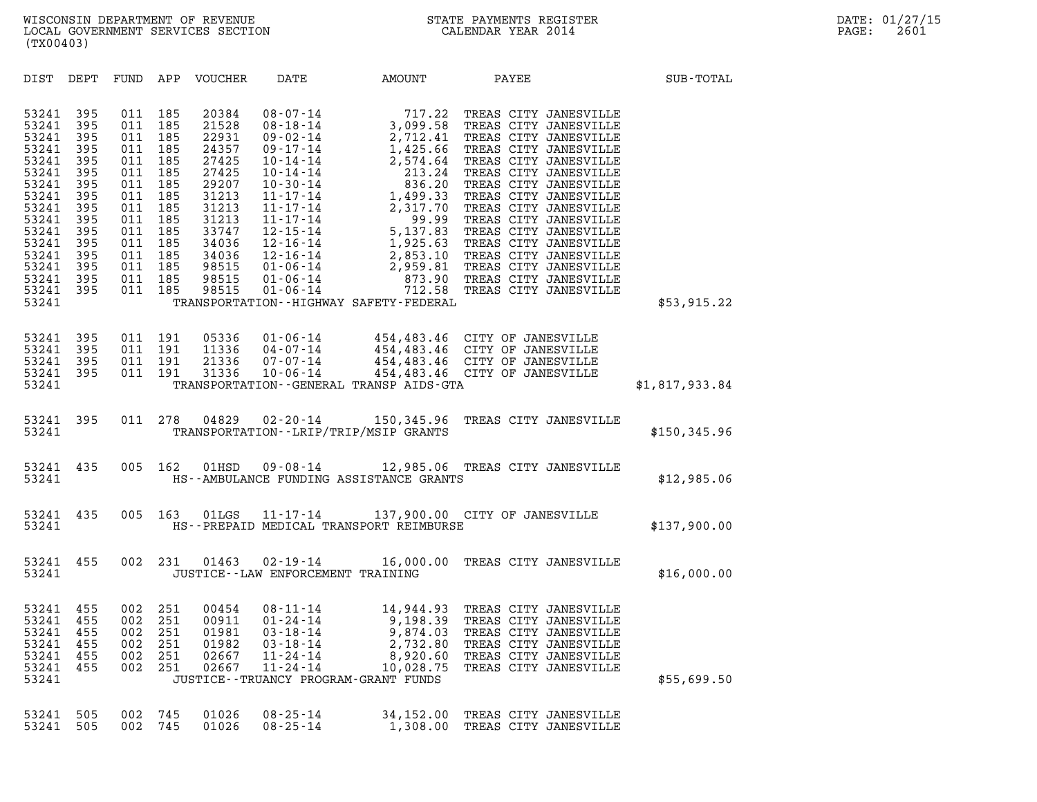| (TX00403)                                                                                                                                             |                                                                                                              |                                                                                                              |                                                                                                              |                                                                                                                                              |                                                                                                          |                                                                                                        |                                                                                                                                                                                                       |                |
|-------------------------------------------------------------------------------------------------------------------------------------------------------|--------------------------------------------------------------------------------------------------------------|--------------------------------------------------------------------------------------------------------------|--------------------------------------------------------------------------------------------------------------|----------------------------------------------------------------------------------------------------------------------------------------------|----------------------------------------------------------------------------------------------------------|--------------------------------------------------------------------------------------------------------|-------------------------------------------------------------------------------------------------------------------------------------------------------------------------------------------------------|----------------|
| DIST                                                                                                                                                  | DEPT                                                                                                         | FUND                                                                                                         | APP                                                                                                          | VOUCHER                                                                                                                                      | DATE                                                                                                     | <b>AMOUNT</b>                                                                                          | PAYEE SUB-TOTAL                                                                                                                                                                                       |                |
| 53241<br>53241<br>53241<br>53241<br>53241<br>53241<br>53241<br>53241<br>53241<br>53241<br>53241<br>53241<br>53241<br>53241<br>53241<br>53241<br>53241 | 395<br>395<br>395<br>395<br>395<br>395<br>395<br>395<br>395<br>395<br>395<br>395<br>395<br>395<br>395<br>395 | 011<br>011<br>011<br>011<br>011<br>011<br>011<br>011<br>011<br>011<br>011<br>011<br>011<br>011<br>011<br>011 | 185<br>185<br>185<br>185<br>185<br>185<br>185<br>185<br>185<br>185<br>185<br>185<br>185<br>185<br>185<br>185 | 20384<br>21528<br>22931<br>24357<br>27425<br>27425<br>29207<br>31213<br>31213<br>31213<br>33747<br>34036<br>34036<br>98515<br>98515<br>98515 | 12-16-14<br>01-06-14<br>$01 - 06 - 14$<br>$01 - 06 - 14$                                                 | TRANSPORTATION - - HIGHWAY SAFETY - FEDERAL                                                            |                                                                                                                                                                                                       | \$53,915.22    |
| 53241<br>53241<br>53241<br>53241<br>53241                                                                                                             | 395<br>395<br>395<br>395                                                                                     | 011<br>011<br>011<br>011                                                                                     | 191<br>191<br>191<br>191                                                                                     | 05336<br>11336<br>21336                                                                                                                      | 01-06-14<br>04 - 07 - 14<br>07 - 07 - 14                                                                 | TRANSPORTATION--GENERAL TRANSP AIDS-GTA                                                                | 454,483.46 CITY OF JANESVILLE<br>454,483.46 CITY OF JANESVILLE<br>454,483.46 CITY OF JANESVILLE<br>21336  07-07-14  454,483.46  CITY OF JANESVILLE<br>31336  10-06-14  454,483.46  CITY OF JANESVILLE | \$1,817,933.84 |
| 53241<br>53241                                                                                                                                        | 395                                                                                                          | 011                                                                                                          | 278                                                                                                          | 04829                                                                                                                                        | $02 - 20 - 14$                                                                                           | 150,345.96<br>TRANSPORTATION - - LRIP/TRIP/MSIP GRANTS                                                 | TREAS CITY JANESVILLE                                                                                                                                                                                 | \$150,345.96   |
| 53241<br>53241                                                                                                                                        | 435                                                                                                          | 005                                                                                                          | 162                                                                                                          | 01HSD                                                                                                                                        |                                                                                                          | HS--AMBULANCE FUNDING ASSISTANCE GRANTS                                                                | 09-08-14 12,985.06 TREAS CITY JANESVILLE                                                                                                                                                              | \$12,985.06    |
| 53241<br>53241                                                                                                                                        | 435                                                                                                          | 005                                                                                                          | 163                                                                                                          |                                                                                                                                              |                                                                                                          | HS--PREPAID MEDICAL TRANSPORT REIMBURSE                                                                | 01LGS  11-17-14  137,900.00  CITY OF JANESVILLE                                                                                                                                                       | \$137,900.00   |
| 53241<br>53241                                                                                                                                        | 455                                                                                                          | 002                                                                                                          | 231                                                                                                          | 01463                                                                                                                                        | 02-19-14<br>JUSTICE - - LAW ENFORCEMENT TRAINING                                                         | 16,000.00                                                                                              | TREAS CITY JANESVILLE                                                                                                                                                                                 | \$16,000.00    |
| 53241<br>53241<br>53241<br>53241<br>53241<br>53241<br>53241                                                                                           | 455<br>455<br>455<br>455<br>455<br>455                                                                       | 002<br>002<br>002<br>002<br>002<br>002                                                                       | 251<br>251<br>251<br>251<br>251<br>251                                                                       | 00454<br>00911<br>01981<br>01982<br>02667<br>02667                                                                                           | $08 - 11 - 14$<br>$01 - 24 - 14$<br>$03 - 18 - 14$<br>$03 - 18 - 14$<br>$11 - 24 - 14$<br>$11 - 24 - 14$ | 9,198.39<br>9,874.03<br>2,732.80<br>8,920.60<br>10,028.75<br>JUSTICE - - TRUANCY PROGRAM - GRANT FUNDS | 14,944.93 TREAS CITY JANESVILLE<br>TREAS CITY JANESVILLE<br>TREAS CITY JANESVILLE<br>TREAS CITY JANESVILLE<br>TREAS CITY JANESVILLE<br>TREAS CITY JANESVILLE                                          | \$55,699.50    |
| 53241<br>53241                                                                                                                                        | 505<br>505                                                                                                   | 002<br>002                                                                                                   | 745<br>745                                                                                                   | 01026<br>01026                                                                                                                               | $08 - 25 - 14$<br>$08 - 25 - 14$                                                                         | 34,152.00<br>1,308.00                                                                                  | TREAS CITY JANESVILLE<br>TREAS CITY JANESVILLE                                                                                                                                                        |                |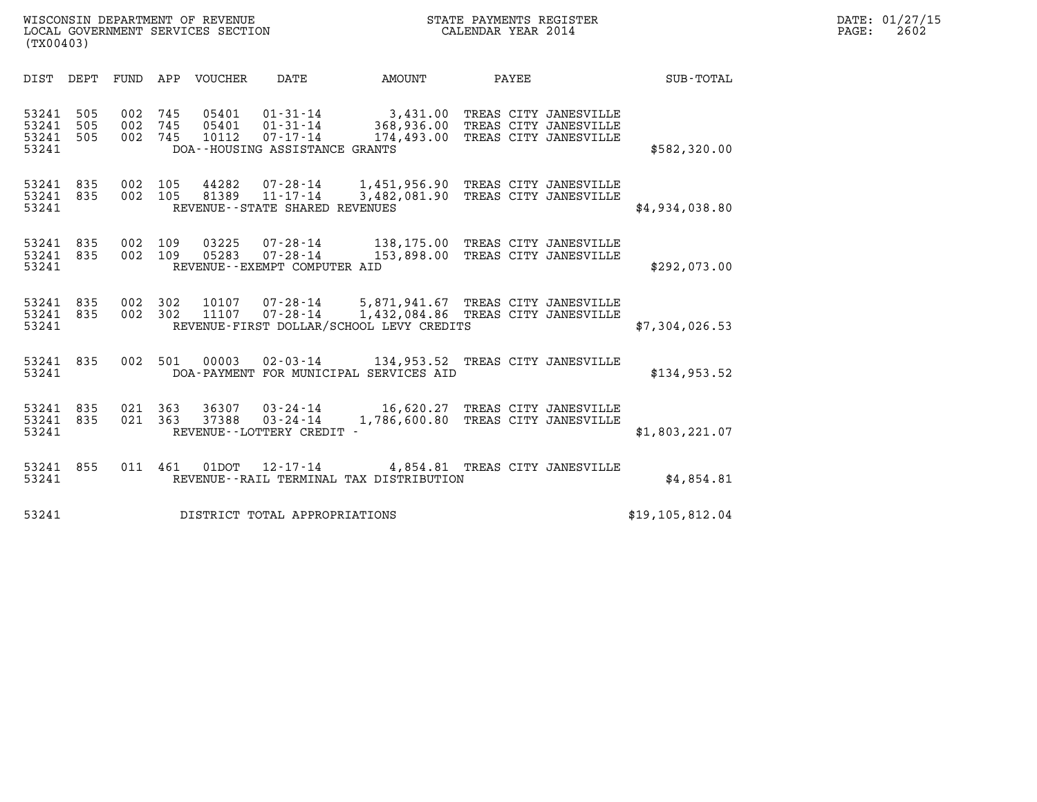| (TX00403)                        |                   |                               |         |                            | WISCONSIN DEPARTMENT OF REVENUE<br>LOCAL GOVERNMENT SERVICES SECTION |                                                                                                                      | STATE PAYMENTS REGISTER<br>CALENDAR YEAR 2014                        |  | DATE: 01/27/15<br>$\mathtt{PAGE:}$<br>2602 |  |
|----------------------------------|-------------------|-------------------------------|---------|----------------------------|----------------------------------------------------------------------|----------------------------------------------------------------------------------------------------------------------|----------------------------------------------------------------------|--|--------------------------------------------|--|
|                                  |                   |                               |         | DIST DEPT FUND APP VOUCHER | DATE                                                                 | AMOUNT                                                                                                               | PAYEE                                                                |  | $SUB - TOTAL$                              |  |
| 53241<br>53241<br>53241<br>53241 | 505<br>505<br>505 | 002 745<br>002 745<br>002 745 |         | 05401<br>05401<br>10112    | 01-31-14<br>01-31-14<br>07-17-14<br>DOA--HOUSING ASSISTANCE GRANTS   | 3,431.00 TREAS CITY JANESVILLE                                                                                       | 368,936.00 TREAS CITY JANESVILLE<br>174,493.00 TREAS CITY JANESVILLE |  | \$582,320.00                               |  |
| 53241 835<br>53241 835<br>53241  |                   | 002 105<br>002 105            |         | 44282<br>81389             | $11 - 17 - 14$<br>REVENUE - - STATE SHARED REVENUES                  | 07-28-14 1,451,956.90 TREAS CITY JANESVILLE<br>3,482,081.90 TREAS CITY JANESVILLE                                    |                                                                      |  | \$4,934,038.80                             |  |
| 53241 835<br>53241 835<br>53241  |                   | 002 109<br>002 109            |         | 03225<br>05283             | $07 - 28 - 14$<br>07-28-14<br>REVENUE--EXEMPT COMPUTER AID           | 138,175.00 TREAS CITY JANESVILLE<br>153,898.00 TREAS CITY JANESVILLE                                                 |                                                                      |  | \$292,073.00                               |  |
| 53241 835<br>53241 835<br>53241  |                   | 002 302                       | 002 302 | 10107<br>11107             | 07-28-14<br>$07 - 28 - 14$                                           | 5,871,941.67 TREAS CITY JANESVILLE<br>1,432,084.86 TREAS CITY JANESVILLE<br>REVENUE-FIRST DOLLAR/SCHOOL LEVY CREDITS |                                                                      |  | \$7,304,026.53                             |  |
| 53241 835<br>53241               |                   |                               | 002 501 |                            |                                                                      | 00003 02-03-14 134,953.52 TREAS CITY JANESVILLE<br>DOA-PAYMENT FOR MUNICIPAL SERVICES AID                            |                                                                      |  | \$134,953.52                               |  |
| 53241 835<br>53241 835<br>53241  |                   | 021 363                       | 021 363 | 37388                      | $03 - 24 - 14$<br>REVENUE - - LOTTERY CREDIT -                       | 36307 03-24-14 16,620.27 TREAS CITY JANESVILLE<br>1,786,600.80 TREAS CITY JANESVILLE                                 |                                                                      |  | \$1,803,221.07                             |  |
| 53241 855<br>53241               |                   |                               |         |                            |                                                                      | 011 461 01DOT 12-17-14 4,854.81 TREAS CITY JANESVILLE<br>REVENUE--RAIL TERMINAL TAX DISTRIBUTION                     |                                                                      |  | \$4.854.81                                 |  |
| 53241                            |                   |                               |         |                            | DISTRICT TOTAL APPROPRIATIONS                                        |                                                                                                                      |                                                                      |  | \$19, 105, 812.04                          |  |